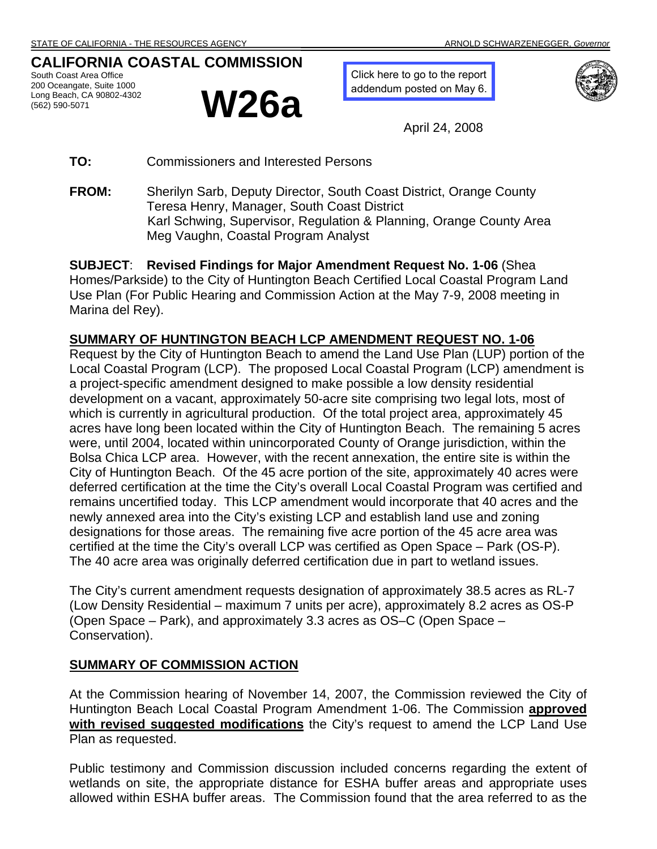# **CALIFORNIA COASTAL COMMISSION**

South Coast Area Office 200 Oceangate, Suite 1000 Long Beach, CA 90802-4302



[Click here to go to the report](http://documents.coastal.ca.gov/reports/2008/5/W26a-5-2008-a11.pdf)  addendum posted on May 6.



April 24, 2008

**TO:** Commissioners and Interested Persons

**FROM:** Sherilyn Sarb, Deputy Director, South Coast District, Orange County Teresa Henry, Manager, South Coast District Karl Schwing, Supervisor, Regulation & Planning, Orange County Area Meg Vaughn, Coastal Program Analyst

**SUBJECT**: **Revised Findings for Major Amendment Request No. 1-06** (Shea Homes/Parkside) to the City of Huntington Beach Certified Local Coastal Program Land Use Plan (For Public Hearing and Commission Action at the May 7-9, 2008 meeting in Marina del Rey).

### **SUMMARY OF HUNTINGTON BEACH LCP AMENDMENT REQUEST NO. 1-06**

Request by the City of Huntington Beach to amend the Land Use Plan (LUP) portion of the Local Coastal Program (LCP). The proposed Local Coastal Program (LCP) amendment is a project-specific amendment designed to make possible a low density residential development on a vacant, approximately 50-acre site comprising two legal lots, most of which is currently in agricultural production. Of the total project area, approximately 45 acres have long been located within the City of Huntington Beach. The remaining 5 acres were, until 2004, located within unincorporated County of Orange jurisdiction, within the Bolsa Chica LCP area. However, with the recent annexation, the entire site is within the City of Huntington Beach. Of the 45 acre portion of the site, approximately 40 acres were deferred certification at the time the City's overall Local Coastal Program was certified and remains uncertified today. This LCP amendment would incorporate that 40 acres and the newly annexed area into the City's existing LCP and establish land use and zoning designations for those areas. The remaining five acre portion of the 45 acre area was certified at the time the City's overall LCP was certified as Open Space – Park (OS-P). The 40 acre area was originally deferred certification due in part to wetland issues.

The City's current amendment requests designation of approximately 38.5 acres as RL-7 (Low Density Residential – maximum 7 units per acre), approximately 8.2 acres as OS-P (Open Space – Park), and approximately 3.3 acres as OS–C (Open Space – Conservation).

### **SUMMARY OF COMMISSION ACTION**

At the Commission hearing of November 14, 2007, the Commission reviewed the City of Huntington Beach Local Coastal Program Amendment 1-06. The Commission **approved with revised suggested modifications** the City's request to amend the LCP Land Use Plan as requested.

Public testimony and Commission discussion included concerns regarding the extent of wetlands on site, the appropriate distance for ESHA buffer areas and appropriate uses allowed within ESHA buffer areas. The Commission found that the area referred to as the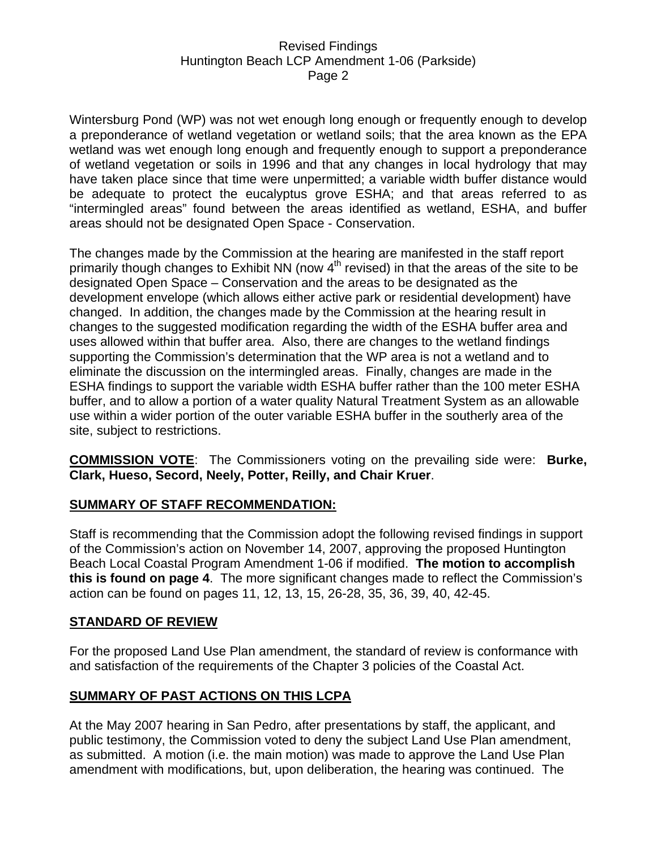Wintersburg Pond (WP) was not wet enough long enough or frequently enough to develop a preponderance of wetland vegetation or wetland soils; that the area known as the EPA wetland was wet enough long enough and frequently enough to support a preponderance of wetland vegetation or soils in 1996 and that any changes in local hydrology that may have taken place since that time were unpermitted; a variable width buffer distance would be adequate to protect the eucalyptus grove ESHA; and that areas referred to as "intermingled areas" found between the areas identified as wetland, ESHA, and buffer areas should not be designated Open Space - Conservation.

The changes made by the Commission at the hearing are manifested in the staff report primarily though changes to Exhibit NN (now  $4<sup>th</sup>$  revised) in that the areas of the site to be designated Open Space – Conservation and the areas to be designated as the development envelope (which allows either active park or residential development) have changed. In addition, the changes made by the Commission at the hearing result in changes to the suggested modification regarding the width of the ESHA buffer area and uses allowed within that buffer area. Also, there are changes to the wetland findings supporting the Commission's determination that the WP area is not a wetland and to eliminate the discussion on the intermingled areas. Finally, changes are made in the ESHA findings to support the variable width ESHA buffer rather than the 100 meter ESHA buffer, and to allow a portion of a water quality Natural Treatment System as an allowable use within a wider portion of the outer variable ESHA buffer in the southerly area of the site, subject to restrictions.

**COMMISSION VOTE**: The Commissioners voting on the prevailing side were: **Burke, Clark, Hueso, Secord, Neely, Potter, Reilly, and Chair Kruer**.

### **SUMMARY OF STAFF RECOMMENDATION:**

Staff is recommending that the Commission adopt the following revised findings in support of the Commission's action on November 14, 2007, approving the proposed Huntington Beach Local Coastal Program Amendment 1-06 if modified. **The motion to accomplish this is found on page 4**. The more significant changes made to reflect the Commission's action can be found on pages 11, 12, 13, 15, 26-28, 35, 36, 39, 40, 42-45.

### **STANDARD OF REVIEW**

For the proposed Land Use Plan amendment, the standard of review is conformance with and satisfaction of the requirements of the Chapter 3 policies of the Coastal Act.

### **SUMMARY OF PAST ACTIONS ON THIS LCPA**

At the May 2007 hearing in San Pedro, after presentations by staff, the applicant, and public testimony, the Commission voted to deny the subject Land Use Plan amendment, as submitted. A motion (i.e. the main motion) was made to approve the Land Use Plan amendment with modifications, but, upon deliberation, the hearing was continued. The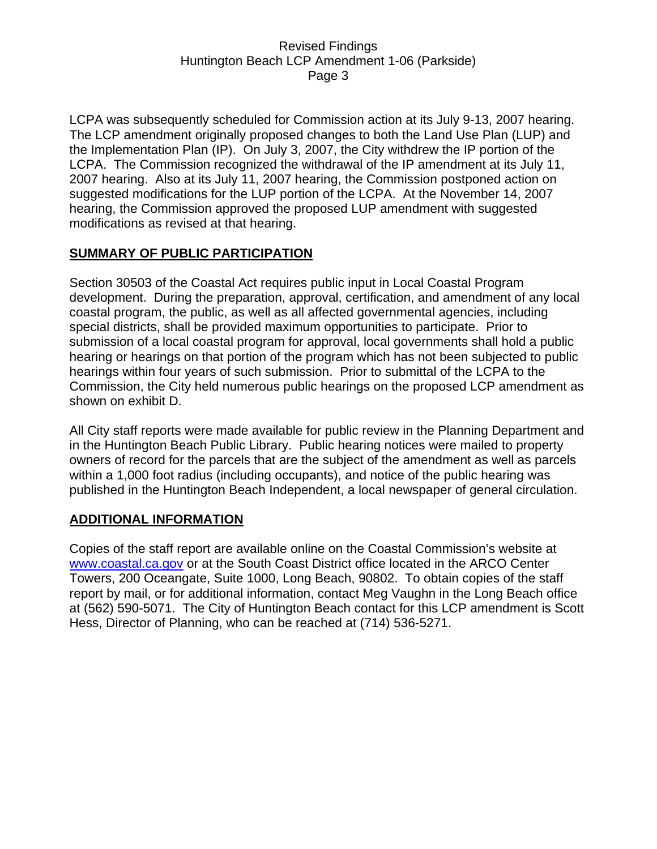LCPA was subsequently scheduled for Commission action at its July 9-13, 2007 hearing. The LCP amendment originally proposed changes to both the Land Use Plan (LUP) and the Implementation Plan (IP). On July 3, 2007, the City withdrew the IP portion of the LCPA. The Commission recognized the withdrawal of the IP amendment at its July 11, 2007 hearing. Also at its July 11, 2007 hearing, the Commission postponed action on suggested modifications for the LUP portion of the LCPA. At the November 14, 2007 hearing, the Commission approved the proposed LUP amendment with suggested modifications as revised at that hearing.

### **SUMMARY OF PUBLIC PARTICIPATION**

Section 30503 of the Coastal Act requires public input in Local Coastal Program development. During the preparation, approval, certification, and amendment of any local coastal program, the public, as well as all affected governmental agencies, including special districts, shall be provided maximum opportunities to participate. Prior to submission of a local coastal program for approval, local governments shall hold a public hearing or hearings on that portion of the program which has not been subjected to public hearings within four years of such submission. Prior to submittal of the LCPA to the Commission, the City held numerous public hearings on the proposed LCP amendment as shown on exhibit D.

All City staff reports were made available for public review in the Planning Department and in the Huntington Beach Public Library. Public hearing notices were mailed to property owners of record for the parcels that are the subject of the amendment as well as parcels within a 1,000 foot radius (including occupants), and notice of the public hearing was published in the Huntington Beach Independent, a local newspaper of general circulation.

### **ADDITIONAL INFORMATION**

Copies of the staff report are available online on the Coastal Commission's website at www.coastal.ca.gov or at the South Coast District office located in the ARCO Center Towers, 200 Oceangate, Suite 1000, Long Beach, 90802. To obtain copies of the staff report by mail, or for additional information, contact Meg Vaughn in the Long Beach office at (562) 590-5071. The City of Huntington Beach contact for this LCP amendment is Scott Hess, Director of Planning, who can be reached at (714) 536-5271.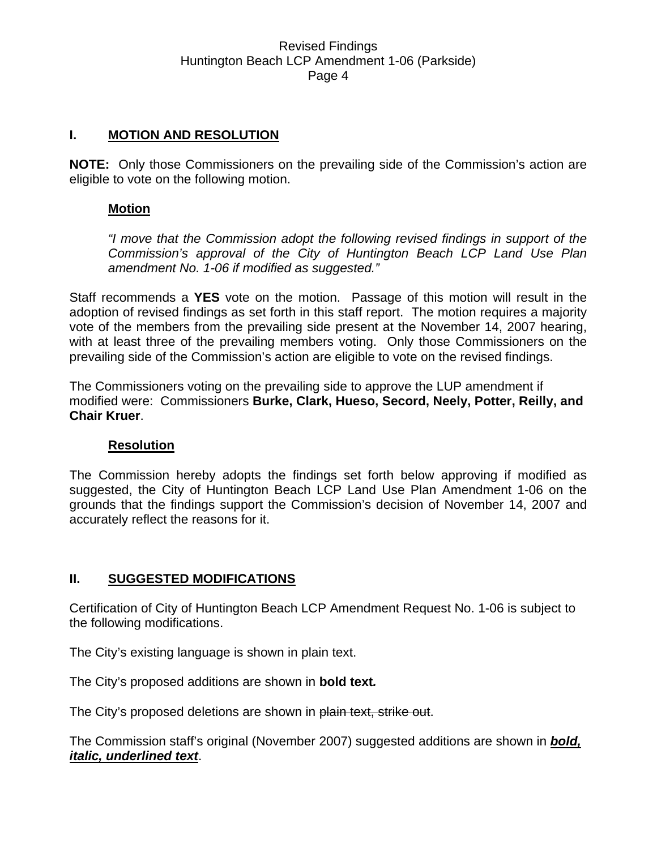### **I. MOTION AND RESOLUTION**

**NOTE:** Only those Commissioners on the prevailing side of the Commission's action are eligible to vote on the following motion.

#### **Motion**

*"I move that the Commission adopt the following revised findings in support of the Commission's approval of the City of Huntington Beach LCP Land Use Plan amendment No. 1-06 if modified as suggested."* 

Staff recommends a **YES** vote on the motion. Passage of this motion will result in the adoption of revised findings as set forth in this staff report. The motion requires a majority vote of the members from the prevailing side present at the November 14, 2007 hearing, with at least three of the prevailing members voting. Only those Commissioners on the prevailing side of the Commission's action are eligible to vote on the revised findings.

The Commissioners voting on the prevailing side to approve the LUP amendment if modified were: Commissioners **Burke, Clark, Hueso, Secord, Neely, Potter, Reilly, and Chair Kruer**.

#### **Resolution**

The Commission hereby adopts the findings set forth below approving if modified as suggested, the City of Huntington Beach LCP Land Use Plan Amendment 1-06 on the grounds that the findings support the Commission's decision of November 14, 2007 and accurately reflect the reasons for it.

### **II. SUGGESTED MODIFICATIONS**

Certification of City of Huntington Beach LCP Amendment Request No. 1-06 is subject to the following modifications.

The City's existing language is shown in plain text.

The City's proposed additions are shown in **bold text***.*

The City's proposed deletions are shown in plain text, strike out.

The Commission staff's original (November 2007) suggested additions are shown in *bold, italic, underlined text*.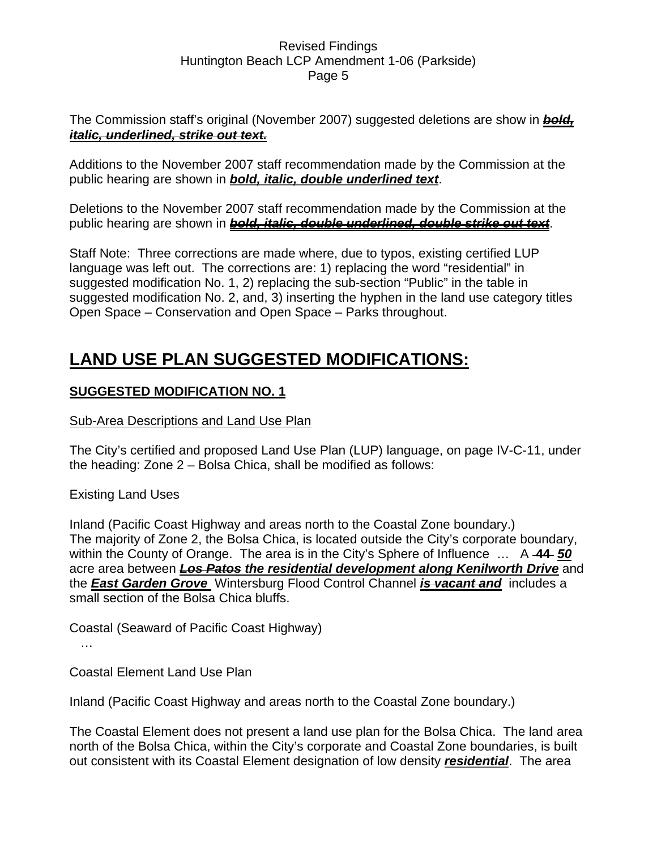The Commission staff's original (November 2007) suggested deletions are show in *bold, italic, underlined, strike out text.*

Additions to the November 2007 staff recommendation made by the Commission at the public hearing are shown in *bold, italic, double underlined text*.

Deletions to the November 2007 staff recommendation made by the Commission at the public hearing are shown in *bold, italic, double underlined, double strike out text*.

Staff Note: Three corrections are made where, due to typos, existing certified LUP language was left out. The corrections are: 1) replacing the word "residential" in suggested modification No. 1, 2) replacing the sub-section "Public" in the table in suggested modification No. 2, and, 3) inserting the hyphen in the land use category titles Open Space – Conservation and Open Space – Parks throughout.

# **LAND USE PLAN SUGGESTED MODIFICATIONS:**

# **SUGGESTED MODIFICATION NO. 1**

# Sub-Area Descriptions and Land Use Plan

The City's certified and proposed Land Use Plan (LUP) language, on page IV-C-11, under the heading: Zone 2 – Bolsa Chica, shall be modified as follows:

Existing Land Uses

Inland (Pacific Coast Highway and areas north to the Coastal Zone boundary.) The majority of Zone 2, the Bolsa Chica, is located outside the City's corporate boundary, within the County of Orange. The area is in the City's Sphere of Influence … A **44** *50* acre area between *Los Patos the residential development along Kenilworth Drive* and the *East Garden Grove* Wintersburg Flood Control Channel *is vacant and* includes a small section of the Bolsa Chica bluffs.

Coastal (Seaward of Pacific Coast Highway)

…

Coastal Element Land Use Plan

Inland (Pacific Coast Highway and areas north to the Coastal Zone boundary.)

The Coastal Element does not present a land use plan for the Bolsa Chica. The land area north of the Bolsa Chica, within the City's corporate and Coastal Zone boundaries, is built out consistent with its Coastal Element designation of low density *residential*. The area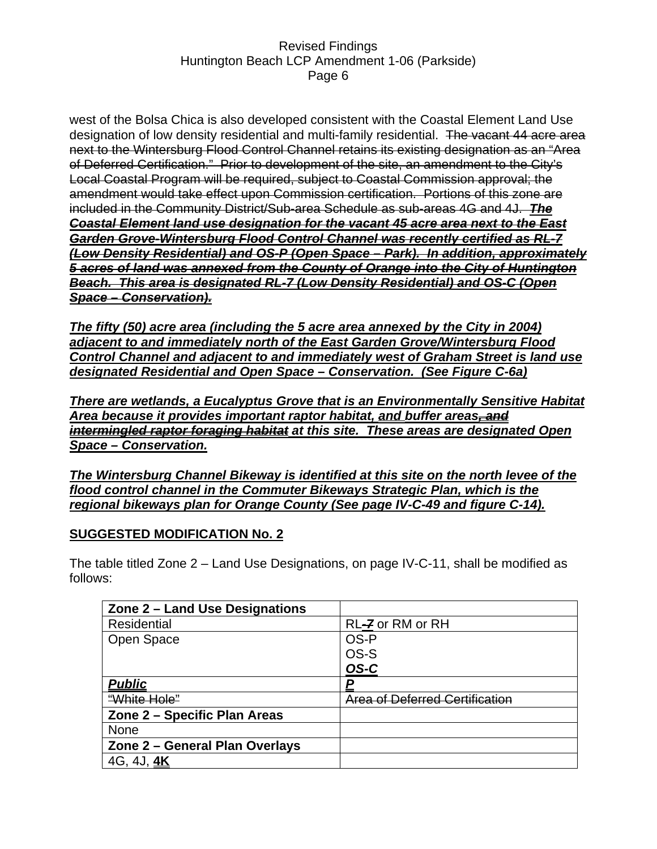west of the Bolsa Chica is also developed consistent with the Coastal Element Land Use designation of low density residential and multi-family residential. The vacant 44 acre area next to the Wintersburg Flood Control Channel retains its existing designation as an "Area of Deferred Certification." Prior to development of the site, an amendment to the City's Local Coastal Program will be required, subject to Coastal Commission approval; the amendment would take effect upon Commission certification. Portions of this zone are included in the Community District/Sub-area Schedule as sub-areas 4G and 4J.*The Coastal Element land use designation for the vacant 45 acre area next to the East Garden Grove-Wintersburg Flood Control Channel was recently certified as RL-7 (Low Density Residential) and OS-P (Open Space – Park). In addition, approximately 5 acres of land was annexed from the County of Orange into the City of Huntington Beach. This area is designated RL-7 (Low Density Residential) and OS-C (Open Space – Conservation).*

*The fifty (50) acre area (including the 5 acre area annexed by the City in 2004) adjacent to and immediately north of the East Garden Grove/Wintersburg Flood Control Channel and adjacent to and immediately west of Graham Street is land use designated Residential and Open Space – Conservation. (See Figure C-6a)*

*There are wetlands, a Eucalyptus Grove that is an Environmentally Sensitive Habitat Area because it provides important raptor habitat, and buffer areas, and intermingled raptor foraging habitat at this site. These areas are designated Open Space – Conservation.*

*The Wintersburg Channel Bikeway is identified at this site on the north levee of the flood control channel in the Commuter Bikeways Strategic Plan, which is the regional bikeways plan for Orange County (See page IV-C-49 and figure C-14).*

### **SUGGESTED MODIFICATION No. 2**

The table titled Zone 2 – Land Use Designations, on page IV-C-11, shall be modified as follows:

| Zone 2 - Land Use Designations |                                |
|--------------------------------|--------------------------------|
| Residential                    | RL-7 or RM or RH               |
| Open Space                     | OS-P                           |
|                                | OS-S                           |
|                                | OS-C                           |
| <b>Public</b>                  | P                              |
| "White Hole"                   | Area of Deferred Certification |
| Zone 2 - Specific Plan Areas   |                                |
| <b>None</b>                    |                                |
| Zone 2 - General Plan Overlays |                                |
| 4G, 4J, <b>4K</b>              |                                |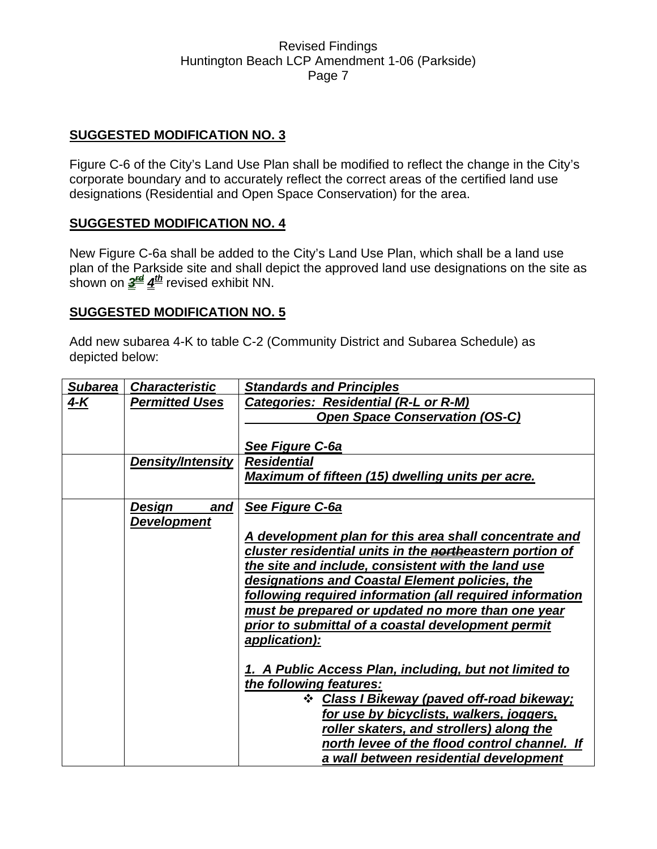### **SUGGESTED MODIFICATION NO. 3**

Figure C-6 of the City's Land Use Plan shall be modified to reflect the change in the City's corporate boundary and to accurately reflect the correct areas of the certified land use designations (Residential and Open Space Conservation) for the area.

#### **SUGGESTED MODIFICATION NO. 4**

New Figure C-6a shall be added to the City's Land Use Plan, which shall be a land use plan of the Parkside site and shall depict the approved land use designations on the site as shown on  $\frac{3^{4d}}{4^{4h}}$  revised exhibit NN.

#### **SUGGESTED MODIFICATION NO. 5**

Add new subarea 4-K to table C-2 (Community District and Subarea Schedule) as depicted below:

| <b>Subarea</b> | <b>Characteristic</b>               | <b>Standards and Principles</b>                                                                                                                                                                                                                                                                                                                                                                                                                                                                                                                                                                                                                                                                                                                                    |
|----------------|-------------------------------------|--------------------------------------------------------------------------------------------------------------------------------------------------------------------------------------------------------------------------------------------------------------------------------------------------------------------------------------------------------------------------------------------------------------------------------------------------------------------------------------------------------------------------------------------------------------------------------------------------------------------------------------------------------------------------------------------------------------------------------------------------------------------|
| $4 - K$        | <b>Permitted Uses</b>               | <b>Categories: Residential (R-L or R-M)</b><br><b>Open Space Conservation (OS-C)</b><br>See Figure C-6a                                                                                                                                                                                                                                                                                                                                                                                                                                                                                                                                                                                                                                                            |
|                | <b>Density/Intensity</b>            | <b>Residential</b><br><b>Maximum of fifteen (15) dwelling units per acre.</b>                                                                                                                                                                                                                                                                                                                                                                                                                                                                                                                                                                                                                                                                                      |
|                | Design<br>and<br><b>Development</b> | See Figure C-6a<br>A development plan for this area shall concentrate and<br>cluster residential units in the <b>north</b> eastern portion of<br>the site and include, consistent with the land use<br>designations and Coastal Element policies, the<br>following required information (all required information<br>must be prepared or updated no more than one year<br>prior to submittal of a coastal development permit<br>application):<br>1. A Public Access Plan, including, but not limited to<br>the following features:<br>❖ Class I Bikeway (paved off-road bikeway;<br>for use by bicyclists, walkers, joggers,<br>roller skaters, and strollers) along the<br>north levee of the flood control channel. If<br>a wall between residential development |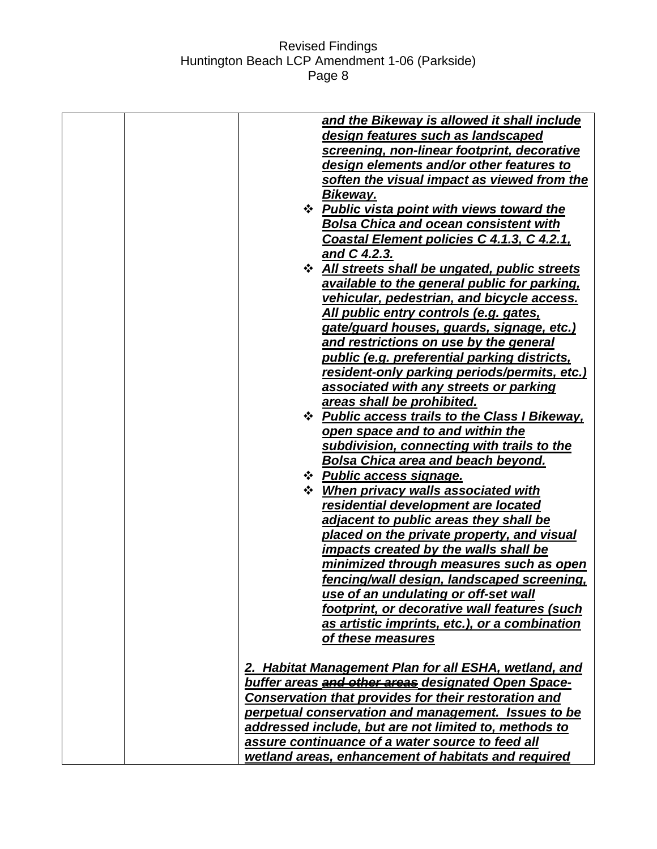|  | and the Bikeway is allowed it shall include           |
|--|-------------------------------------------------------|
|  | design features such as landscaped                    |
|  | screening, non-linear footprint, decorative           |
|  | design elements and/or other features to              |
|  | soften the visual impact as viewed from the           |
|  | Bikeway.                                              |
|  | <b>❖ Public vista point with views toward the</b>     |
|  | <b>Bolsa Chica and ocean consistent with</b>          |
|  | Coastal Element policies C 4.1.3, C 4.2.1,            |
|  | and C 4.2.3.                                          |
|  | <b>☆ All streets shall be ungated, public streets</b> |
|  | available to the general public for parking,          |
|  | vehicular, pedestrian, and bicycle access.            |
|  | All public entry controls (e.g. gates,                |
|  | gate/guard houses, guards, signage, etc.)             |
|  | and restrictions on use by the general                |
|  | public (e.g. preferential parking districts,          |
|  | resident-only parking periods/permits, etc.)          |
|  | associated with any streets or parking                |
|  | areas shall be prohibited.                            |
|  | <b>☆ Public access trails to the Class I Bikeway,</b> |
|  | open space and to and within the                      |
|  | subdivision, connecting with trails to the            |
|  | Bolsa Chica area and beach beyond.                    |
|  | ❖ Public access signage.                              |
|  | <b>❖</b> When privacy walls associated with           |
|  | residential development are located                   |
|  | adjacent to public areas they shall be                |
|  | placed on the private property, and visual            |
|  | impacts created by the walls shall be                 |
|  | minimized through measures such as open               |
|  | fencing/wall design, landscaped screening,            |
|  | use of an undulating or off-set wall                  |
|  | footprint, or decorative wall features (such          |
|  | as artistic imprints, etc.), or a combination         |
|  | of these measures                                     |
|  | 2. Habitat Management Plan for all ESHA, wetland, and |
|  | buffer areas and other areas designated Open Space-   |
|  | Conservation that provides for their restoration and  |
|  | perpetual conservation and management. Issues to be   |
|  | addressed include, but are not limited to, methods to |
|  | assure continuance of a water source to feed all      |
|  | wetland areas, enhancement of habitats and required   |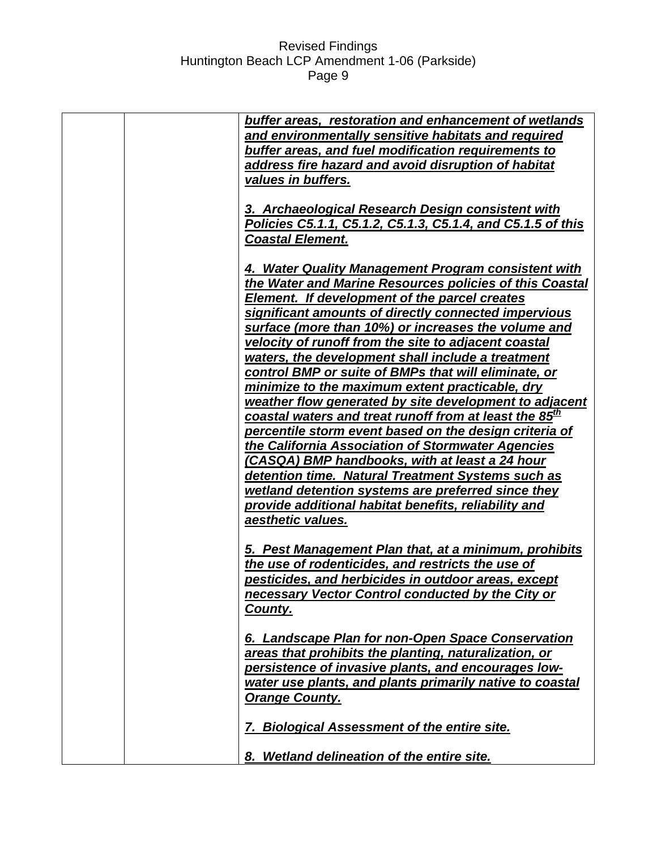|  | buffer areas, restoration and enhancement of wetlands              |
|--|--------------------------------------------------------------------|
|  | and environmentally sensitive habitats and required                |
|  | buffer areas, and fuel modification requirements to                |
|  | address fire hazard and avoid disruption of habitat                |
|  | values in buffers.                                                 |
|  |                                                                    |
|  | 3. Archaeological Research Design consistent with                  |
|  | Policies C5.1.1, C5.1.2, C5.1.3, C5.1.4, and C5.1.5 of this        |
|  | <b>Coastal Element.</b>                                            |
|  |                                                                    |
|  | 4. Water Quality Management Program consistent with                |
|  | the Water and Marine Resources policies of this Coastal            |
|  | Element. If development of the parcel creates                      |
|  | significant amounts of directly connected impervious               |
|  | surface (more than 10%) or increases the volume and                |
|  | velocity of runoff from the site to adjacent coastal               |
|  | waters, the development shall include a treatment                  |
|  | control BMP or suite of BMPs that will eliminate, or               |
|  | minimize to the maximum extent practicable, dry                    |
|  | weather flow generated by site development to adjacent             |
|  |                                                                    |
|  | coastal waters and treat runoff from at least the 85 <sup>th</sup> |
|  | percentile storm event based on the design criteria of             |
|  | the California Association of Stormwater Agencies                  |
|  | (CASQA) BMP handbooks, with at least a 24 hour                     |
|  | detention time. Natural Treatment Systems such as                  |
|  | wetland detention systems are preferred since they                 |
|  | provide additional habitat benefits, reliability and               |
|  | aesthetic values.                                                  |
|  |                                                                    |
|  | 5. Pest Management Plan that, at a minimum, prohibits              |
|  | the use of rodenticides, and restricts the use of                  |
|  | pesticides, and herbicides in outdoor areas, except                |
|  | necessary Vector Control conducted by the City or                  |
|  | County.                                                            |
|  |                                                                    |
|  | 6. Landscape Plan for non-Open Space Conservation                  |
|  | areas that prohibits the planting, naturalization, or              |
|  | persistence of invasive plants, and encourages low-                |
|  | water use plants, and plants primarily native to coastal           |
|  | <b>Orange County.</b>                                              |
|  | 7. Biological Assessment of the entire site.                       |
|  | 8. Wetland delineation of the entire site.                         |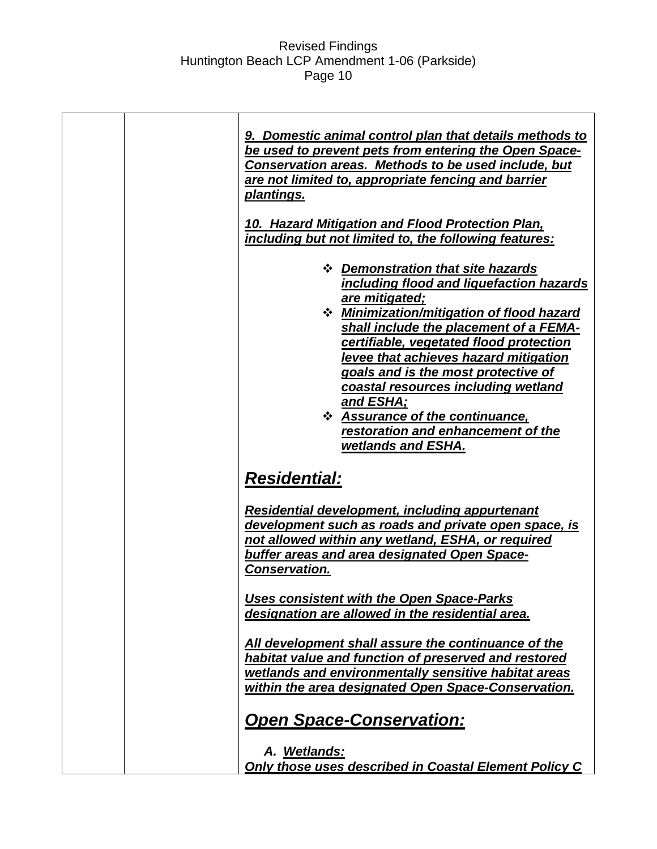| 9. Domestic animal control plan that details methods to<br>be used to prevent pets from entering the Open Space-<br>Conservation areas. Methods to be used include, but<br>are not limited to, appropriate fencing and barrier<br>plantings.<br>10. Hazard Mitigation and Flood Protection Plan,<br>including but not limited to, the following features:                                                                                                                          |
|------------------------------------------------------------------------------------------------------------------------------------------------------------------------------------------------------------------------------------------------------------------------------------------------------------------------------------------------------------------------------------------------------------------------------------------------------------------------------------|
| ❖ Demonstration that site hazards<br>including flood and liquefaction hazards<br>are mitigated;<br><b>❖</b> Minimization/mitigation of flood hazard<br>shall include the placement of a FEMA-<br>certifiable, vegetated flood protection<br>levee that achieves hazard mitigation<br>goals and is the most protective of<br>coastal resources including wetland<br><u>and ESHA;</u><br>* Assurance of the continuance,<br>restoration and enhancement of the<br>wetlands and ESHA. |
| <b>Residential:</b>                                                                                                                                                                                                                                                                                                                                                                                                                                                                |
| <b>Residential development, including appurtenant</b><br>development such as roads and private open space, is<br>not allowed within any wetland, ESHA, or required<br>buffer areas and area designated Open Space-<br>Conservation.                                                                                                                                                                                                                                                |
| <b>Uses consistent with the Open Space-Parks</b><br>designation are allowed in the residential area.                                                                                                                                                                                                                                                                                                                                                                               |
| All development shall assure the continuance of the<br>habitat value and function of preserved and restored<br>wetlands and environmentally sensitive habitat areas<br>within the area designated Open Space-Conservation.                                                                                                                                                                                                                                                         |
| <b>Open Space-Conservation:</b>                                                                                                                                                                                                                                                                                                                                                                                                                                                    |
| A. Wetlands:<br>Only those uses described in Coastal Element Policy C                                                                                                                                                                                                                                                                                                                                                                                                              |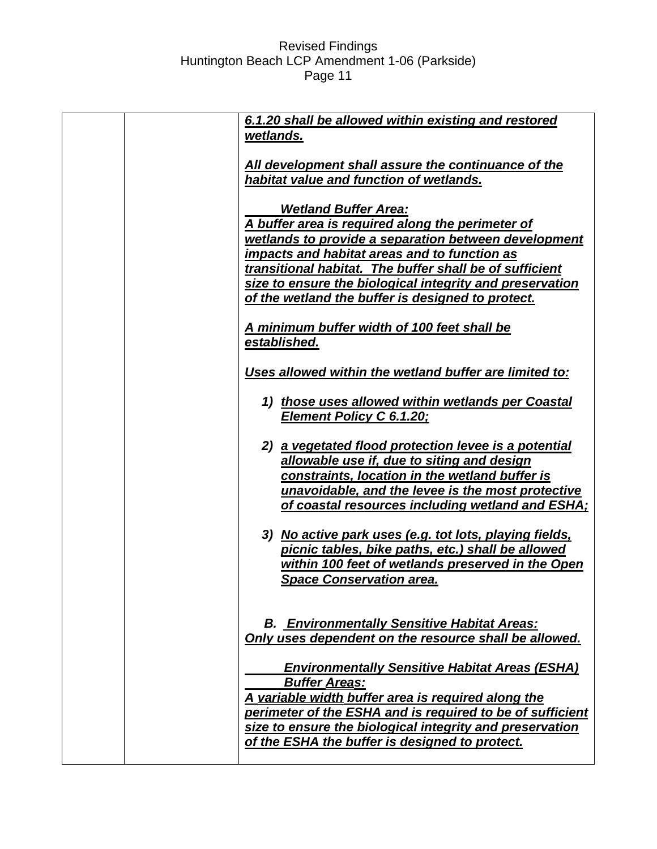|  | 6.1.20 shall be allowed within existing and restored      |
|--|-----------------------------------------------------------|
|  | wetlands.                                                 |
|  |                                                           |
|  | All development shall assure the continuance of the       |
|  | habitat value and function of wetlands.                   |
|  |                                                           |
|  | <b>Wetland Buffer Area:</b>                               |
|  | A buffer area is required along the perimeter of          |
|  | wetlands to provide a separation between development      |
|  | impacts and habitat areas and to function as              |
|  | transitional habitat. The buffer shall be of sufficient   |
|  | size to ensure the biological integrity and preservation  |
|  | of the wetland the buffer is designed to protect.         |
|  |                                                           |
|  | A minimum buffer width of 100 feet shall be               |
|  | established.                                              |
|  |                                                           |
|  | Uses allowed within the wetland buffer are limited to:    |
|  |                                                           |
|  | 1) those uses allowed within wetlands per Coastal         |
|  | <b>Element Policy C 6.1.20;</b>                           |
|  |                                                           |
|  | 2) a vegetated flood protection levee is a potential      |
|  | allowable use if, due to siting and design                |
|  | constraints, location in the wetland buffer is            |
|  | unavoidable, and the levee is the most protective         |
|  | of coastal resources including wetland and ESHA;          |
|  |                                                           |
|  | 3) No active park uses (e.g. tot lots, playing fields,    |
|  | picnic tables, bike paths, etc.) shall be allowed         |
|  | within 100 feet of wetlands preserved in the Open         |
|  | <b>Space Conservation area.</b>                           |
|  |                                                           |
|  |                                                           |
|  | <b>B. Environmentally Sensitive Habitat Areas:</b>        |
|  | Only uses dependent on the resource shall be allowed.     |
|  |                                                           |
|  | <b>Environmentally Sensitive Habitat Areas (ESHA)</b>     |
|  | <b>Buffer Areas:</b>                                      |
|  | A variable width buffer area is required along the        |
|  | perimeter of the ESHA and is required to be of sufficient |
|  |                                                           |
|  | size to ensure the biological integrity and preservation  |
|  | of the ESHA the buffer is designed to protect.            |
|  |                                                           |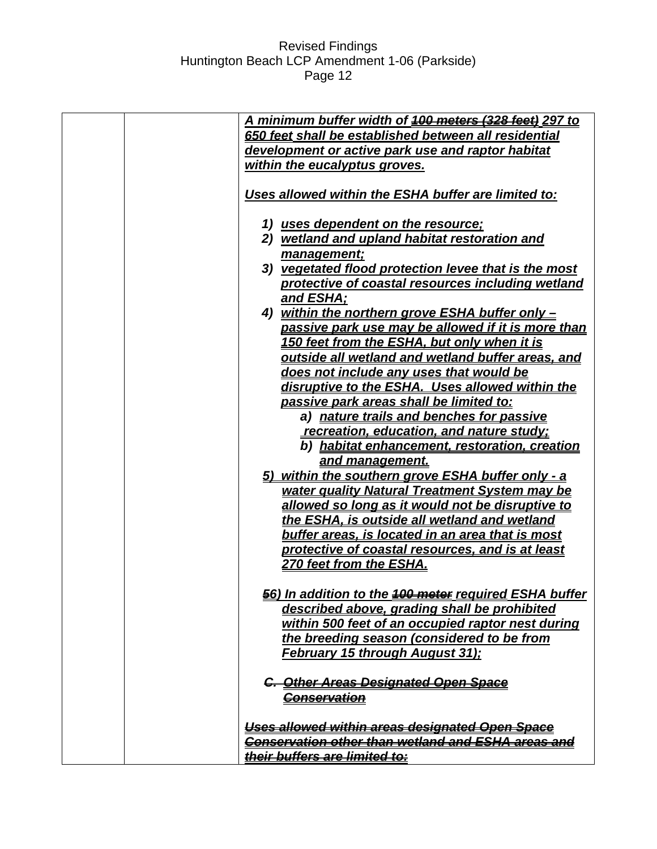| A minimum buffer width of 400 motors (328 foot) 297 to       |
|--------------------------------------------------------------|
| 650 feet shall be established between all residential        |
| development or active park use and raptor habitat            |
| within the eucalyptus groves.                                |
|                                                              |
| Uses allowed within the ESHA buffer are limited to:          |
|                                                              |
| 1) uses dependent on the resource;                           |
| 2) wetland and upland habitat restoration and                |
| management;                                                  |
| 3) vegetated flood protection levee that is the most         |
| protective of coastal resources including wetland            |
| and ESHA;                                                    |
| 4) within the northern grove ESHA buffer only -              |
| passive park use may be allowed if it is more than           |
| <u>150 feet from the ESHA, but only when it is</u>           |
| outside all wetland and wetland buffer areas, and            |
| does not include any uses that would be                      |
| disruptive to the ESHA. Uses allowed within the              |
| passive park areas shall be limited to:                      |
| a) nature trails and benches for passive                     |
| recreation, education, and nature study;                     |
| b) habitat enhancement, restoration, creation                |
| and management.                                              |
| 5) within the southern grove ESHA buffer only - a            |
| water quality Natural Treatment System may be                |
| allowed so long as it would not be disruptive to             |
| the ESHA, is outside all wetland and wetland                 |
| <u>buffer areas, is located in an area that is most</u>      |
| protective of coastal resources, and is at least             |
| 270 feet from the ESHA.                                      |
|                                                              |
| 56) In addition to the <b>100 meter</b> required ESHA buffer |
| described above, grading shall be prohibited                 |
| within 500 feet of an occupied raptor nest during            |
| the breeding season (considered to be from                   |
| February 15 through August 31);                              |
| C. Other Areas Designated Open Space                         |
| <b>Conservation</b>                                          |
|                                                              |
| <u>Uses allowed within areas designated Open Space</u>       |
| Conservation other than wetland and ESHA areas and           |
| their buffers are limited to:                                |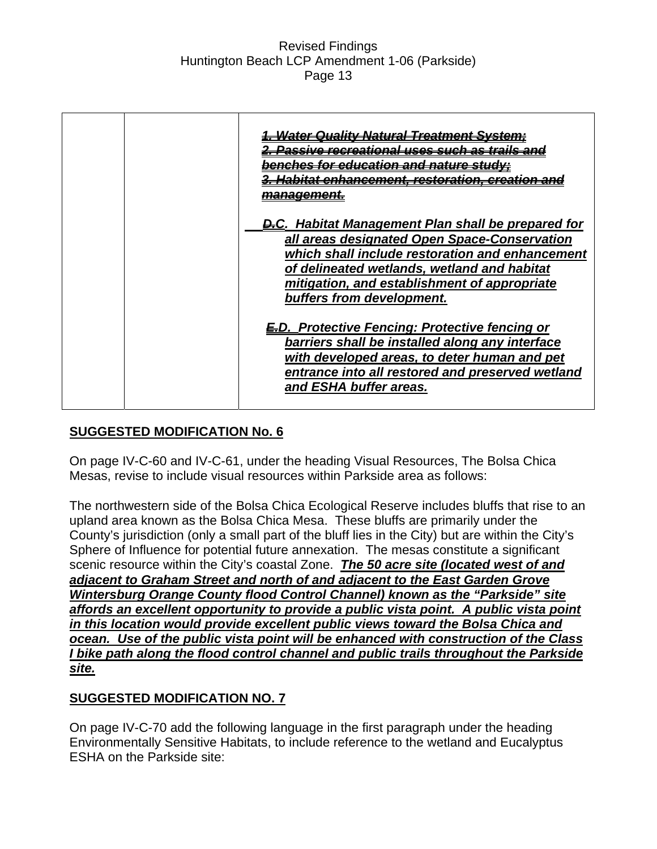| <u>far aducstian sna</u>                                                                                                                                                                                                                                                                 |
|------------------------------------------------------------------------------------------------------------------------------------------------------------------------------------------------------------------------------------------------------------------------------------------|
| <b>D.C.</b> Habitat Management Plan shall be prepared for<br>all areas designated Open Space-Conservation<br>which shall include restoration and enhancement<br>of delineated wetlands, wetland and habitat<br>mitigation, and establishment of appropriate<br>buffers from development. |
| <b>ED.</b> Protective Fencing: Protective fencing or<br>barriers shall be installed along any interface<br>with developed areas, to deter human and pet<br>entrance into all restored and preserved wetland<br>and ESHA buffer areas.                                                    |

### **SUGGESTED MODIFICATION No. 6**

On page IV-C-60 and IV-C-61, under the heading Visual Resources, The Bolsa Chica Mesas, revise to include visual resources within Parkside area as follows:

The northwestern side of the Bolsa Chica Ecological Reserve includes bluffs that rise to an upland area known as the Bolsa Chica Mesa. These bluffs are primarily under the County's jurisdiction (only a small part of the bluff lies in the City) but are within the City's Sphere of Influence for potential future annexation. The mesas constitute a significant scenic resource within the City's coastal Zone. *The 50 acre site (located west of and adjacent to Graham Street and north of and adjacent to the East Garden Grove Wintersburg Orange County flood Control Channel) known as the "Parkside" site affords an excellent opportunity to provide a public vista point. A public vista point in this location would provide excellent public views toward the Bolsa Chica and ocean. Use of the public vista point will be enhanced with construction of the Class I bike path along the flood control channel and public trails throughout the Parkside site.*

### **SUGGESTED MODIFICATION NO. 7**

On page IV-C-70 add the following language in the first paragraph under the heading Environmentally Sensitive Habitats, to include reference to the wetland and Eucalyptus ESHA on the Parkside site: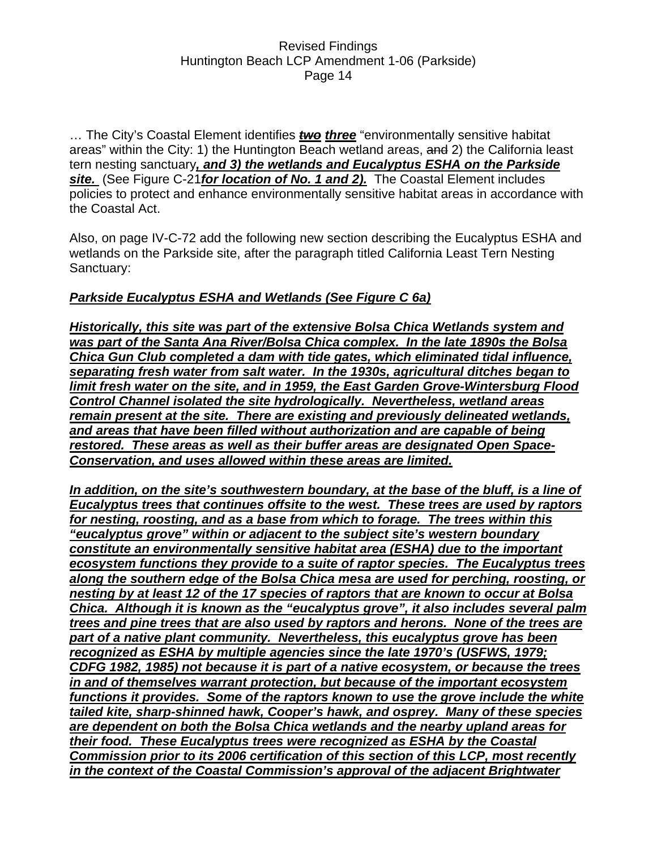... The City's Coastal Element identifies *two three* "environmentally sensitive habitat areas" within the City: 1) the Huntington Beach wetland areas, and 2) the California least tern nesting sanctuary*, and 3) the wetlands and Eucalyptus ESHA on the Parkside site.* (See Figure C-21*for location of No. 1 and 2).* The Coastal Element includes policies to protect and enhance environmentally sensitive habitat areas in accordance with the Coastal Act.

Also, on page IV-C-72 add the following new section describing the Eucalyptus ESHA and wetlands on the Parkside site, after the paragraph titled California Least Tern Nesting Sanctuary:

### *Parkside Eucalyptus ESHA and Wetlands (See Figure C 6a)*

*Historically, this site was part of the extensive Bolsa Chica Wetlands system and was part of the Santa Ana River/Bolsa Chica complex. In the late 1890s the Bolsa Chica Gun Club completed a dam with tide gates, which eliminated tidal influence, separating fresh water from salt water. In the 1930s, agricultural ditches began to limit fresh water on the site, and in 1959, the East Garden Grove-Wintersburg Flood Control Channel isolated the site hydrologically. Nevertheless, wetland areas remain present at the site. There are existing and previously delineated wetlands, and areas that have been filled without authorization and are capable of being restored. These areas as well as their buffer areas are designated Open Space-Conservation, and uses allowed within these areas are limited.*

*In addition, on the site's southwestern boundary, at the base of the bluff, is a line of Eucalyptus trees that continues offsite to the west. These trees are used by raptors for nesting, roosting, and as a base from which to forage. The trees within this "eucalyptus grove" within or adjacent to the subject site's western boundary constitute an environmentally sensitive habitat area (ESHA) due to the important ecosystem functions they provide to a suite of raptor species. The Eucalyptus trees along the southern edge of the Bolsa Chica mesa are used for perching, roosting, or nesting by at least 12 of the 17 species of raptors that are known to occur at Bolsa Chica. Although it is known as the "eucalyptus grove", it also includes several palm trees and pine trees that are also used by raptors and herons. None of the trees are part of a native plant community. Nevertheless, this eucalyptus grove has been recognized as ESHA by multiple agencies since the late 1970's (USFWS, 1979; CDFG 1982, 1985) not because it is part of a native ecosystem, or because the trees in and of themselves warrant protection, but because of the important ecosystem functions it provides. Some of the raptors known to use the grove include the white tailed kite, sharp-shinned hawk, Cooper's hawk, and osprey. Many of these species are dependent on both the Bolsa Chica wetlands and the nearby upland areas for their food. These Eucalyptus trees were recognized as ESHA by the Coastal Commission prior to its 2006 certification of this section of this LCP, most recently in the context of the Coastal Commission's approval of the adjacent Brightwater*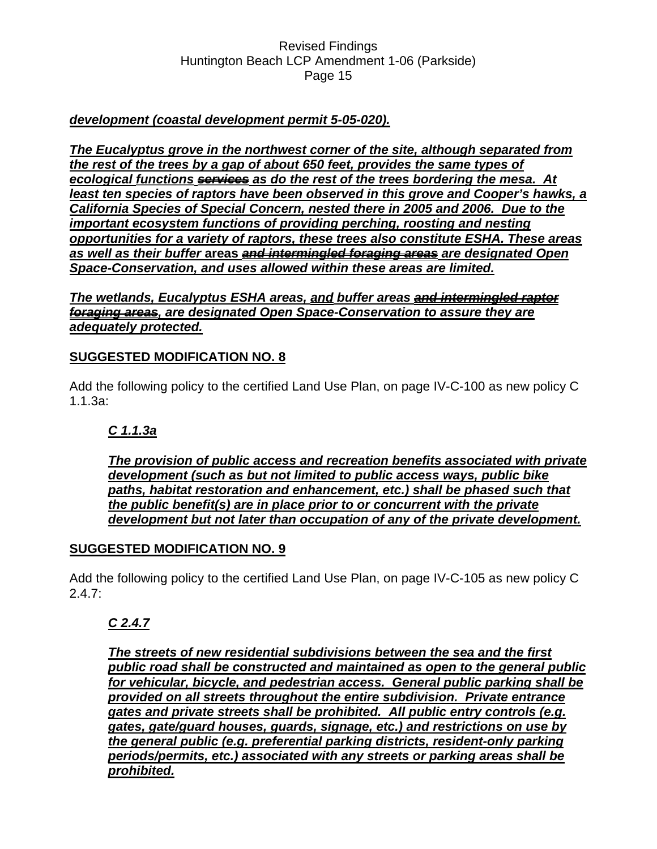### *development (coastal development permit 5-05-020).*

*The Eucalyptus grove in the northwest corner of the site, although separated from the rest of the trees by a gap of about 650 feet, provides the same types of ecological functions services as do the rest of the trees bordering the mesa. At*  least ten species of raptors have been observed in this grove and Cooper's hawks, a *California Species of Special Concern, nested there in 2005 and 2006. Due to the important ecosystem functions of providing perching, roosting and nesting opportunities for a variety of raptors, these trees also constitute ESHA. These areas as well as their buffer* **areas** *and intermingled foraging areas are designated Open Space-Conservation, and uses allowed within these areas are limited.*

*The wetlands, Eucalyptus ESHA areas, and buffer areas and intermingled raptor foraging areas, are designated Open Space-Conservation to assure they are adequately protected.*

### **SUGGESTED MODIFICATION NO. 8**

Add the following policy to the certified Land Use Plan, on page IV-C-100 as new policy C 1.1.3a:

# *C 1.1.3a*

*The provision of public access and recreation benefits associated with private development (such as but not limited to public access ways, public bike paths, habitat restoration and enhancement, etc.) shall be phased such that the public benefit(s) are in place prior to or concurrent with the private development but not later than occupation of any of the private development.*

### **SUGGESTED MODIFICATION NO. 9**

Add the following policy to the certified Land Use Plan, on page IV-C-105 as new policy C 2.4.7:

### *C 2.4.7*

*The streets of new residential subdivisions between the sea and the first public road shall be constructed and maintained as open to the general public for vehicular, bicycle, and pedestrian access. General public parking shall be provided on all streets throughout the entire subdivision. Private entrance gates and private streets shall be prohibited. All public entry controls (e.g. gates, gate/guard houses, guards, signage, etc.) and restrictions on use by the general public (e.g. preferential parking districts, resident-only parking periods/permits, etc.) associated with any streets or parking areas shall be prohibited.*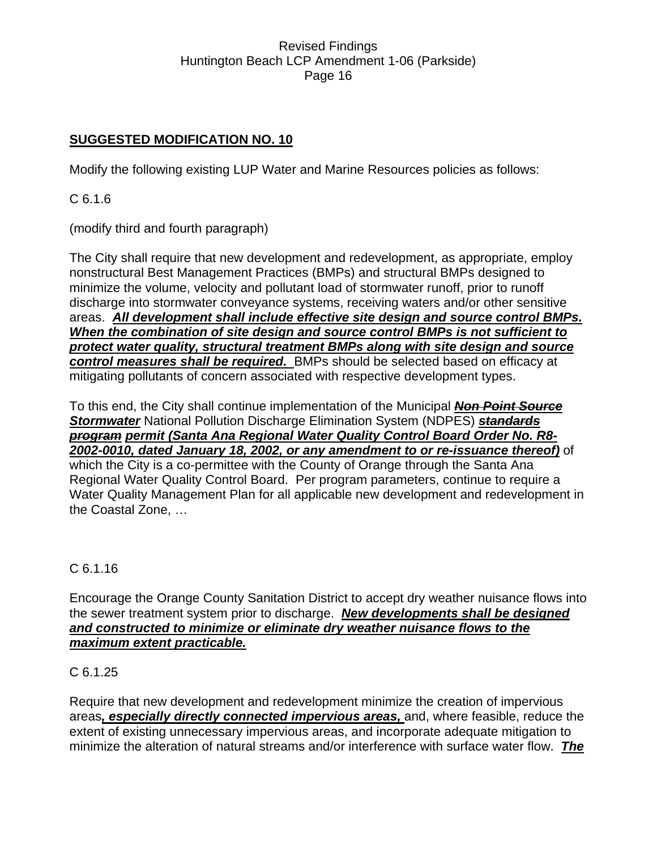### **SUGGESTED MODIFICATION NO. 10**

Modify the following existing LUP Water and Marine Resources policies as follows:

C 6.1.6

(modify third and fourth paragraph)

The City shall require that new development and redevelopment, as appropriate, employ nonstructural Best Management Practices (BMPs) and structural BMPs designed to minimize the volume, velocity and pollutant load of stormwater runoff, prior to runoff discharge into stormwater conveyance systems, receiving waters and/or other sensitive areas. *All development shall include effective site design and source control BMPs. When the combination of site design and source control BMPs is not sufficient to protect water quality, structural treatment BMPs along with site design and source control measures shall be required.* BMPs should be selected based on efficacy at mitigating pollutants of concern associated with respective development types.

To this end, the City shall continue implementation of the Municipal *Non Point Source Stormwater* National Pollution Discharge Elimination System (NDPES) *standards program permit (Santa Ana Regional Water Quality Control Board Order No. R8- 2002-0010, dated January 18, 2002, or any amendment to or re-issuance thereof)* of which the City is a co-permittee with the County of Orange through the Santa Ana Regional Water Quality Control Board. Per program parameters, continue to require a Water Quality Management Plan for all applicable new development and redevelopment in the Coastal Zone, …

### C 6.1.16

Encourage the Orange County Sanitation District to accept dry weather nuisance flows into the sewer treatment system prior to discharge. *New developments shall be designed and constructed to minimize or eliminate dry weather nuisance flows to the maximum extent practicable.*

### C 6.1.25

Require that new development and redevelopment minimize the creation of impervious areas*, especially directly connected impervious areas,* and, where feasible, reduce the extent of existing unnecessary impervious areas, and incorporate adequate mitigation to minimize the alteration of natural streams and/or interference with surface water flow. *The*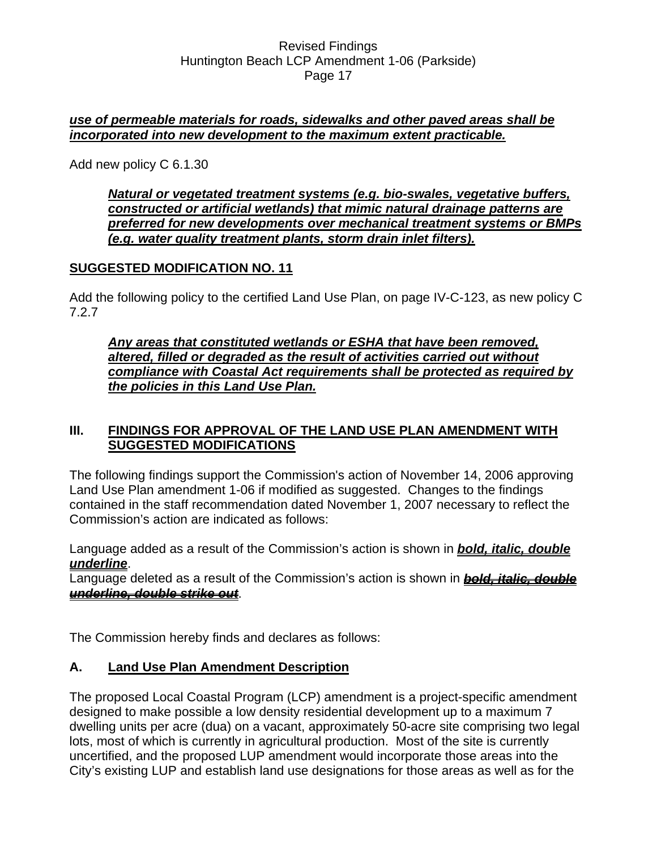### *use of permeable materials for roads, sidewalks and other paved areas shall be incorporated into new development to the maximum extent practicable.*

Add new policy C 6.1.30

*Natural or vegetated treatment systems (e.g. bio-swales, vegetative buffers, constructed or artificial wetlands) that mimic natural drainage patterns are preferred for new developments over mechanical treatment systems or BMPs (e.g. water quality treatment plants, storm drain inlet filters).*

### **SUGGESTED MODIFICATION NO. 11**

Add the following policy to the certified Land Use Plan, on page IV-C-123, as new policy C 7.2.7

*Any areas that constituted wetlands or ESHA that have been removed, altered, filled or degraded as the result of activities carried out without compliance with Coastal Act requirements shall be protected as required by the policies in this Land Use Plan.* 

### **III. FINDINGS FOR APPROVAL OF THE LAND USE PLAN AMENDMENT WITH SUGGESTED MODIFICATIONS**

The following findings support the Commission's action of November 14, 2006 approving Land Use Plan amendment 1-06 if modified as suggested. Changes to the findings contained in the staff recommendation dated November 1, 2007 necessary to reflect the Commission's action are indicated as follows:

Language added as a result of the Commission's action is shown in *bold, italic, double underline*.

Language deleted as a result of the Commission's action is shown in *bold, italic, double underline, double strike out*.

The Commission hereby finds and declares as follows:

### **A. Land Use Plan Amendment Description**

The proposed Local Coastal Program (LCP) amendment is a project-specific amendment designed to make possible a low density residential development up to a maximum 7 dwelling units per acre (dua) on a vacant, approximately 50-acre site comprising two legal lots, most of which is currently in agricultural production. Most of the site is currently uncertified, and the proposed LUP amendment would incorporate those areas into the City's existing LUP and establish land use designations for those areas as well as for the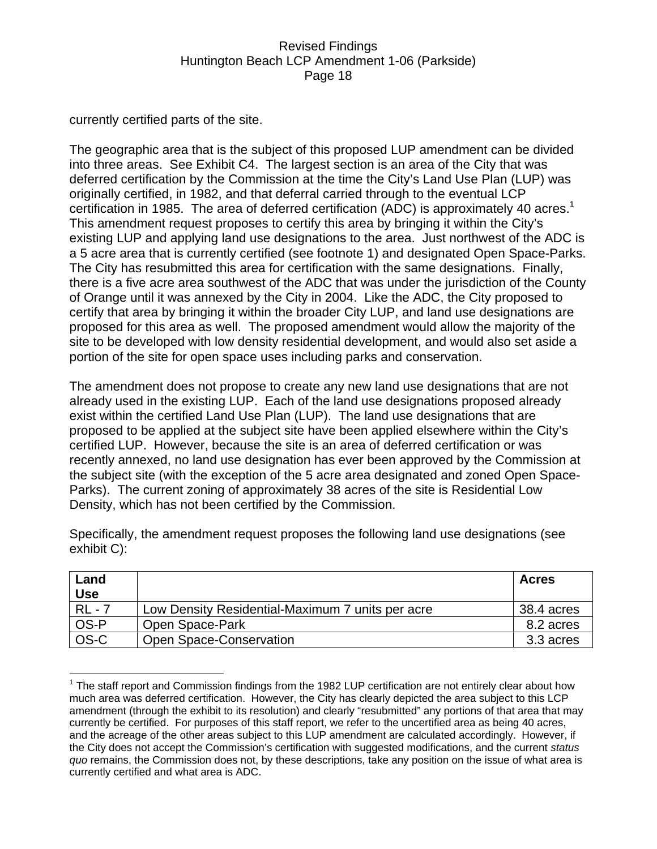currently certified parts of the site.

The geographic area that is the subject of this proposed LUP amendment can be divided into three areas. See Exhibit C4. The largest section is an area of the City that was deferred certification by the Commission at the time the City's Land Use Plan (LUP) was originally certified, in 1982, and that deferral carried through to the eventual LCP certification in 1985. The area of deferred certification (ADC) is approximately 40 acres.<sup>1</sup> This amendment request proposes to certify this area by bringing it within the City's existing LUP and applying land use designations to the area. Just northwest of the ADC is a 5 acre area that is currently certified (see footnote 1) and designated Open Space-Parks. The City has resubmitted this area for certification with the same designations. Finally, there is a five acre area southwest of the ADC that was under the jurisdiction of the County of Orange until it was annexed by the City in 2004. Like the ADC, the City proposed to certify that area by bringing it within the broader City LUP, and land use designations are proposed for this area as well. The proposed amendment would allow the majority of the site to be developed with low density residential development, and would also set aside a portion of the site for open space uses including parks and conservation.

The amendment does not propose to create any new land use designations that are not already used in the existing LUP. Each of the land use designations proposed already exist within the certified Land Use Plan (LUP). The land use designations that are proposed to be applied at the subject site have been applied elsewhere within the City's certified LUP. However, because the site is an area of deferred certification or was recently annexed, no land use designation has ever been approved by the Commission at the subject site (with the exception of the 5 acre area designated and zoned Open Space-Parks). The current zoning of approximately 38 acres of the site is Residential Low Density, which has not been certified by the Commission.

| Land<br>Use |                                                  | <b>Acres</b> |
|-------------|--------------------------------------------------|--------------|
| $RL - 7$    | Low Density Residential-Maximum 7 units per acre | 38.4 acres   |
| OS-P        | Open Space-Park                                  | 8.2 acres    |
| OS-C        | Open Space-Conservation                          | 3.3 acres    |

Specifically, the amendment request proposes the following land use designations (see exhibit C):

 $\overline{a}$  $1$  The staff report and Commission findings from the 1982 LUP certification are not entirely clear about how much area was deferred certification. However, the City has clearly depicted the area subject to this LCP amendment (through the exhibit to its resolution) and clearly "resubmitted" any portions of that area that may currently be certified. For purposes of this staff report, we refer to the uncertified area as being 40 acres, and the acreage of the other areas subject to this LUP amendment are calculated accordingly. However, if the City does not accept the Commission's certification with suggested modifications, and the current *status quo* remains, the Commission does not, by these descriptions, take any position on the issue of what area is currently certified and what area is ADC.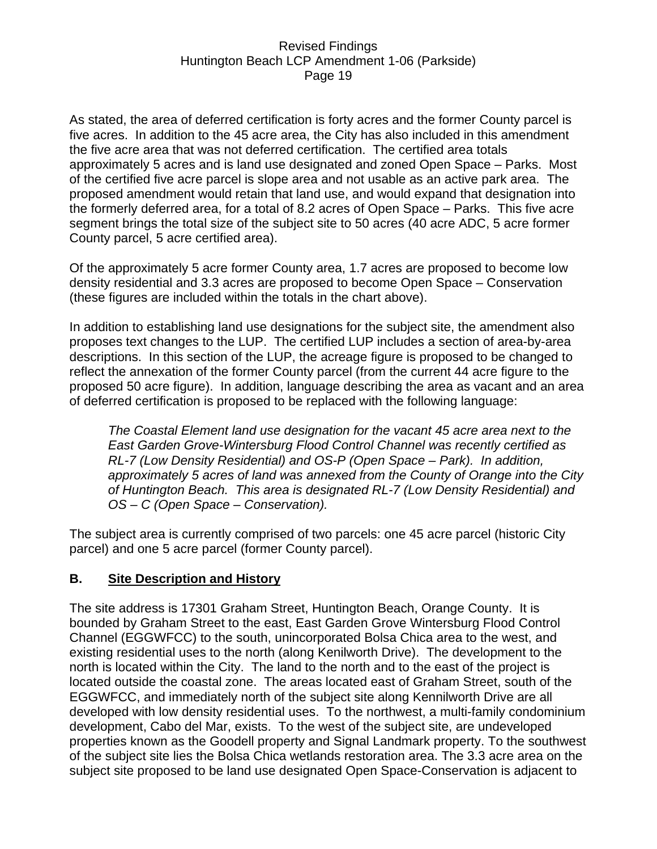As stated, the area of deferred certification is forty acres and the former County parcel is five acres. In addition to the 45 acre area, the City has also included in this amendment the five acre area that was not deferred certification. The certified area totals approximately 5 acres and is land use designated and zoned Open Space – Parks. Most of the certified five acre parcel is slope area and not usable as an active park area. The proposed amendment would retain that land use, and would expand that designation into the formerly deferred area, for a total of 8.2 acres of Open Space – Parks. This five acre segment brings the total size of the subject site to 50 acres (40 acre ADC, 5 acre former County parcel, 5 acre certified area).

Of the approximately 5 acre former County area, 1.7 acres are proposed to become low density residential and 3.3 acres are proposed to become Open Space – Conservation (these figures are included within the totals in the chart above).

In addition to establishing land use designations for the subject site, the amendment also proposes text changes to the LUP. The certified LUP includes a section of area-by-area descriptions. In this section of the LUP, the acreage figure is proposed to be changed to reflect the annexation of the former County parcel (from the current 44 acre figure to the proposed 50 acre figure). In addition, language describing the area as vacant and an area of deferred certification is proposed to be replaced with the following language:

*The Coastal Element land use designation for the vacant 45 acre area next to the East Garden Grove-Wintersburg Flood Control Channel was recently certified as RL-7 (Low Density Residential) and OS-P (Open Space – Park). In addition, approximately 5 acres of land was annexed from the County of Orange into the City of Huntington Beach. This area is designated RL-7 (Low Density Residential) and OS – C (Open Space – Conservation).* 

The subject area is currently comprised of two parcels: one 45 acre parcel (historic City parcel) and one 5 acre parcel (former County parcel).

### **B. Site Description and History**

The site address is 17301 Graham Street, Huntington Beach, Orange County. It is bounded by Graham Street to the east, East Garden Grove Wintersburg Flood Control Channel (EGGWFCC) to the south, unincorporated Bolsa Chica area to the west, and existing residential uses to the north (along Kenilworth Drive). The development to the north is located within the City. The land to the north and to the east of the project is located outside the coastal zone. The areas located east of Graham Street, south of the EGGWFCC, and immediately north of the subject site along Kennilworth Drive are all developed with low density residential uses. To the northwest, a multi-family condominium development, Cabo del Mar, exists. To the west of the subject site, are undeveloped properties known as the Goodell property and Signal Landmark property. To the southwest of the subject site lies the Bolsa Chica wetlands restoration area. The 3.3 acre area on the subject site proposed to be land use designated Open Space-Conservation is adjacent to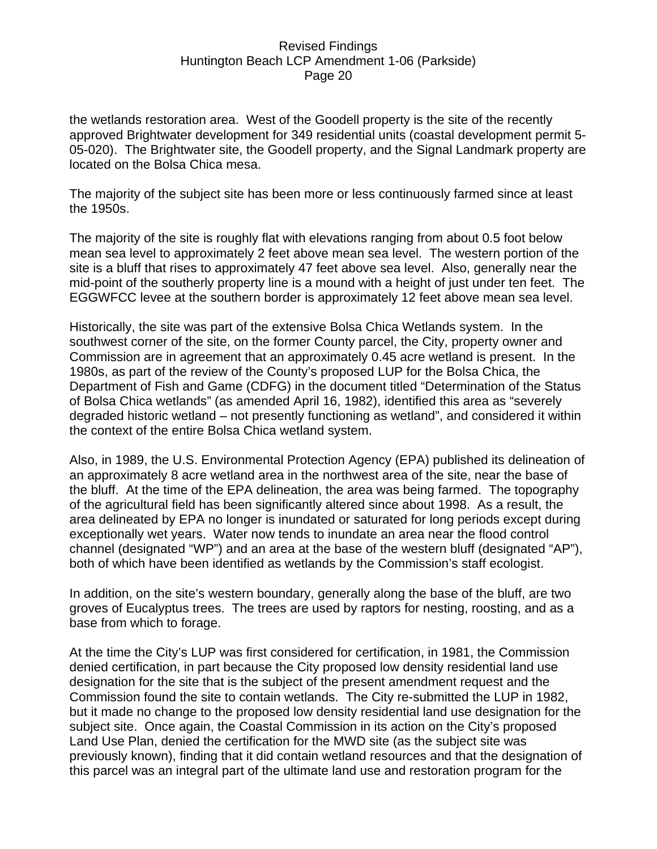the wetlands restoration area. West of the Goodell property is the site of the recently approved Brightwater development for 349 residential units (coastal development permit 5- 05-020). The Brightwater site, the Goodell property, and the Signal Landmark property are located on the Bolsa Chica mesa.

The majority of the subject site has been more or less continuously farmed since at least the 1950s.

The majority of the site is roughly flat with elevations ranging from about 0.5 foot below mean sea level to approximately 2 feet above mean sea level. The western portion of the site is a bluff that rises to approximately 47 feet above sea level. Also, generally near the mid-point of the southerly property line is a mound with a height of just under ten feet. The EGGWFCC levee at the southern border is approximately 12 feet above mean sea level.

Historically, the site was part of the extensive Bolsa Chica Wetlands system. In the southwest corner of the site, on the former County parcel, the City, property owner and Commission are in agreement that an approximately 0.45 acre wetland is present. In the 1980s, as part of the review of the County's proposed LUP for the Bolsa Chica, the Department of Fish and Game (CDFG) in the document titled "Determination of the Status of Bolsa Chica wetlands" (as amended April 16, 1982), identified this area as "severely degraded historic wetland – not presently functioning as wetland", and considered it within the context of the entire Bolsa Chica wetland system.

Also, in 1989, the U.S. Environmental Protection Agency (EPA) published its delineation of an approximately 8 acre wetland area in the northwest area of the site, near the base of the bluff. At the time of the EPA delineation, the area was being farmed. The topography of the agricultural field has been significantly altered since about 1998. As a result, the area delineated by EPA no longer is inundated or saturated for long periods except during exceptionally wet years. Water now tends to inundate an area near the flood control channel (designated "WP") and an area at the base of the western bluff (designated "AP"), both of which have been identified as wetlands by the Commission's staff ecologist.

In addition, on the site's western boundary, generally along the base of the bluff, are two groves of Eucalyptus trees. The trees are used by raptors for nesting, roosting, and as a base from which to forage.

At the time the City's LUP was first considered for certification, in 1981, the Commission denied certification, in part because the City proposed low density residential land use designation for the site that is the subject of the present amendment request and the Commission found the site to contain wetlands. The City re-submitted the LUP in 1982, but it made no change to the proposed low density residential land use designation for the subject site. Once again, the Coastal Commission in its action on the City's proposed Land Use Plan, denied the certification for the MWD site (as the subject site was previously known), finding that it did contain wetland resources and that the designation of this parcel was an integral part of the ultimate land use and restoration program for the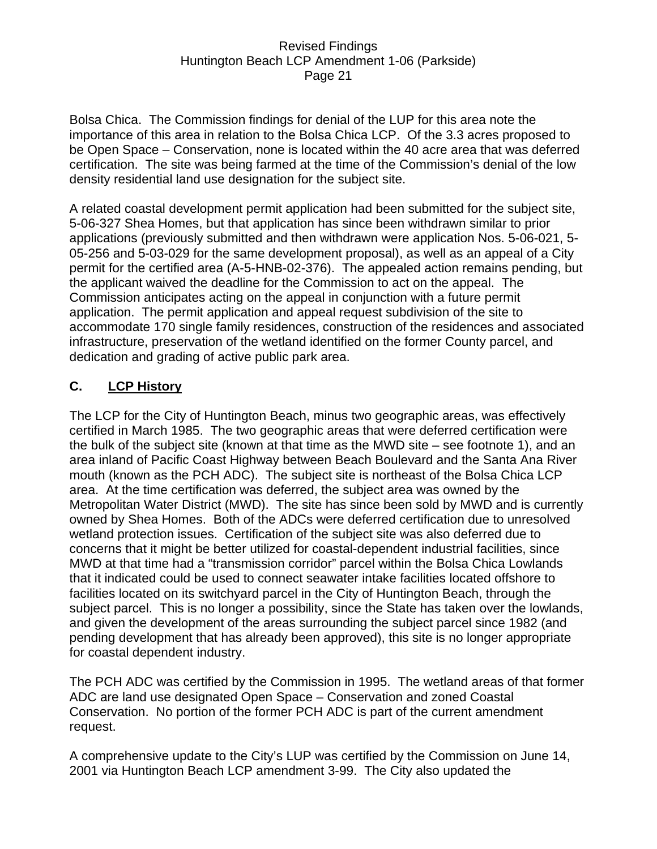Bolsa Chica. The Commission findings for denial of the LUP for this area note the importance of this area in relation to the Bolsa Chica LCP. Of the 3.3 acres proposed to be Open Space – Conservation, none is located within the 40 acre area that was deferred certification. The site was being farmed at the time of the Commission's denial of the low density residential land use designation for the subject site.

A related coastal development permit application had been submitted for the subject site, 5-06-327 Shea Homes, but that application has since been withdrawn similar to prior applications (previously submitted and then withdrawn were application Nos. 5-06-021, 5- 05-256 and 5-03-029 for the same development proposal), as well as an appeal of a City permit for the certified area (A-5-HNB-02-376). The appealed action remains pending, but the applicant waived the deadline for the Commission to act on the appeal. The Commission anticipates acting on the appeal in conjunction with a future permit application. The permit application and appeal request subdivision of the site to accommodate 170 single family residences, construction of the residences and associated infrastructure, preservation of the wetland identified on the former County parcel, and dedication and grading of active public park area.

# **C. LCP History**

The LCP for the City of Huntington Beach, minus two geographic areas, was effectively certified in March 1985. The two geographic areas that were deferred certification were the bulk of the subject site (known at that time as the MWD site – see footnote 1), and an area inland of Pacific Coast Highway between Beach Boulevard and the Santa Ana River mouth (known as the PCH ADC). The subject site is northeast of the Bolsa Chica LCP area. At the time certification was deferred, the subject area was owned by the Metropolitan Water District (MWD). The site has since been sold by MWD and is currently owned by Shea Homes. Both of the ADCs were deferred certification due to unresolved wetland protection issues. Certification of the subject site was also deferred due to concerns that it might be better utilized for coastal-dependent industrial facilities, since MWD at that time had a "transmission corridor" parcel within the Bolsa Chica Lowlands that it indicated could be used to connect seawater intake facilities located offshore to facilities located on its switchyard parcel in the City of Huntington Beach, through the subject parcel. This is no longer a possibility, since the State has taken over the lowlands, and given the development of the areas surrounding the subject parcel since 1982 (and pending development that has already been approved), this site is no longer appropriate for coastal dependent industry.

The PCH ADC was certified by the Commission in 1995. The wetland areas of that former ADC are land use designated Open Space – Conservation and zoned Coastal Conservation. No portion of the former PCH ADC is part of the current amendment request.

A comprehensive update to the City's LUP was certified by the Commission on June 14, 2001 via Huntington Beach LCP amendment 3-99. The City also updated the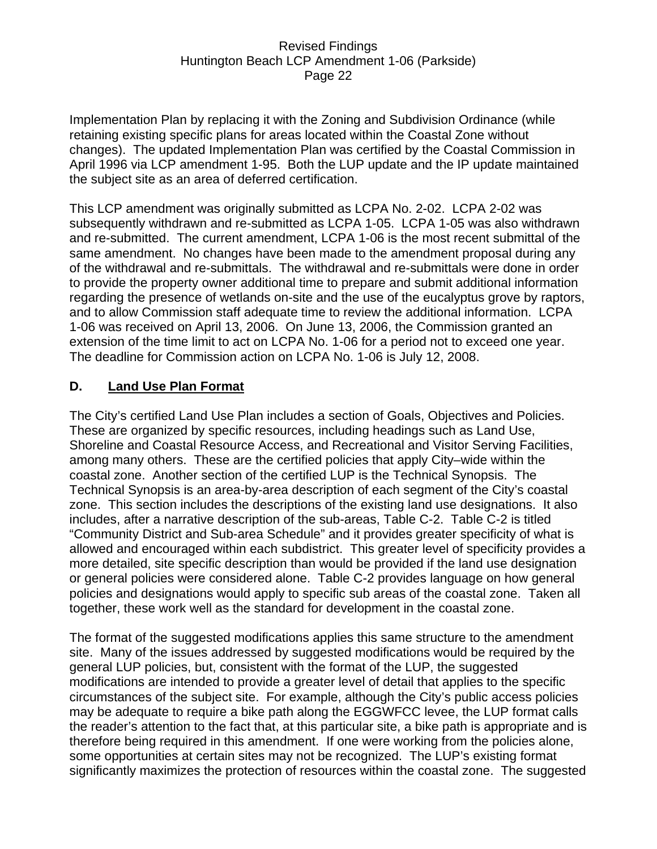Implementation Plan by replacing it with the Zoning and Subdivision Ordinance (while retaining existing specific plans for areas located within the Coastal Zone without changes). The updated Implementation Plan was certified by the Coastal Commission in April 1996 via LCP amendment 1-95. Both the LUP update and the IP update maintained the subject site as an area of deferred certification.

This LCP amendment was originally submitted as LCPA No. 2-02. LCPA 2-02 was subsequently withdrawn and re-submitted as LCPA 1-05. LCPA 1-05 was also withdrawn and re-submitted. The current amendment, LCPA 1-06 is the most recent submittal of the same amendment. No changes have been made to the amendment proposal during any of the withdrawal and re-submittals. The withdrawal and re-submittals were done in order to provide the property owner additional time to prepare and submit additional information regarding the presence of wetlands on-site and the use of the eucalyptus grove by raptors, and to allow Commission staff adequate time to review the additional information. LCPA 1-06 was received on April 13, 2006. On June 13, 2006, the Commission granted an extension of the time limit to act on LCPA No. 1-06 for a period not to exceed one year. The deadline for Commission action on LCPA No. 1-06 is July 12, 2008.

### **D. Land Use Plan Format**

The City's certified Land Use Plan includes a section of Goals, Objectives and Policies. These are organized by specific resources, including headings such as Land Use, Shoreline and Coastal Resource Access, and Recreational and Visitor Serving Facilities, among many others. These are the certified policies that apply City–wide within the coastal zone. Another section of the certified LUP is the Technical Synopsis. The Technical Synopsis is an area-by-area description of each segment of the City's coastal zone. This section includes the descriptions of the existing land use designations. It also includes, after a narrative description of the sub-areas, Table C-2. Table C-2 is titled "Community District and Sub-area Schedule" and it provides greater specificity of what is allowed and encouraged within each subdistrict. This greater level of specificity provides a more detailed, site specific description than would be provided if the land use designation or general policies were considered alone. Table C-2 provides language on how general policies and designations would apply to specific sub areas of the coastal zone. Taken all together, these work well as the standard for development in the coastal zone.

The format of the suggested modifications applies this same structure to the amendment site. Many of the issues addressed by suggested modifications would be required by the general LUP policies, but, consistent with the format of the LUP, the suggested modifications are intended to provide a greater level of detail that applies to the specific circumstances of the subject site. For example, although the City's public access policies may be adequate to require a bike path along the EGGWFCC levee, the LUP format calls the reader's attention to the fact that, at this particular site, a bike path is appropriate and is therefore being required in this amendment. If one were working from the policies alone, some opportunities at certain sites may not be recognized. The LUP's existing format significantly maximizes the protection of resources within the coastal zone. The suggested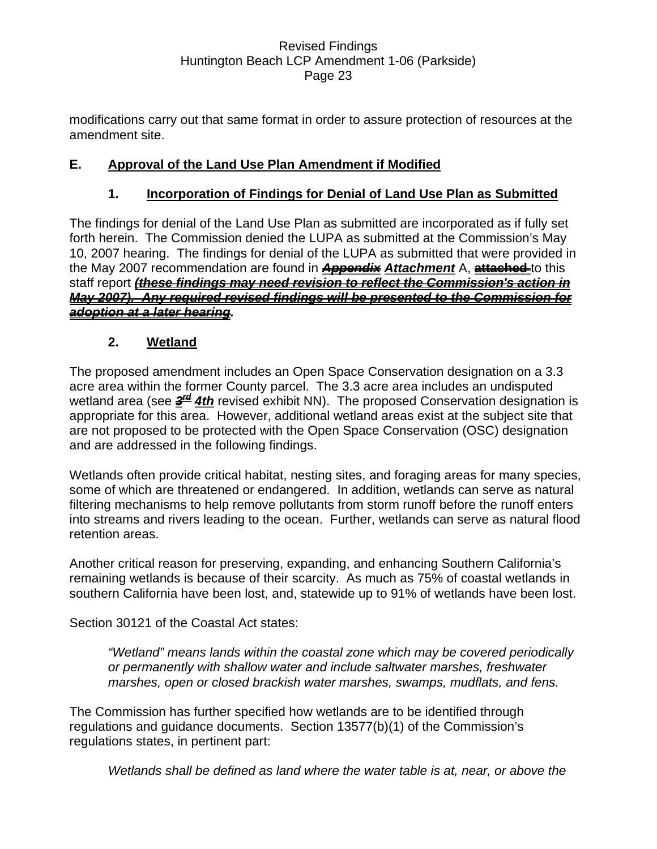modifications carry out that same format in order to assure protection of resources at the amendment site.

# **E. Approval of the Land Use Plan Amendment if Modified**

# **1. Incorporation of Findings for Denial of Land Use Plan as Submitted**

The findings for denial of the Land Use Plan as submitted are incorporated as if fully set forth herein. The Commission denied the LUPA as submitted at the Commission's May 10, 2007 hearing. The findings for denial of the LUPA as submitted that were provided in the May 2007 recommendation are found in *Appendix Attachment* A, **attached** to this staff report *(these findings may need revision to reflect the Commission's action in May 2007). Any required revised findings will be presented to the Commission for adoption at a later hearing.*

### **2. Wetland**

The proposed amendment includes an Open Space Conservation designation on a 3.3 acre area within the former County parcel. The 3.3 acre area includes an undisputed wetland area (see  $\frac{3}{4}$  *4th* revised exhibit NN). The proposed Conservation designation is appropriate for this area. However, additional wetland areas exist at the subject site that are not proposed to be protected with the Open Space Conservation (OSC) designation and are addressed in the following findings.

Wetlands often provide critical habitat, nesting sites, and foraging areas for many species, some of which are threatened or endangered. In addition, wetlands can serve as natural filtering mechanisms to help remove pollutants from storm runoff before the runoff enters into streams and rivers leading to the ocean. Further, wetlands can serve as natural flood retention areas.

Another critical reason for preserving, expanding, and enhancing Southern California's remaining wetlands is because of their scarcity. As much as 75% of coastal wetlands in southern California have been lost, and, statewide up to 91% of wetlands have been lost.

Section 30121 of the Coastal Act states:

*"Wetland" means lands within the coastal zone which may be covered periodically or permanently with shallow water and include saltwater marshes, freshwater marshes, open or closed brackish water marshes, swamps, mudflats, and fens.* 

The Commission has further specified how wetlands are to be identified through regulations and guidance documents. Section 13577(b)(1) of the Commission's regulations states, in pertinent part:

*Wetlands shall be defined as land where the water table is at, near, or above the*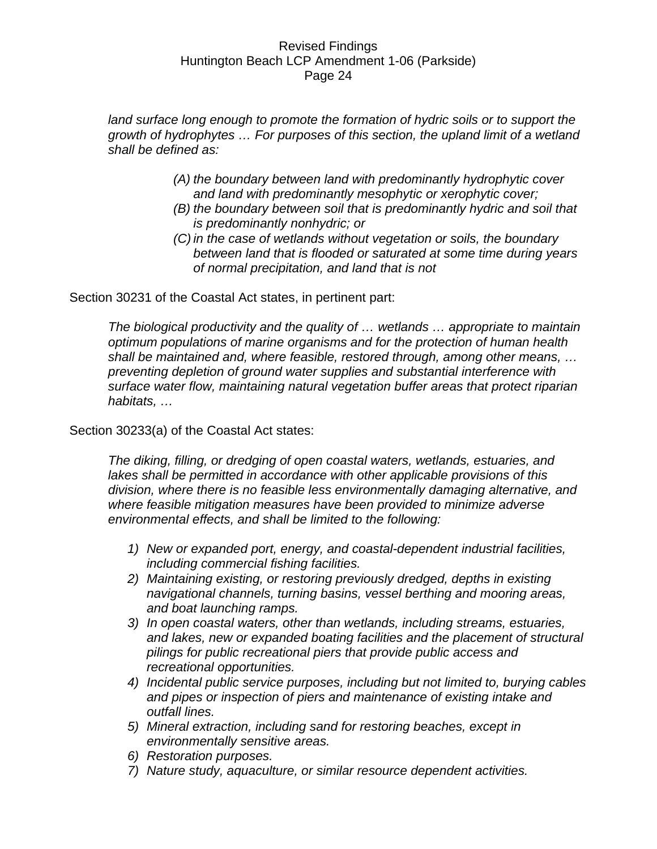land surface long enough to promote the formation of hydric soils or to support the *growth of hydrophytes … For purposes of this section, the upland limit of a wetland shall be defined as:* 

- *(A) the boundary between land with predominantly hydrophytic cover and land with predominantly mesophytic or xerophytic cover;*
- *(B) the boundary between soil that is predominantly hydric and soil that is predominantly nonhydric; or*
- *(C) in the case of wetlands without vegetation or soils, the boundary between land that is flooded or saturated at some time during years of normal precipitation, and land that is not*

Section 30231 of the Coastal Act states, in pertinent part:

*The biological productivity and the quality of … wetlands … appropriate to maintain optimum populations of marine organisms and for the protection of human health shall be maintained and, where feasible, restored through, among other means, … preventing depletion of ground water supplies and substantial interference with surface water flow, maintaining natural vegetation buffer areas that protect riparian habitats, …* 

#### Section 30233(a) of the Coastal Act states:

*The diking, filling, or dredging of open coastal waters, wetlands, estuaries, and lakes shall be permitted in accordance with other applicable provisions of this division, where there is no feasible less environmentally damaging alternative, and where feasible mitigation measures have been provided to minimize adverse environmental effects, and shall be limited to the following:* 

- *1) New or expanded port, energy, and coastal-dependent industrial facilities, including commercial fishing facilities.*
- *2) Maintaining existing, or restoring previously dredged, depths in existing navigational channels, turning basins, vessel berthing and mooring areas, and boat launching ramps.*
- *3) In open coastal waters, other than wetlands, including streams, estuaries, and lakes, new or expanded boating facilities and the placement of structural pilings for public recreational piers that provide public access and recreational opportunities.*
- *4) Incidental public service purposes, including but not limited to, burying cables and pipes or inspection of piers and maintenance of existing intake and outfall lines.*
- *5) Mineral extraction, including sand for restoring beaches, except in environmentally sensitive areas.*
- *6) Restoration purposes.*
- *7) Nature study, aquaculture, or similar resource dependent activities.*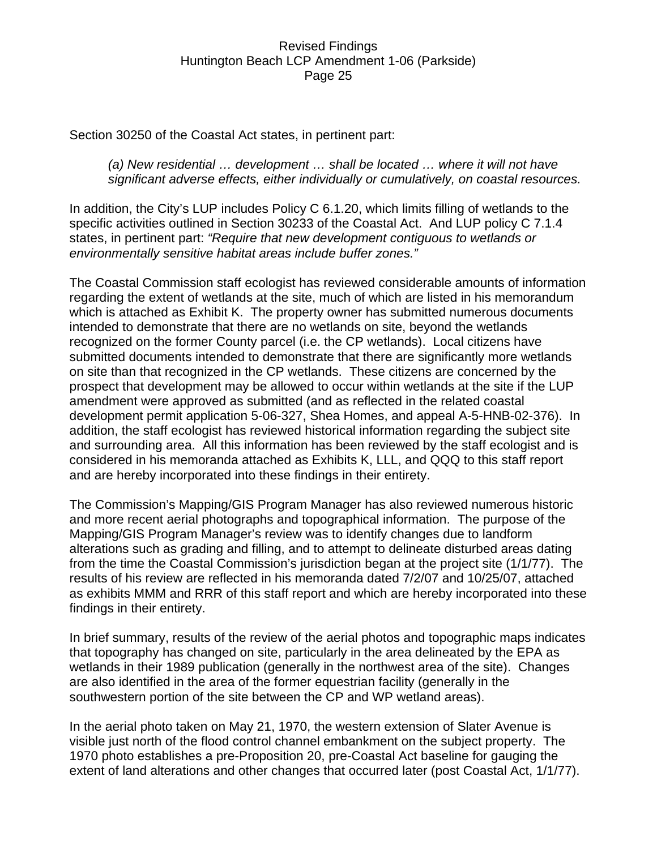Section 30250 of the Coastal Act states, in pertinent part:

#### *(a) New residential … development … shall be located … where it will not have significant adverse effects, either individually or cumulatively, on coastal resources.*

In addition, the City's LUP includes Policy C 6.1.20, which limits filling of wetlands to the specific activities outlined in Section 30233 of the Coastal Act. And LUP policy C 7.1.4 states, in pertinent part: *"Require that new development contiguous to wetlands or environmentally sensitive habitat areas include buffer zones."*

The Coastal Commission staff ecologist has reviewed considerable amounts of information regarding the extent of wetlands at the site, much of which are listed in his memorandum which is attached as Exhibit K. The property owner has submitted numerous documents intended to demonstrate that there are no wetlands on site, beyond the wetlands recognized on the former County parcel (i.e. the CP wetlands). Local citizens have submitted documents intended to demonstrate that there are significantly more wetlands on site than that recognized in the CP wetlands. These citizens are concerned by the prospect that development may be allowed to occur within wetlands at the site if the LUP amendment were approved as submitted (and as reflected in the related coastal development permit application 5-06-327, Shea Homes, and appeal A-5-HNB-02-376). In addition, the staff ecologist has reviewed historical information regarding the subject site and surrounding area. All this information has been reviewed by the staff ecologist and is considered in his memoranda attached as Exhibits K, LLL, and QQQ to this staff report and are hereby incorporated into these findings in their entirety.

The Commission's Mapping/GIS Program Manager has also reviewed numerous historic and more recent aerial photographs and topographical information. The purpose of the Mapping/GIS Program Manager's review was to identify changes due to landform alterations such as grading and filling, and to attempt to delineate disturbed areas dating from the time the Coastal Commission's jurisdiction began at the project site (1/1/77). The results of his review are reflected in his memoranda dated 7/2/07 and 10/25/07, attached as exhibits MMM and RRR of this staff report and which are hereby incorporated into these findings in their entirety.

In brief summary, results of the review of the aerial photos and topographic maps indicates that topography has changed on site, particularly in the area delineated by the EPA as wetlands in their 1989 publication (generally in the northwest area of the site). Changes are also identified in the area of the former equestrian facility (generally in the southwestern portion of the site between the CP and WP wetland areas).

In the aerial photo taken on May 21, 1970, the western extension of Slater Avenue is visible just north of the flood control channel embankment on the subject property. The 1970 photo establishes a pre-Proposition 20, pre-Coastal Act baseline for gauging the extent of land alterations and other changes that occurred later (post Coastal Act, 1/1/77).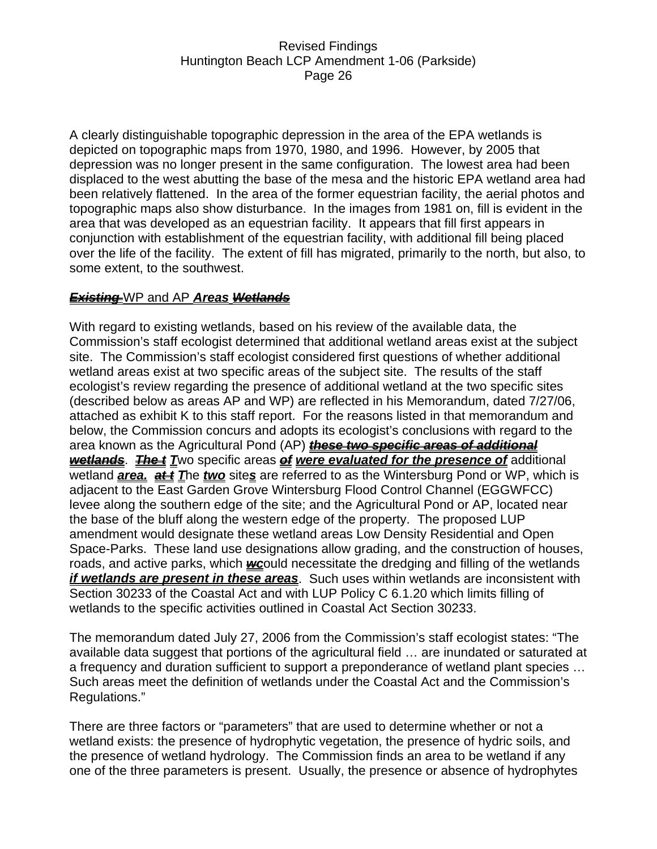A clearly distinguishable topographic depression in the area of the EPA wetlands is depicted on topographic maps from 1970, 1980, and 1996. However, by 2005 that depression was no longer present in the same configuration. The lowest area had been displaced to the west abutting the base of the mesa and the historic EPA wetland area had been relatively flattened. In the area of the former equestrian facility, the aerial photos and topographic maps also show disturbance. In the images from 1981 on, fill is evident in the area that was developed as an equestrian facility. It appears that fill first appears in conjunction with establishment of the equestrian facility, with additional fill being placed over the life of the facility. The extent of fill has migrated, primarily to the north, but also, to some extent, to the southwest.

### *Existing* WP and AP *Areas Wetlands*

With regard to existing wetlands, based on his review of the available data, the Commission's staff ecologist determined that additional wetland areas exist at the subject site. The Commission's staff ecologist considered first questions of whether additional wetland areas exist at two specific areas of the subject site. The results of the staff ecologist's review regarding the presence of additional wetland at the two specific sites (described below as areas AP and WP) are reflected in his Memorandum, dated 7/27/06, attached as exhibit K to this staff report. For the reasons listed in that memorandum and below, the Commission concurs and adopts its ecologist's conclusions with regard to the area known as the Agricultural Pond (AP) *these two specific areas of additional wetlands*. *The t T*wo specific areas *of were evaluated for the presence of* additional wetland **area. at** *I* The two sites are referred to as the Wintersburg Pond or WP, which is adjacent to the East Garden Grove Wintersburg Flood Control Channel (EGGWFCC) levee along the southern edge of the site; and the Agricultural Pond or AP, located near the base of the bluff along the western edge of the property. The proposed LUP amendment would designate these wetland areas Low Density Residential and Open Space-Parks. These land use designations allow grading, and the construction of houses, roads, and active parks, which *wc*ould necessitate the dredging and filling of the wetlands *if wetlands are present in these areas*. Such uses within wetlands are inconsistent with Section 30233 of the Coastal Act and with LUP Policy C 6.1.20 which limits filling of wetlands to the specific activities outlined in Coastal Act Section 30233.

The memorandum dated July 27, 2006 from the Commission's staff ecologist states: "The available data suggest that portions of the agricultural field … are inundated or saturated at a frequency and duration sufficient to support a preponderance of wetland plant species … Such areas meet the definition of wetlands under the Coastal Act and the Commission's Regulations."

There are three factors or "parameters" that are used to determine whether or not a wetland exists: the presence of hydrophytic vegetation, the presence of hydric soils, and the presence of wetland hydrology. The Commission finds an area to be wetland if any one of the three parameters is present. Usually, the presence or absence of hydrophytes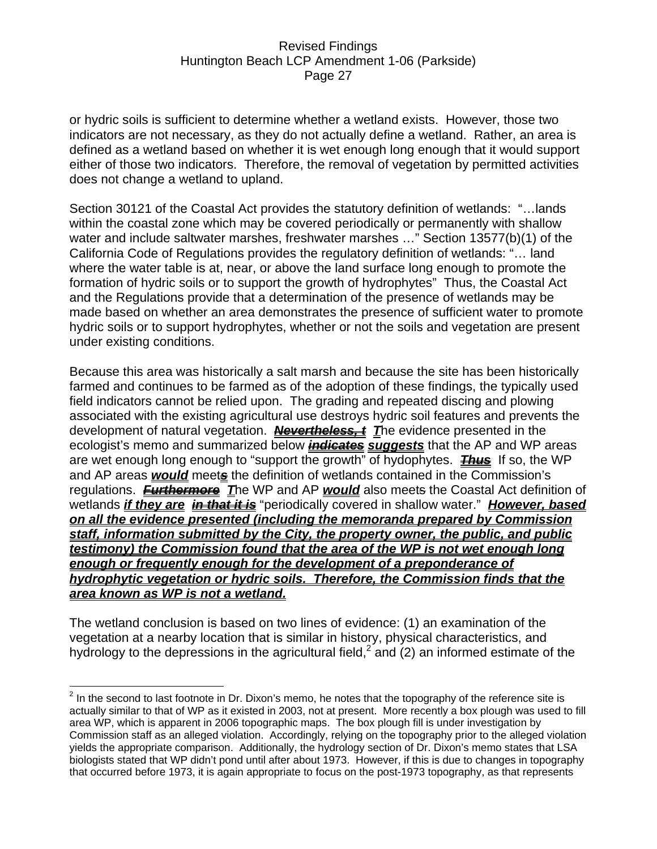or hydric soils is sufficient to determine whether a wetland exists. However, those two indicators are not necessary, as they do not actually define a wetland. Rather, an area is defined as a wetland based on whether it is wet enough long enough that it would support either of those two indicators. Therefore, the removal of vegetation by permitted activities does not change a wetland to upland.

Section 30121 of the Coastal Act provides the statutory definition of wetlands: "…lands within the coastal zone which may be covered periodically or permanently with shallow water and include saltwater marshes, freshwater marshes …" Section 13577(b)(1) of the California Code of Regulations provides the regulatory definition of wetlands: "… land where the water table is at, near, or above the land surface long enough to promote the formation of hydric soils or to support the growth of hydrophytes" Thus, the Coastal Act and the Regulations provide that a determination of the presence of wetlands may be made based on whether an area demonstrates the presence of sufficient water to promote hydric soils or to support hydrophytes, whether or not the soils and vegetation are present under existing conditions.

Because this area was historically a salt marsh and because the site has been historically farmed and continues to be farmed as of the adoption of these findings, the typically used field indicators cannot be relied upon. The grading and repeated discing and plowing associated with the existing agricultural use destroys hydric soil features and prevents the development of natural vegetation. *Nevertheless, t T*he evidence presented in the ecologist's memo and summarized below *indicates suggests* that the AP and WP areas are wet enough long enough to "support the growth" of hydophytes. *Thus* If so, the WP and AP areas *would* meet*s* the definition of wetlands contained in the Commission's regulations. *Furthermore T*he WP and AP *would* also meets the Coastal Act definition of wetlands *if they are in that it is* "periodically covered in shallow water." *However, based on all the evidence presented (including the memoranda prepared by Commission staff, information submitted by the City, the property owner, the public, and public testimony) the Commission found that the area of the WP is not wet enough long enough or frequently enough for the development of a preponderance of hydrophytic vegetation or hydric soils. Therefore, the Commission finds that the area known as WP is not a wetland.*

The wetland conclusion is based on two lines of evidence: (1) an examination of the vegetation at a nearby location that is similar in history, physical characteristics, and hydrology to the depressions in the agricultural field,<sup>2</sup> and (2) an informed estimate of the

**EXECUTE:**<br><sup>2</sup> In the second to last footnote in Dr. Dixon's memo, he notes that the topography of the reference site is actually similar to that of WP as it existed in 2003, not at present. More recently a box plough was used to fill area WP, which is apparent in 2006 topographic maps. The box plough fill is under investigation by Commission staff as an alleged violation. Accordingly, relying on the topography prior to the alleged violation yields the appropriate comparison. Additionally, the hydrology section of Dr. Dixon's memo states that LSA biologists stated that WP didn't pond until after about 1973. However, if this is due to changes in topography that occurred before 1973, it is again appropriate to focus on the post-1973 topography, as that represents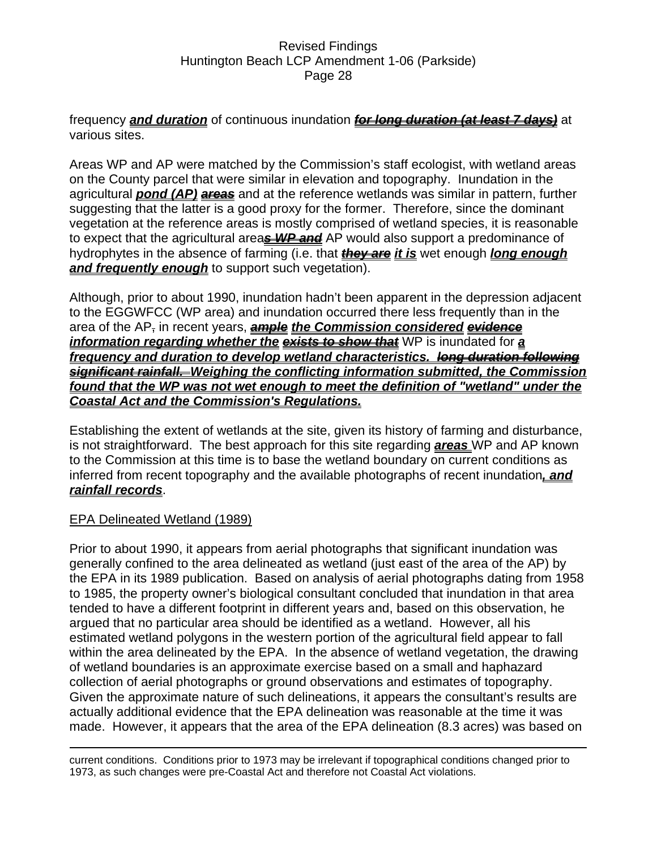frequency *and duration* of continuous inundation *for long duration (at least 7 days)* at various sites.

Areas WP and AP were matched by the Commission's staff ecologist, with wetland areas on the County parcel that were similar in elevation and topography. Inundation in the agricultural *pond (AP) areas* and at the reference wetlands was similar in pattern, further suggesting that the latter is a good proxy for the former. Therefore, since the dominant vegetation at the reference areas is mostly comprised of wetland species, it is reasonable to expect that the agricultural area*s WP and* AP would also support a predominance of hydrophytes in the absence of farming (i.e. that *they are it is* wet enough *long enough*  **and frequently enough** to support such vegetation).

Although, prior to about 1990, inundation hadn't been apparent in the depression adjacent to the EGGWFCC (WP area) and inundation occurred there less frequently than in the area of the AP, in recent years, *ample the Commission considered evidence information regarding whether the exists to show that* WP is inundated for *a frequency and duration to develop wetland characteristics. long duration following significant rainfall. Weighing the conflicting information submitted, the Commission found that the WP was not wet enough to meet the definition of "wetland" under the Coastal Act and the Commission's Regulations.*

Establishing the extent of wetlands at the site, given its history of farming and disturbance, is not straightforward. The best approach for this site regarding *areas* WP and AP known to the Commission at this time is to base the wetland boundary on current conditions as inferred from recent topography and the available photographs of recent inundation*, and rainfall records*.

### EPA Delineated Wetland (1989)

 $\overline{a}$ 

Prior to about 1990, it appears from aerial photographs that significant inundation was generally confined to the area delineated as wetland (just east of the area of the AP) by the EPA in its 1989 publication. Based on analysis of aerial photographs dating from 1958 to 1985, the property owner's biological consultant concluded that inundation in that area tended to have a different footprint in different years and, based on this observation, he argued that no particular area should be identified as a wetland. However, all his estimated wetland polygons in the western portion of the agricultural field appear to fall within the area delineated by the EPA. In the absence of wetland vegetation, the drawing of wetland boundaries is an approximate exercise based on a small and haphazard collection of aerial photographs or ground observations and estimates of topography. Given the approximate nature of such delineations, it appears the consultant's results are actually additional evidence that the EPA delineation was reasonable at the time it was made. However, it appears that the area of the EPA delineation (8.3 acres) was based on

current conditions. Conditions prior to 1973 may be irrelevant if topographical conditions changed prior to 1973, as such changes were pre-Coastal Act and therefore not Coastal Act violations.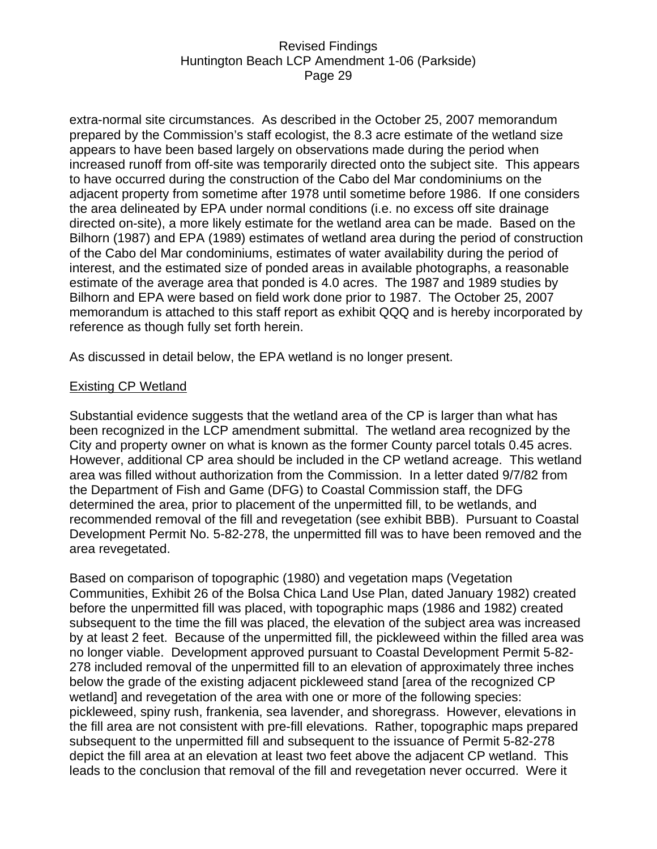extra-normal site circumstances. As described in the October 25, 2007 memorandum prepared by the Commission's staff ecologist, the 8.3 acre estimate of the wetland size appears to have been based largely on observations made during the period when increased runoff from off-site was temporarily directed onto the subject site. This appears to have occurred during the construction of the Cabo del Mar condominiums on the adjacent property from sometime after 1978 until sometime before 1986. If one considers the area delineated by EPA under normal conditions (i.e. no excess off site drainage directed on-site), a more likely estimate for the wetland area can be made. Based on the Bilhorn (1987) and EPA (1989) estimates of wetland area during the period of construction of the Cabo del Mar condominiums, estimates of water availability during the period of interest, and the estimated size of ponded areas in available photographs, a reasonable estimate of the average area that ponded is 4.0 acres. The 1987 and 1989 studies by Bilhorn and EPA were based on field work done prior to 1987. The October 25, 2007 memorandum is attached to this staff report as exhibit QQQ and is hereby incorporated by reference as though fully set forth herein.

As discussed in detail below, the EPA wetland is no longer present.

### Existing CP Wetland

Substantial evidence suggests that the wetland area of the CP is larger than what has been recognized in the LCP amendment submittal. The wetland area recognized by the City and property owner on what is known as the former County parcel totals 0.45 acres. However, additional CP area should be included in the CP wetland acreage. This wetland area was filled without authorization from the Commission. In a letter dated 9/7/82 from the Department of Fish and Game (DFG) to Coastal Commission staff, the DFG determined the area, prior to placement of the unpermitted fill, to be wetlands, and recommended removal of the fill and revegetation (see exhibit BBB). Pursuant to Coastal Development Permit No. 5-82-278, the unpermitted fill was to have been removed and the area revegetated.

Based on comparison of topographic (1980) and vegetation maps (Vegetation Communities, Exhibit 26 of the Bolsa Chica Land Use Plan, dated January 1982) created before the unpermitted fill was placed, with topographic maps (1986 and 1982) created subsequent to the time the fill was placed, the elevation of the subject area was increased by at least 2 feet. Because of the unpermitted fill, the pickleweed within the filled area was no longer viable. Development approved pursuant to Coastal Development Permit 5-82- 278 included removal of the unpermitted fill to an elevation of approximately three inches below the grade of the existing adjacent pickleweed stand [area of the recognized CP wetland] and revegetation of the area with one or more of the following species: pickleweed, spiny rush, frankenia, sea lavender, and shoregrass. However, elevations in the fill area are not consistent with pre-fill elevations. Rather, topographic maps prepared subsequent to the unpermitted fill and subsequent to the issuance of Permit 5-82-278 depict the fill area at an elevation at least two feet above the adjacent CP wetland. This leads to the conclusion that removal of the fill and revegetation never occurred. Were it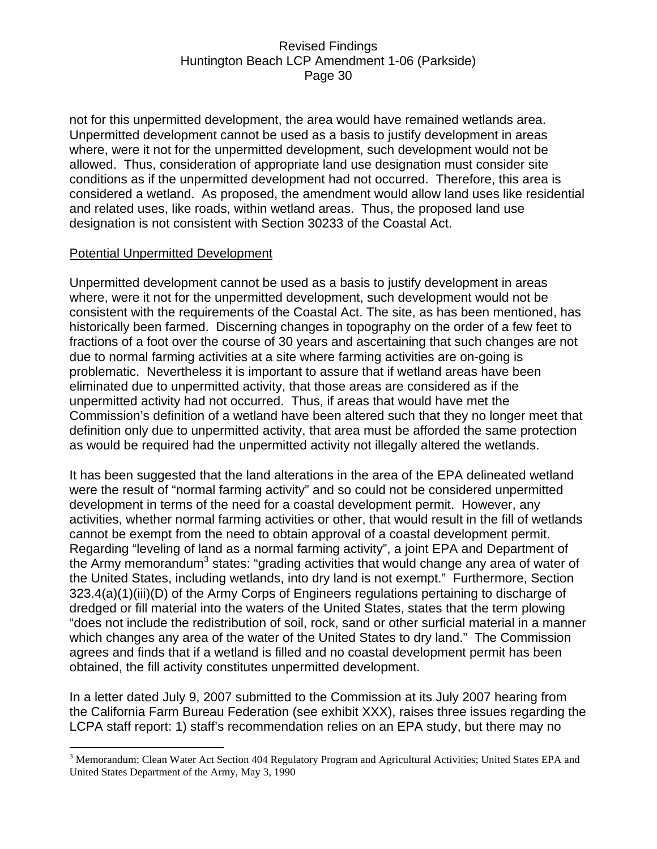not for this unpermitted development, the area would have remained wetlands area. Unpermitted development cannot be used as a basis to justify development in areas where, were it not for the unpermitted development, such development would not be allowed. Thus, consideration of appropriate land use designation must consider site conditions as if the unpermitted development had not occurred. Therefore, this area is considered a wetland. As proposed, the amendment would allow land uses like residential and related uses, like roads, within wetland areas. Thus, the proposed land use designation is not consistent with Section 30233 of the Coastal Act.

#### Potential Unpermitted Development

 $\overline{a}$ 

Unpermitted development cannot be used as a basis to justify development in areas where, were it not for the unpermitted development, such development would not be consistent with the requirements of the Coastal Act. The site, as has been mentioned, has historically been farmed. Discerning changes in topography on the order of a few feet to fractions of a foot over the course of 30 years and ascertaining that such changes are not due to normal farming activities at a site where farming activities are on-going is problematic. Nevertheless it is important to assure that if wetland areas have been eliminated due to unpermitted activity, that those areas are considered as if the unpermitted activity had not occurred. Thus, if areas that would have met the Commission's definition of a wetland have been altered such that they no longer meet that definition only due to unpermitted activity, that area must be afforded the same protection as would be required had the unpermitted activity not illegally altered the wetlands.

It has been suggested that the land alterations in the area of the EPA delineated wetland were the result of "normal farming activity" and so could not be considered unpermitted development in terms of the need for a coastal development permit. However, any activities, whether normal farming activities or other, that would result in the fill of wetlands cannot be exempt from the need to obtain approval of a coastal development permit. Regarding "leveling of land as a normal farming activity", a joint EPA and Department of the Army memorandum<sup>3</sup> states: "grading activities that would change any area of water of the United States, including wetlands, into dry land is not exempt." Furthermore, Section 323.4(a)(1)(iii)(D) of the Army Corps of Engineers regulations pertaining to discharge of dredged or fill material into the waters of the United States, states that the term plowing "does not include the redistribution of soil, rock, sand or other surficial material in a manner which changes any area of the water of the United States to dry land." The Commission agrees and finds that if a wetland is filled and no coastal development permit has been obtained, the fill activity constitutes unpermitted development.

In a letter dated July 9, 2007 submitted to the Commission at its July 2007 hearing from the California Farm Bureau Federation (see exhibit XXX), raises three issues regarding the LCPA staff report: 1) staff's recommendation relies on an EPA study, but there may no

<sup>&</sup>lt;sup>3</sup> Memorandum: Clean Water Act Section 404 Regulatory Program and Agricultural Activities; United States EPA and United States Department of the Army, May 3, 1990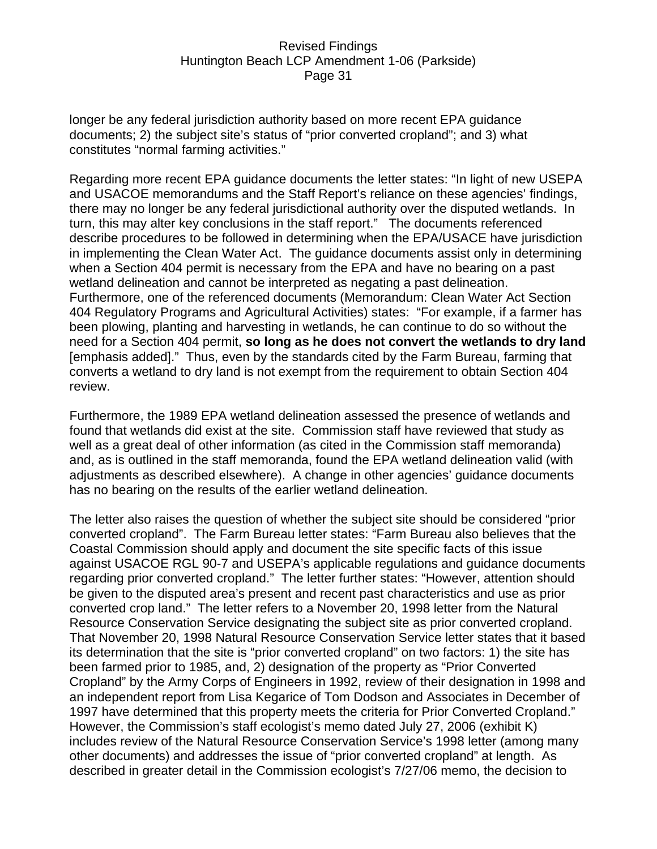longer be any federal jurisdiction authority based on more recent EPA guidance documents; 2) the subject site's status of "prior converted cropland"; and 3) what constitutes "normal farming activities."

Regarding more recent EPA guidance documents the letter states: "In light of new USEPA and USACOE memorandums and the Staff Report's reliance on these agencies' findings, there may no longer be any federal jurisdictional authority over the disputed wetlands. In turn, this may alter key conclusions in the staff report." The documents referenced describe procedures to be followed in determining when the EPA/USACE have jurisdiction in implementing the Clean Water Act. The guidance documents assist only in determining when a Section 404 permit is necessary from the EPA and have no bearing on a past wetland delineation and cannot be interpreted as negating a past delineation. Furthermore, one of the referenced documents (Memorandum: Clean Water Act Section 404 Regulatory Programs and Agricultural Activities) states: "For example, if a farmer has been plowing, planting and harvesting in wetlands, he can continue to do so without the need for a Section 404 permit, **so long as he does not convert the wetlands to dry land** [emphasis added]." Thus, even by the standards cited by the Farm Bureau, farming that converts a wetland to dry land is not exempt from the requirement to obtain Section 404 review.

Furthermore, the 1989 EPA wetland delineation assessed the presence of wetlands and found that wetlands did exist at the site. Commission staff have reviewed that study as well as a great deal of other information (as cited in the Commission staff memoranda) and, as is outlined in the staff memoranda, found the EPA wetland delineation valid (with adjustments as described elsewhere). A change in other agencies' guidance documents has no bearing on the results of the earlier wetland delineation.

The letter also raises the question of whether the subject site should be considered "prior converted cropland". The Farm Bureau letter states: "Farm Bureau also believes that the Coastal Commission should apply and document the site specific facts of this issue against USACOE RGL 90-7 and USEPA's applicable regulations and guidance documents regarding prior converted cropland." The letter further states: "However, attention should be given to the disputed area's present and recent past characteristics and use as prior converted crop land." The letter refers to a November 20, 1998 letter from the Natural Resource Conservation Service designating the subject site as prior converted cropland. That November 20, 1998 Natural Resource Conservation Service letter states that it based its determination that the site is "prior converted cropland" on two factors: 1) the site has been farmed prior to 1985, and, 2) designation of the property as "Prior Converted Cropland" by the Army Corps of Engineers in 1992, review of their designation in 1998 and an independent report from Lisa Kegarice of Tom Dodson and Associates in December of 1997 have determined that this property meets the criteria for Prior Converted Cropland." However, the Commission's staff ecologist's memo dated July 27, 2006 (exhibit K) includes review of the Natural Resource Conservation Service's 1998 letter (among many other documents) and addresses the issue of "prior converted cropland" at length. As described in greater detail in the Commission ecologist's 7/27/06 memo, the decision to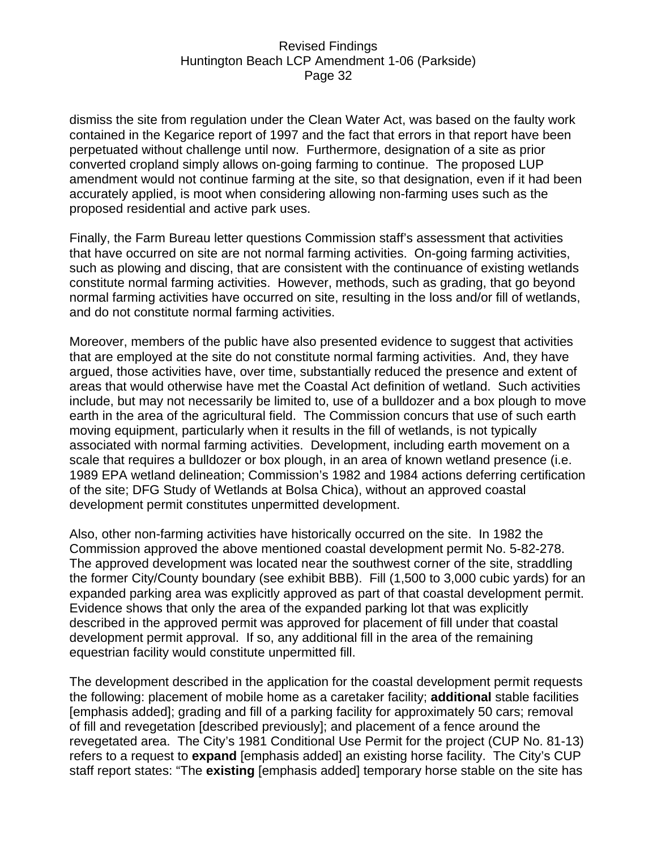dismiss the site from regulation under the Clean Water Act, was based on the faulty work contained in the Kegarice report of 1997 and the fact that errors in that report have been perpetuated without challenge until now. Furthermore, designation of a site as prior converted cropland simply allows on-going farming to continue. The proposed LUP amendment would not continue farming at the site, so that designation, even if it had been accurately applied, is moot when considering allowing non-farming uses such as the proposed residential and active park uses.

Finally, the Farm Bureau letter questions Commission staff's assessment that activities that have occurred on site are not normal farming activities. On-going farming activities, such as plowing and discing, that are consistent with the continuance of existing wetlands constitute normal farming activities. However, methods, such as grading, that go beyond normal farming activities have occurred on site, resulting in the loss and/or fill of wetlands, and do not constitute normal farming activities.

Moreover, members of the public have also presented evidence to suggest that activities that are employed at the site do not constitute normal farming activities. And, they have argued, those activities have, over time, substantially reduced the presence and extent of areas that would otherwise have met the Coastal Act definition of wetland. Such activities include, but may not necessarily be limited to, use of a bulldozer and a box plough to move earth in the area of the agricultural field. The Commission concurs that use of such earth moving equipment, particularly when it results in the fill of wetlands, is not typically associated with normal farming activities. Development, including earth movement on a scale that requires a bulldozer or box plough, in an area of known wetland presence (i.e. 1989 EPA wetland delineation; Commission's 1982 and 1984 actions deferring certification of the site; DFG Study of Wetlands at Bolsa Chica), without an approved coastal development permit constitutes unpermitted development.

Also, other non-farming activities have historically occurred on the site. In 1982 the Commission approved the above mentioned coastal development permit No. 5-82-278. The approved development was located near the southwest corner of the site, straddling the former City/County boundary (see exhibit BBB). Fill (1,500 to 3,000 cubic yards) for an expanded parking area was explicitly approved as part of that coastal development permit. Evidence shows that only the area of the expanded parking lot that was explicitly described in the approved permit was approved for placement of fill under that coastal development permit approval. If so, any additional fill in the area of the remaining equestrian facility would constitute unpermitted fill.

The development described in the application for the coastal development permit requests the following: placement of mobile home as a caretaker facility; **additional** stable facilities [emphasis added]; grading and fill of a parking facility for approximately 50 cars; removal of fill and revegetation [described previously]; and placement of a fence around the revegetated area. The City's 1981 Conditional Use Permit for the project (CUP No. 81-13) refers to a request to **expand** [emphasis added] an existing horse facility. The City's CUP staff report states: "The **existing** [emphasis added] temporary horse stable on the site has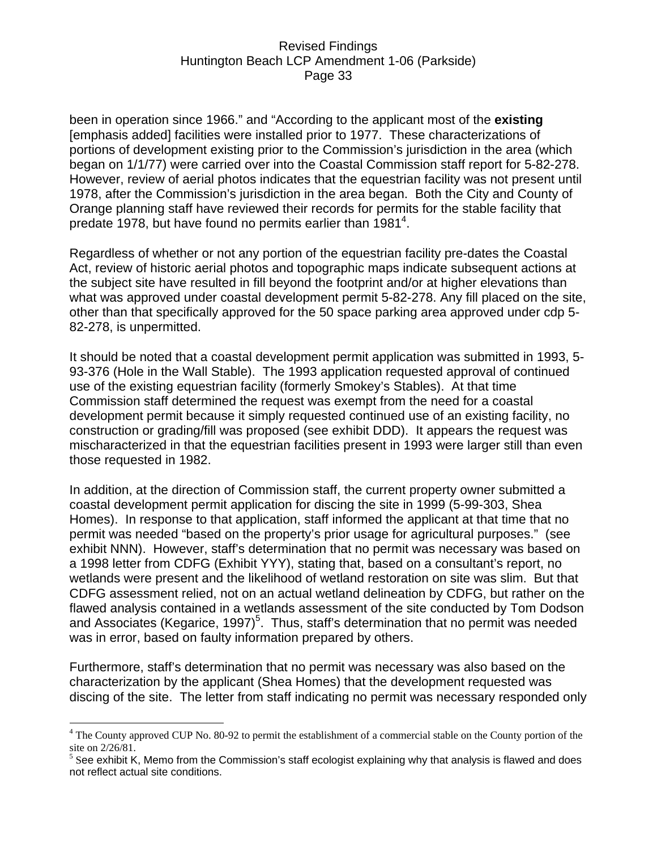been in operation since 1966." and "According to the applicant most of the **existing** [emphasis added] facilities were installed prior to 1977. These characterizations of portions of development existing prior to the Commission's jurisdiction in the area (which began on 1/1/77) were carried over into the Coastal Commission staff report for 5-82-278. However, review of aerial photos indicates that the equestrian facility was not present until 1978, after the Commission's jurisdiction in the area began. Both the City and County of Orange planning staff have reviewed their records for permits for the stable facility that predate 1978, but have found no permits earlier than 1981<sup>4</sup>.

Regardless of whether or not any portion of the equestrian facility pre-dates the Coastal Act, review of historic aerial photos and topographic maps indicate subsequent actions at the subject site have resulted in fill beyond the footprint and/or at higher elevations than what was approved under coastal development permit 5-82-278. Any fill placed on the site, other than that specifically approved for the 50 space parking area approved under cdp 5- 82-278, is unpermitted.

It should be noted that a coastal development permit application was submitted in 1993, 5- 93-376 (Hole in the Wall Stable). The 1993 application requested approval of continued use of the existing equestrian facility (formerly Smokey's Stables). At that time Commission staff determined the request was exempt from the need for a coastal development permit because it simply requested continued use of an existing facility, no construction or grading/fill was proposed (see exhibit DDD). It appears the request was mischaracterized in that the equestrian facilities present in 1993 were larger still than even those requested in 1982.

In addition, at the direction of Commission staff, the current property owner submitted a coastal development permit application for discing the site in 1999 (5-99-303, Shea Homes). In response to that application, staff informed the applicant at that time that no permit was needed "based on the property's prior usage for agricultural purposes." (see exhibit NNN). However, staff's determination that no permit was necessary was based on a 1998 letter from CDFG (Exhibit YYY), stating that, based on a consultant's report, no wetlands were present and the likelihood of wetland restoration on site was slim. But that CDFG assessment relied, not on an actual wetland delineation by CDFG, but rather on the flawed analysis contained in a wetlands assessment of the site conducted by Tom Dodson and Associates (Kegarice, 1997)<sup>5</sup>. Thus, staff's determination that no permit was needed was in error, based on faulty information prepared by others.

Furthermore, staff's determination that no permit was necessary was also based on the characterization by the applicant (Shea Homes) that the development requested was discing of the site. The letter from staff indicating no permit was necessary responded only

 $\overline{a}$ 

<sup>&</sup>lt;sup>4</sup> The County approved CUP No. 80-92 to permit the establishment of a commercial stable on the County portion of the site on 2/26/81.

 $<sup>5</sup>$  See exhibit K, Memo from the Commission's staff ecologist explaining why that analysis is flawed and does</sup> not reflect actual site conditions.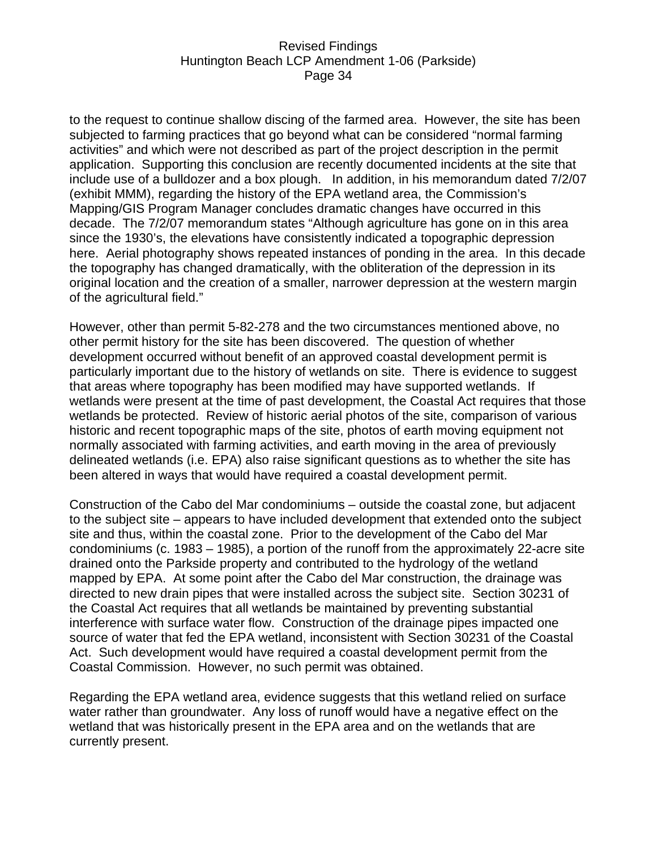to the request to continue shallow discing of the farmed area. However, the site has been subjected to farming practices that go beyond what can be considered "normal farming activities" and which were not described as part of the project description in the permit application. Supporting this conclusion are recently documented incidents at the site that include use of a bulldozer and a box plough. In addition, in his memorandum dated 7/2/07 (exhibit MMM), regarding the history of the EPA wetland area, the Commission's Mapping/GIS Program Manager concludes dramatic changes have occurred in this decade. The 7/2/07 memorandum states "Although agriculture has gone on in this area since the 1930's, the elevations have consistently indicated a topographic depression here. Aerial photography shows repeated instances of ponding in the area. In this decade the topography has changed dramatically, with the obliteration of the depression in its original location and the creation of a smaller, narrower depression at the western margin of the agricultural field."

However, other than permit 5-82-278 and the two circumstances mentioned above, no other permit history for the site has been discovered. The question of whether development occurred without benefit of an approved coastal development permit is particularly important due to the history of wetlands on site. There is evidence to suggest that areas where topography has been modified may have supported wetlands. If wetlands were present at the time of past development, the Coastal Act requires that those wetlands be protected. Review of historic aerial photos of the site, comparison of various historic and recent topographic maps of the site, photos of earth moving equipment not normally associated with farming activities, and earth moving in the area of previously delineated wetlands (i.e. EPA) also raise significant questions as to whether the site has been altered in ways that would have required a coastal development permit.

Construction of the Cabo del Mar condominiums – outside the coastal zone, but adjacent to the subject site – appears to have included development that extended onto the subject site and thus, within the coastal zone. Prior to the development of the Cabo del Mar condominiums (c. 1983 – 1985), a portion of the runoff from the approximately 22-acre site drained onto the Parkside property and contributed to the hydrology of the wetland mapped by EPA. At some point after the Cabo del Mar construction, the drainage was directed to new drain pipes that were installed across the subject site. Section 30231 of the Coastal Act requires that all wetlands be maintained by preventing substantial interference with surface water flow. Construction of the drainage pipes impacted one source of water that fed the EPA wetland, inconsistent with Section 30231 of the Coastal Act. Such development would have required a coastal development permit from the Coastal Commission. However, no such permit was obtained.

Regarding the EPA wetland area, evidence suggests that this wetland relied on surface water rather than groundwater. Any loss of runoff would have a negative effect on the wetland that was historically present in the EPA area and on the wetlands that are currently present.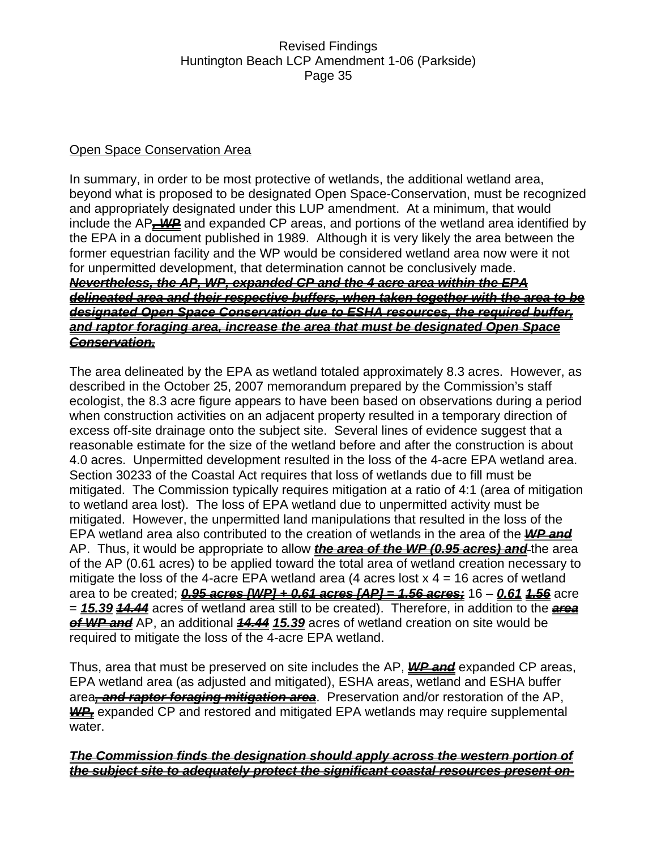### Open Space Conservation Area

In summary, in order to be most protective of wetlands, the additional wetland area, beyond what is proposed to be designated Open Space-Conservation, must be recognized and appropriately designated under this LUP amendment. At a minimum, that would include the AP<sub>**-WP**</sub> and expanded CP areas, and portions of the wetland area identified by the EPA in a document published in 1989. Although it is very likely the area between the former equestrian facility and the WP would be considered wetland area now were it not for unpermitted development, that determination cannot be conclusively made. *Nevertheless, the AP, WP, expanded CP and the 4 acre area within the EPA delineated area and their respective buffers, when taken together with the area to be designated Open Space Conservation due to ESHA resources, the required buffer, and raptor foraging area, increase the area that must be designated Open Space Conservation.*

The area delineated by the EPA as wetland totaled approximately 8.3 acres. However, as described in the October 25, 2007 memorandum prepared by the Commission's staff ecologist, the 8.3 acre figure appears to have been based on observations during a period when construction activities on an adjacent property resulted in a temporary direction of excess off-site drainage onto the subject site. Several lines of evidence suggest that a reasonable estimate for the size of the wetland before and after the construction is about 4.0 acres. Unpermitted development resulted in the loss of the 4-acre EPA wetland area. Section 30233 of the Coastal Act requires that loss of wetlands due to fill must be mitigated. The Commission typically requires mitigation at a ratio of 4:1 (area of mitigation to wetland area lost). The loss of EPA wetland due to unpermitted activity must be mitigated. However, the unpermitted land manipulations that resulted in the loss of the EPA wetland area also contributed to the creation of wetlands in the area of the *WP and* AP. Thus, it would be appropriate to allow *the area of the WP (0.95 acres) and* the area of the AP (0.61 acres) to be applied toward the total area of wetland creation necessary to mitigate the loss of the 4-acre EPA wetland area (4 acres lost  $x$  4 = 16 acres of wetland area to be created; *0.95 acres [WP] + 0.61 acres [AP] = 1.56 acres;* 16 – *0.61 1.56* acre = *15.39 14.44* acres of wetland area still to be created). Therefore, in addition to the *area of WP and* AP, an additional *14.44 15.39* acres of wetland creation on site would be required to mitigate the loss of the 4-acre EPA wetland.

Thus, area that must be preserved on site includes the AP, *WP and* expanded CP areas, EPA wetland area (as adjusted and mitigated), ESHA areas, wetland and ESHA buffer area*, and raptor foraging mitigation area*. Preservation and/or restoration of the AP, **WP**, expanded CP and restored and mitigated EPA wetlands may require supplemental water.

### *The Commission finds the designation should apply across the western portion of the subject site to adequately protect the significant coastal resources present on-*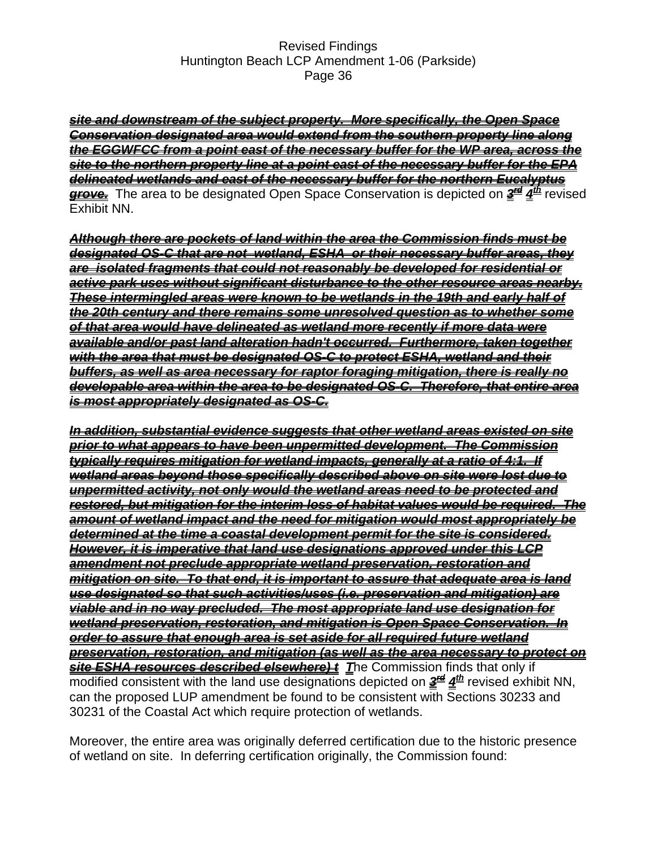*site and downstream of the subject property. More specifically, the Open Space Conservation designated area would extend from the southern property line along the EGGWFCC from a point east of the necessary buffer for the WP area, across the site to the northern property line at a point east of the necessary buffer for the EPA delineated wetlands and east of the necessary buffer for the northern Eucalyptus grove.* The area to be designated Open Space Conservation is depicted on *3rd 4th* revised Exhibit NN.

*Although there are pockets of land within the area the Commission finds must be designated OS-C that are not wetland, ESHA or their necessary buffer areas, they are isolated fragments that could not reasonably be developed for residential or active park uses without significant disturbance to the other resource areas nearby. These intermingled areas were known to be wetlands in the 19th and early half of the 20th century and there remains some unresolved question as to whether some of that area would have delineated as wetland more recently if more data were available and/or past land alteration hadn't occurred. Furthermore, taken together with the area that must be designated OS-C to protect ESHA, wetland and their buffers, as well as area necessary for raptor foraging mitigation, there is really no developable area within the area to be designated OS-C. Therefore, that entire area is most appropriately designated as OS-C.*

*In addition, substantial evidence suggests that other wetland areas existed on site prior to what appears to have been unpermitted development. The Commission typically requires mitigation for wetland impacts, generally at a ratio of 4:1. If wetland areas beyond those specifically described above on site were lost due to unpermitted activity, not only would the wetland areas need to be protected and restored, but mitigation for the interim loss of habitat values would be required. The amount of wetland impact and the need for mitigation would most appropriately be determined at the time a coastal development permit for the site is considered. However, it is imperative that land use designations approved under this LCP amendment not preclude appropriate wetland preservation, restoration and mitigation on site. To that end, it is important to assure that adequate area is land use designated so that such activities/uses (i.e. preservation and mitigation) are viable and in no way precluded. The most appropriate land use designation for wetland preservation, restoration, and mitigation is Open Space Conservation. In order to assure that enough area is set aside for all required future wetland preservation, restoration, and mitigation (as well as the area necessary to protect on site ESHA resources described elsewhere) t T*he Commission finds that only if modified consistent with the land use designations depicted on  $\frac{3}{2}$   $4<sup>th</sup>$  revised exhibit NN, can the proposed LUP amendment be found to be consistent with Sections 30233 and 30231 of the Coastal Act which require protection of wetlands.

Moreover, the entire area was originally deferred certification due to the historic presence of wetland on site. In deferring certification originally, the Commission found: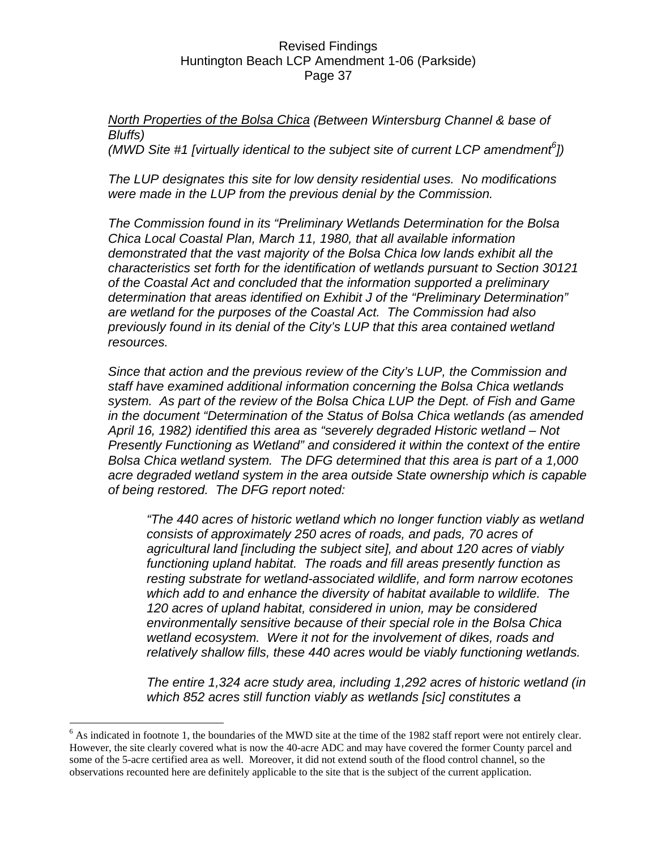*North Properties of the Bolsa Chica (Between Wintersburg Channel & base of Bluffs)* 

*(MWD Site #1 [virtually identical to the subject site of current LCP amendment<sup>6</sup>])* 

*The LUP designates this site for low density residential uses. No modifications were made in the LUP from the previous denial by the Commission.* 

*The Commission found in its "Preliminary Wetlands Determination for the Bolsa Chica Local Coastal Plan, March 11, 1980, that all available information demonstrated that the vast majority of the Bolsa Chica low lands exhibit all the characteristics set forth for the identification of wetlands pursuant to Section 30121 of the Coastal Act and concluded that the information supported a preliminary determination that areas identified on Exhibit J of the "Preliminary Determination" are wetland for the purposes of the Coastal Act. The Commission had also previously found in its denial of the City's LUP that this area contained wetland resources.* 

*Since that action and the previous review of the City's LUP, the Commission and staff have examined additional information concerning the Bolsa Chica wetlands system. As part of the review of the Bolsa Chica LUP the Dept. of Fish and Game in the document "Determination of the Status of Bolsa Chica wetlands (as amended April 16, 1982) identified this area as "severely degraded Historic wetland – Not Presently Functioning as Wetland" and considered it within the context of the entire Bolsa Chica wetland system. The DFG determined that this area is part of a 1,000 acre degraded wetland system in the area outside State ownership which is capable of being restored. The DFG report noted:* 

*"The 440 acres of historic wetland which no longer function viably as wetland consists of approximately 250 acres of roads, and pads, 70 acres of agricultural land [including the subject site], and about 120 acres of viably functioning upland habitat. The roads and fill areas presently function as resting substrate for wetland-associated wildlife, and form narrow ecotones which add to and enhance the diversity of habitat available to wildlife. The 120 acres of upland habitat, considered in union, may be considered environmentally sensitive because of their special role in the Bolsa Chica wetland ecosystem. Were it not for the involvement of dikes, roads and relatively shallow fills, these 440 acres would be viably functioning wetlands.* 

*The entire 1,324 acre study area, including 1,292 acres of historic wetland (in which 852 acres still function viably as wetlands [sic] constitutes a* 

 $\overline{a}$ 

 $6$  As indicated in footnote 1, the boundaries of the MWD site at the time of the 1982 staff report were not entirely clear. However, the site clearly covered what is now the 40-acre ADC and may have covered the former County parcel and some of the 5-acre certified area as well. Moreover, it did not extend south of the flood control channel, so the observations recounted here are definitely applicable to the site that is the subject of the current application.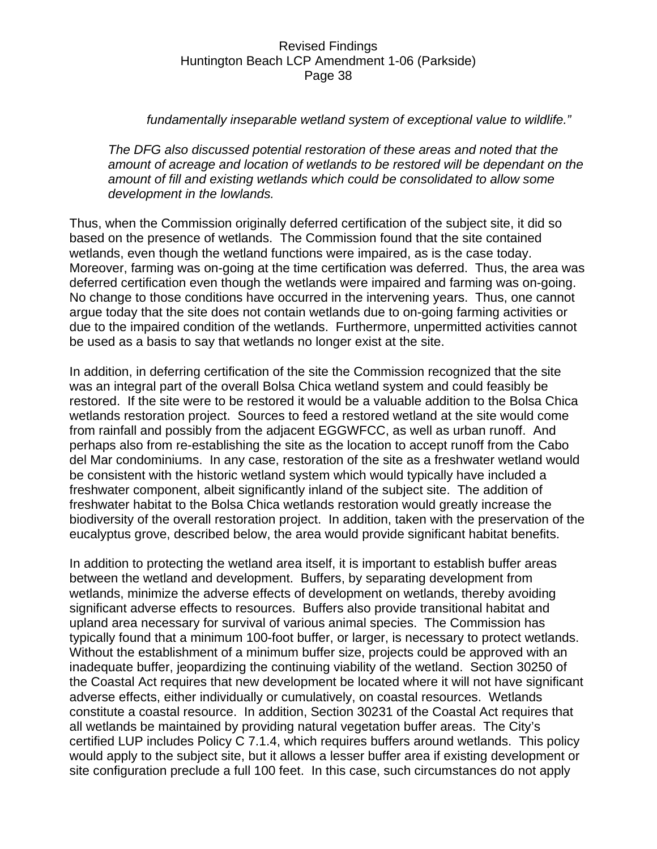#### *fundamentally inseparable wetland system of exceptional value to wildlife."*

*The DFG also discussed potential restoration of these areas and noted that the amount of acreage and location of wetlands to be restored will be dependant on the amount of fill and existing wetlands which could be consolidated to allow some development in the lowlands.* 

Thus, when the Commission originally deferred certification of the subject site, it did so based on the presence of wetlands. The Commission found that the site contained wetlands, even though the wetland functions were impaired, as is the case today. Moreover, farming was on-going at the time certification was deferred. Thus, the area was deferred certification even though the wetlands were impaired and farming was on-going. No change to those conditions have occurred in the intervening years. Thus, one cannot argue today that the site does not contain wetlands due to on-going farming activities or due to the impaired condition of the wetlands. Furthermore, unpermitted activities cannot be used as a basis to say that wetlands no longer exist at the site.

In addition, in deferring certification of the site the Commission recognized that the site was an integral part of the overall Bolsa Chica wetland system and could feasibly be restored. If the site were to be restored it would be a valuable addition to the Bolsa Chica wetlands restoration project. Sources to feed a restored wetland at the site would come from rainfall and possibly from the adjacent EGGWFCC, as well as urban runoff. And perhaps also from re-establishing the site as the location to accept runoff from the Cabo del Mar condominiums. In any case, restoration of the site as a freshwater wetland would be consistent with the historic wetland system which would typically have included a freshwater component, albeit significantly inland of the subject site. The addition of freshwater habitat to the Bolsa Chica wetlands restoration would greatly increase the biodiversity of the overall restoration project. In addition, taken with the preservation of the eucalyptus grove, described below, the area would provide significant habitat benefits.

In addition to protecting the wetland area itself, it is important to establish buffer areas between the wetland and development. Buffers, by separating development from wetlands, minimize the adverse effects of development on wetlands, thereby avoiding significant adverse effects to resources. Buffers also provide transitional habitat and upland area necessary for survival of various animal species. The Commission has typically found that a minimum 100-foot buffer, or larger, is necessary to protect wetlands. Without the establishment of a minimum buffer size, projects could be approved with an inadequate buffer, jeopardizing the continuing viability of the wetland. Section 30250 of the Coastal Act requires that new development be located where it will not have significant adverse effects, either individually or cumulatively, on coastal resources. Wetlands constitute a coastal resource. In addition, Section 30231 of the Coastal Act requires that all wetlands be maintained by providing natural vegetation buffer areas. The City's certified LUP includes Policy C 7.1.4, which requires buffers around wetlands. This policy would apply to the subject site, but it allows a lesser buffer area if existing development or site configuration preclude a full 100 feet. In this case, such circumstances do not apply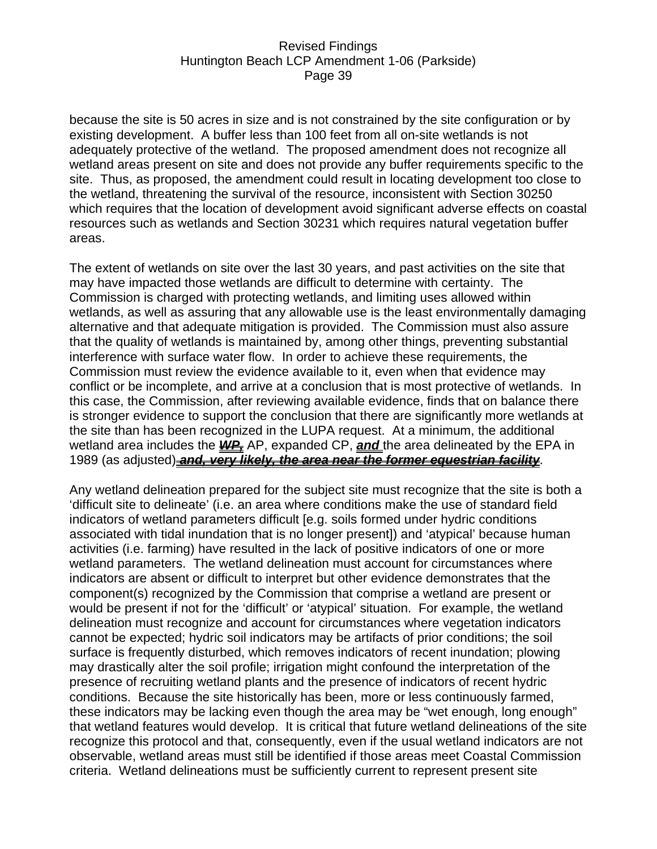because the site is 50 acres in size and is not constrained by the site configuration or by existing development. A buffer less than 100 feet from all on-site wetlands is not adequately protective of the wetland. The proposed amendment does not recognize all wetland areas present on site and does not provide any buffer requirements specific to the site. Thus, as proposed, the amendment could result in locating development too close to the wetland, threatening the survival of the resource, inconsistent with Section 30250 which requires that the location of development avoid significant adverse effects on coastal resources such as wetlands and Section 30231 which requires natural vegetation buffer areas.

The extent of wetlands on site over the last 30 years, and past activities on the site that may have impacted those wetlands are difficult to determine with certainty. The Commission is charged with protecting wetlands, and limiting uses allowed within wetlands, as well as assuring that any allowable use is the least environmentally damaging alternative and that adequate mitigation is provided. The Commission must also assure that the quality of wetlands is maintained by, among other things, preventing substantial interference with surface water flow. In order to achieve these requirements, the Commission must review the evidence available to it, even when that evidence may conflict or be incomplete, and arrive at a conclusion that is most protective of wetlands. In this case, the Commission, after reviewing available evidence, finds that on balance there is stronger evidence to support the conclusion that there are significantly more wetlands at the site than has been recognized in the LUPA request. At a minimum, the additional wetland area includes the **WP** AP, expanded CP, **and** the area delineated by the EPA in 1989 (as adjusted) *and, very likely, the area near the former equestrian facility*.

Any wetland delineation prepared for the subject site must recognize that the site is both a 'difficult site to delineate' (i.e. an area where conditions make the use of standard field indicators of wetland parameters difficult [e.g. soils formed under hydric conditions associated with tidal inundation that is no longer present]) and 'atypical' because human activities (i.e. farming) have resulted in the lack of positive indicators of one or more wetland parameters. The wetland delineation must account for circumstances where indicators are absent or difficult to interpret but other evidence demonstrates that the component(s) recognized by the Commission that comprise a wetland are present or would be present if not for the 'difficult' or 'atypical' situation. For example, the wetland delineation must recognize and account for circumstances where vegetation indicators cannot be expected; hydric soil indicators may be artifacts of prior conditions; the soil surface is frequently disturbed, which removes indicators of recent inundation; plowing may drastically alter the soil profile; irrigation might confound the interpretation of the presence of recruiting wetland plants and the presence of indicators of recent hydric conditions. Because the site historically has been, more or less continuously farmed, these indicators may be lacking even though the area may be "wet enough, long enough" that wetland features would develop. It is critical that future wetland delineations of the site recognize this protocol and that, consequently, even if the usual wetland indicators are not observable, wetland areas must still be identified if those areas meet Coastal Commission criteria. Wetland delineations must be sufficiently current to represent present site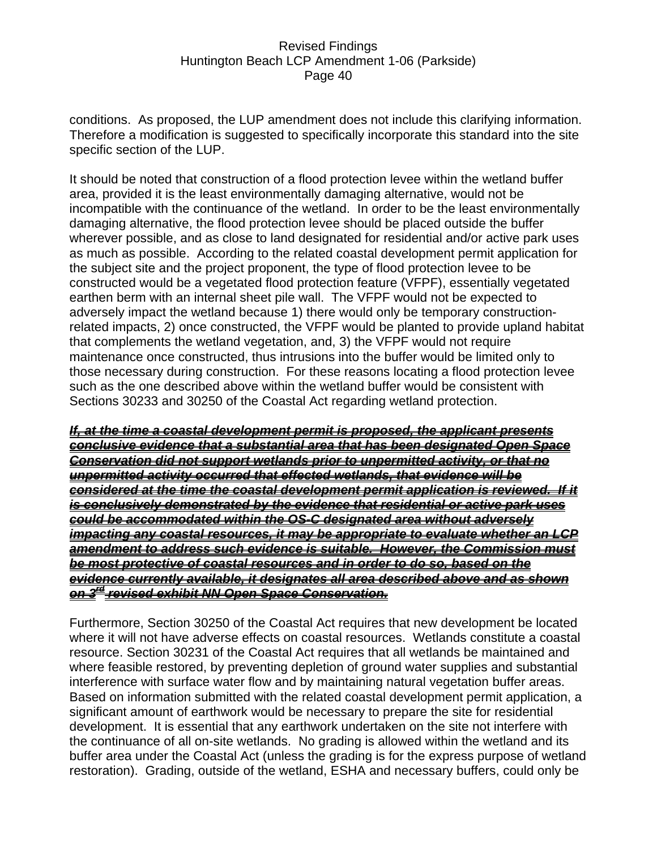conditions. As proposed, the LUP amendment does not include this clarifying information. Therefore a modification is suggested to specifically incorporate this standard into the site specific section of the LUP.

It should be noted that construction of a flood protection levee within the wetland buffer area, provided it is the least environmentally damaging alternative, would not be incompatible with the continuance of the wetland. In order to be the least environmentally damaging alternative, the flood protection levee should be placed outside the buffer wherever possible, and as close to land designated for residential and/or active park uses as much as possible. According to the related coastal development permit application for the subject site and the project proponent, the type of flood protection levee to be constructed would be a vegetated flood protection feature (VFPF), essentially vegetated earthen berm with an internal sheet pile wall. The VFPF would not be expected to adversely impact the wetland because 1) there would only be temporary constructionrelated impacts, 2) once constructed, the VFPF would be planted to provide upland habitat that complements the wetland vegetation, and, 3) the VFPF would not require maintenance once constructed, thus intrusions into the buffer would be limited only to those necessary during construction. For these reasons locating a flood protection levee such as the one described above within the wetland buffer would be consistent with Sections 30233 and 30250 of the Coastal Act regarding wetland protection.

*If, at the time a coastal development permit is proposed, the applicant presents conclusive evidence that a substantial area that has been designated Open Space Conservation did not support wetlands prior to unpermitted activity, or that no unpermitted activity occurred that effected wetlands, that evidence will be considered at the time the coastal development permit application is reviewed. If it is conclusively demonstrated by the evidence that residential or active park uses could be accommodated within the OS-C designated area without adversely impacting any coastal resources, it may be appropriate to evaluate whether an LCP amendment to address such evidence is suitable. However, the Commission must be most protective of coastal resources and in order to do so, based on the evidence currently available, it designates all area described above and as shown on 3rd revised exhibit NN Open Space Conservation.*

Furthermore, Section 30250 of the Coastal Act requires that new development be located where it will not have adverse effects on coastal resources. Wetlands constitute a coastal resource. Section 30231 of the Coastal Act requires that all wetlands be maintained and where feasible restored, by preventing depletion of ground water supplies and substantial interference with surface water flow and by maintaining natural vegetation buffer areas. Based on information submitted with the related coastal development permit application, a significant amount of earthwork would be necessary to prepare the site for residential development. It is essential that any earthwork undertaken on the site not interfere with the continuance of all on-site wetlands. No grading is allowed within the wetland and its buffer area under the Coastal Act (unless the grading is for the express purpose of wetland restoration). Grading, outside of the wetland, ESHA and necessary buffers, could only be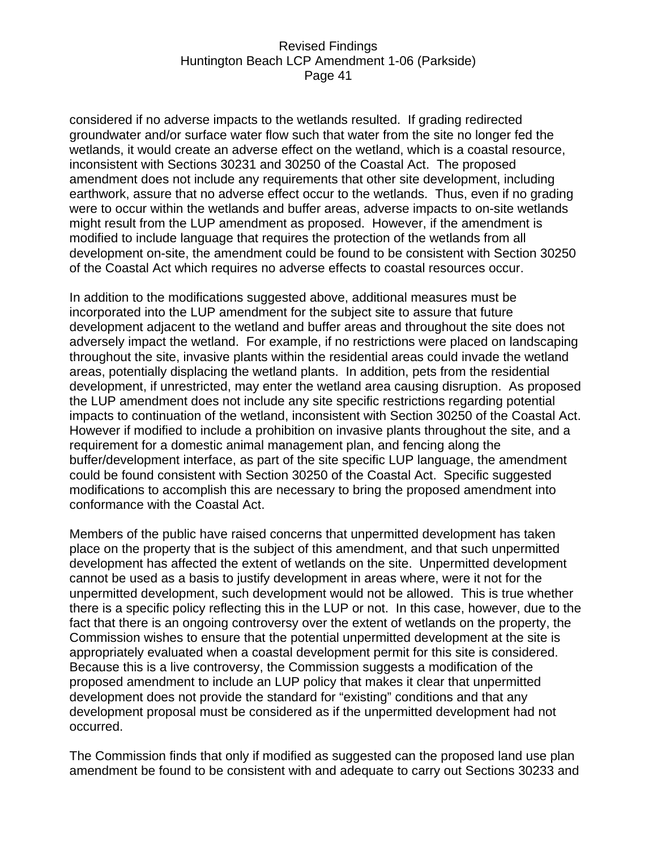considered if no adverse impacts to the wetlands resulted. If grading redirected groundwater and/or surface water flow such that water from the site no longer fed the wetlands, it would create an adverse effect on the wetland, which is a coastal resource, inconsistent with Sections 30231 and 30250 of the Coastal Act. The proposed amendment does not include any requirements that other site development, including earthwork, assure that no adverse effect occur to the wetlands. Thus, even if no grading were to occur within the wetlands and buffer areas, adverse impacts to on-site wetlands might result from the LUP amendment as proposed. However, if the amendment is modified to include language that requires the protection of the wetlands from all development on-site, the amendment could be found to be consistent with Section 30250 of the Coastal Act which requires no adverse effects to coastal resources occur.

In addition to the modifications suggested above, additional measures must be incorporated into the LUP amendment for the subject site to assure that future development adjacent to the wetland and buffer areas and throughout the site does not adversely impact the wetland. For example, if no restrictions were placed on landscaping throughout the site, invasive plants within the residential areas could invade the wetland areas, potentially displacing the wetland plants. In addition, pets from the residential development, if unrestricted, may enter the wetland area causing disruption. As proposed the LUP amendment does not include any site specific restrictions regarding potential impacts to continuation of the wetland, inconsistent with Section 30250 of the Coastal Act. However if modified to include a prohibition on invasive plants throughout the site, and a requirement for a domestic animal management plan, and fencing along the buffer/development interface, as part of the site specific LUP language, the amendment could be found consistent with Section 30250 of the Coastal Act. Specific suggested modifications to accomplish this are necessary to bring the proposed amendment into conformance with the Coastal Act.

Members of the public have raised concerns that unpermitted development has taken place on the property that is the subject of this amendment, and that such unpermitted development has affected the extent of wetlands on the site. Unpermitted development cannot be used as a basis to justify development in areas where, were it not for the unpermitted development, such development would not be allowed. This is true whether there is a specific policy reflecting this in the LUP or not. In this case, however, due to the fact that there is an ongoing controversy over the extent of wetlands on the property, the Commission wishes to ensure that the potential unpermitted development at the site is appropriately evaluated when a coastal development permit for this site is considered. Because this is a live controversy, the Commission suggests a modification of the proposed amendment to include an LUP policy that makes it clear that unpermitted development does not provide the standard for "existing" conditions and that any development proposal must be considered as if the unpermitted development had not occurred.

The Commission finds that only if modified as suggested can the proposed land use plan amendment be found to be consistent with and adequate to carry out Sections 30233 and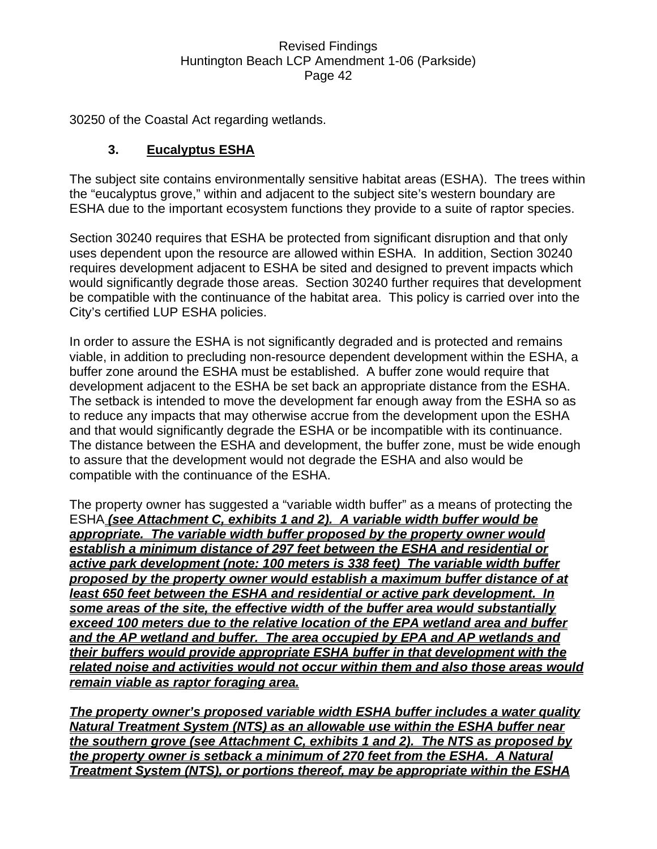30250 of the Coastal Act regarding wetlands.

# **3. Eucalyptus ESHA**

The subject site contains environmentally sensitive habitat areas (ESHA). The trees within the "eucalyptus grove," within and adjacent to the subject site's western boundary are ESHA due to the important ecosystem functions they provide to a suite of raptor species.

Section 30240 requires that ESHA be protected from significant disruption and that only uses dependent upon the resource are allowed within ESHA. In addition, Section 30240 requires development adjacent to ESHA be sited and designed to prevent impacts which would significantly degrade those areas. Section 30240 further requires that development be compatible with the continuance of the habitat area. This policy is carried over into the City's certified LUP ESHA policies.

In order to assure the ESHA is not significantly degraded and is protected and remains viable, in addition to precluding non-resource dependent development within the ESHA, a buffer zone around the ESHA must be established. A buffer zone would require that development adjacent to the ESHA be set back an appropriate distance from the ESHA. The setback is intended to move the development far enough away from the ESHA so as to reduce any impacts that may otherwise accrue from the development upon the ESHA and that would significantly degrade the ESHA or be incompatible with its continuance. The distance between the ESHA and development, the buffer zone, must be wide enough to assure that the development would not degrade the ESHA and also would be compatible with the continuance of the ESHA.

The property owner has suggested a "variable width buffer" as a means of protecting the ESHA *(see Attachment C, exhibits 1 and 2). A variable width buffer would be appropriate. The variable width buffer proposed by the property owner would establish a minimum distance of 297 feet between the ESHA and residential or active park development (note: 100 meters is 338 feet) The variable width buffer proposed by the property owner would establish a maximum buffer distance of at least 650 feet between the ESHA and residential or active park development. In some areas of the site, the effective width of the buffer area would substantially exceed 100 meters due to the relative location of the EPA wetland area and buffer and the AP wetland and buffer. The area occupied by EPA and AP wetlands and their buffers would provide appropriate ESHA buffer in that development with the related noise and activities would not occur within them and also those areas would remain viable as raptor foraging area.* 

*The property owner's proposed variable width ESHA buffer includes a water quality Natural Treatment System (NTS) as an allowable use within the ESHA buffer near the southern grove (see Attachment C, exhibits 1 and 2). The NTS as proposed by the property owner is setback a minimum of 270 feet from the ESHA. A Natural Treatment System (NTS), or portions thereof, may be appropriate within the ESHA*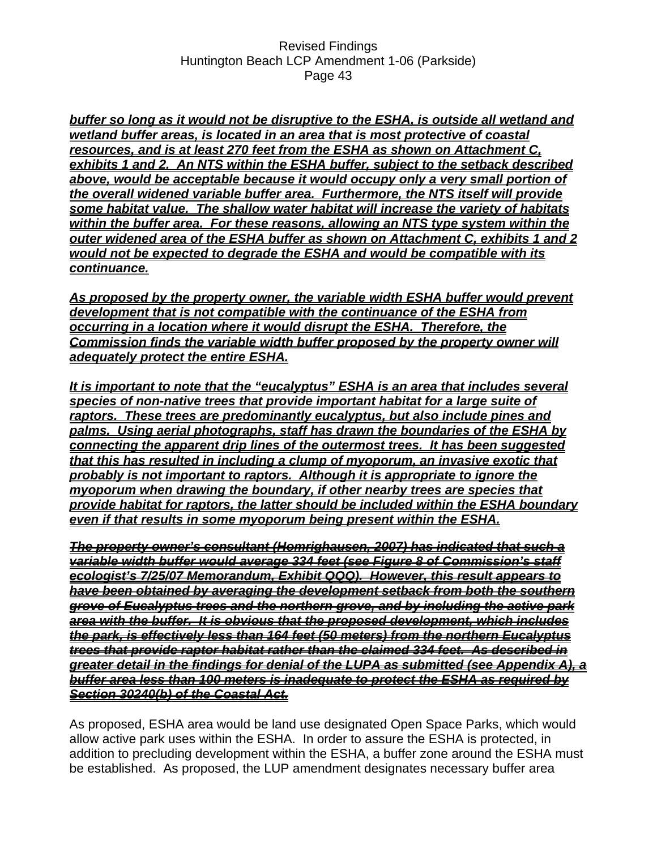*buffer so long as it would not be disruptive to the ESHA, is outside all wetland and wetland buffer areas, is located in an area that is most protective of coastal resources, and is at least 270 feet from the ESHA as shown on Attachment C, exhibits 1 and 2. An NTS within the ESHA buffer, subject to the setback described* above, would be acceptable because it would occupy only a very small portion of *the overall widened variable buffer area. Furthermore, the NTS itself will provide some habitat value. The shallow water habitat will increase the variety of habitats within the buffer area. For these reasons, allowing an NTS type system within the outer widened area of the ESHA buffer as shown on Attachment C, exhibits 1 and 2 would not be expected to degrade the ESHA and would be compatible with its continuance.*

*As proposed by the property owner, the variable width ESHA buffer would prevent development that is not compatible with the continuance of the ESHA from occurring in a location where it would disrupt the ESHA. Therefore, the Commission finds the variable width buffer proposed by the property owner will adequately protect the entire ESHA.*

*It is important to note that the "eucalyptus" ESHA is an area that includes several species of non-native trees that provide important habitat for a large suite of raptors. These trees are predominantly eucalyptus, but also include pines and palms. Using aerial photographs, staff has drawn the boundaries of the ESHA by connecting the apparent drip lines of the outermost trees. It has been suggested that this has resulted in including a clump of myoporum, an invasive exotic that probably is not important to raptors. Although it is appropriate to ignore the myoporum when drawing the boundary, if other nearby trees are species that provide habitat for raptors, the latter should be included within the ESHA boundary even if that results in some myoporum being present within the ESHA.*

*The property owner's consultant (Homrighausen, 2007) has indicated that such a variable width buffer would average 334 feet (see Figure 8 of Commission's staff ecologist's 7/25/07 Memorandum, Exhibit QQQ). However, this result appears to have been obtained by averaging the development setback from both the southern grove of Eucalyptus trees and the northern grove, and by including the active park area with the buffer. It is obvious that the proposed development, which includes the park, is effectively less than 164 feet (50 meters) from the northern Eucalyptus trees that provide raptor habitat rather than the claimed 334 feet. As described in greater detail in the findings for denial of the LUPA as submitted (see Appendix A), a buffer area less than 100 meters is inadequate to protect the ESHA as required by Section 30240(b) of the Coastal Act.*

As proposed, ESHA area would be land use designated Open Space Parks, which would allow active park uses within the ESHA. In order to assure the ESHA is protected, in addition to precluding development within the ESHA, a buffer zone around the ESHA must be established. As proposed, the LUP amendment designates necessary buffer area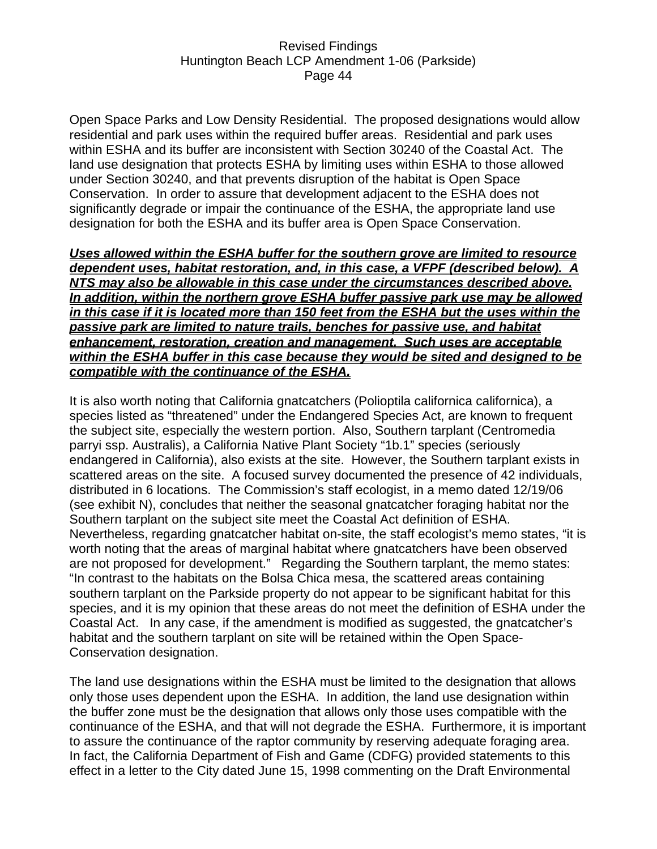Open Space Parks and Low Density Residential. The proposed designations would allow residential and park uses within the required buffer areas. Residential and park uses within ESHA and its buffer are inconsistent with Section 30240 of the Coastal Act. The land use designation that protects ESHA by limiting uses within ESHA to those allowed under Section 30240, and that prevents disruption of the habitat is Open Space Conservation. In order to assure that development adjacent to the ESHA does not significantly degrade or impair the continuance of the ESHA, the appropriate land use designation for both the ESHA and its buffer area is Open Space Conservation.

*Uses allowed within the ESHA buffer for the southern grove are limited to resource dependent uses, habitat restoration, and, in this case, a VFPF (described below). A NTS may also be allowable in this case under the circumstances described above. In addition, within the northern grove ESHA buffer passive park use may be allowed in this case if it is located more than 150 feet from the ESHA but the uses within the passive park are limited to nature trails, benches for passive use, and habitat enhancement, restoration, creation and management. Such uses are acceptable within the ESHA buffer in this case because they would be sited and designed to be compatible with the continuance of the ESHA.*

It is also worth noting that California gnatcatchers (Polioptila californica californica), a species listed as "threatened" under the Endangered Species Act, are known to frequent the subject site, especially the western portion. Also, Southern tarplant (Centromedia parryi ssp. Australis), a California Native Plant Society "1b.1" species (seriously endangered in California), also exists at the site. However, the Southern tarplant exists in scattered areas on the site. A focused survey documented the presence of 42 individuals, distributed in 6 locations. The Commission's staff ecologist, in a memo dated 12/19/06 (see exhibit N), concludes that neither the seasonal gnatcatcher foraging habitat nor the Southern tarplant on the subject site meet the Coastal Act definition of ESHA. Nevertheless, regarding gnatcatcher habitat on-site, the staff ecologist's memo states, "it is worth noting that the areas of marginal habitat where gnatcatchers have been observed are not proposed for development." Regarding the Southern tarplant, the memo states: "In contrast to the habitats on the Bolsa Chica mesa, the scattered areas containing southern tarplant on the Parkside property do not appear to be significant habitat for this species, and it is my opinion that these areas do not meet the definition of ESHA under the Coastal Act. In any case, if the amendment is modified as suggested, the gnatcatcher's habitat and the southern tarplant on site will be retained within the Open Space-Conservation designation.

The land use designations within the ESHA must be limited to the designation that allows only those uses dependent upon the ESHA. In addition, the land use designation within the buffer zone must be the designation that allows only those uses compatible with the continuance of the ESHA, and that will not degrade the ESHA. Furthermore, it is important to assure the continuance of the raptor community by reserving adequate foraging area. In fact, the California Department of Fish and Game (CDFG) provided statements to this effect in a letter to the City dated June 15, 1998 commenting on the Draft Environmental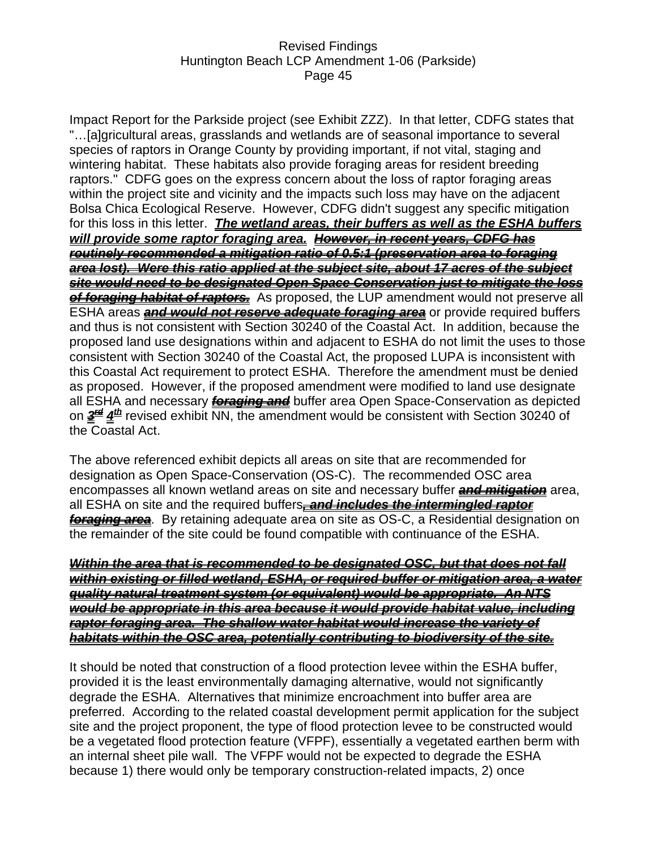Impact Report for the Parkside project (see Exhibit ZZZ). In that letter, CDFG states that "…[a]gricultural areas, grasslands and wetlands are of seasonal importance to several species of raptors in Orange County by providing important, if not vital, staging and wintering habitat. These habitats also provide foraging areas for resident breeding raptors." CDFG goes on the express concern about the loss of raptor foraging areas within the project site and vicinity and the impacts such loss may have on the adjacent Bolsa Chica Ecological Reserve. However, CDFG didn't suggest any specific mitigation for this loss in this letter. *The wetland areas, their buffers as well as the ESHA buffers will provide some raptor foraging area. However, in recent years, CDFG has routinely recommended a mitigation ratio of 0.5:1 (preservation area to foraging area lost). Were this ratio applied at the subject site, about 17 acres of the subject site would need to be designated Open Space Conservation just to mitigate the loss of foraging habitat of raptors.* As proposed, the LUP amendment would not preserve all ESHA areas *and would not reserve adequate foraging area* or provide required buffers and thus is not consistent with Section 30240 of the Coastal Act. In addition, because the proposed land use designations within and adjacent to ESHA do not limit the uses to those consistent with Section 30240 of the Coastal Act, the proposed LUPA is inconsistent with this Coastal Act requirement to protect ESHA. Therefore the amendment must be denied as proposed. However, if the proposed amendment were modified to land use designate all ESHA and necessary *foraging and* buffer area Open Space-Conservation as depicted on *3rd 4th* revised exhibit NN, the amendment would be consistent with Section 30240 of the Coastal Act.

The above referenced exhibit depicts all areas on site that are recommended for designation as Open Space-Conservation (OS-C). The recommended OSC area encompasses all known wetland areas on site and necessary buffer *and mitigation* area, all ESHA on site and the required buffers*, and includes the intermingled raptor foraging area*. By retaining adequate area on site as OS-C, a Residential designation on the remainder of the site could be found compatible with continuance of the ESHA.

*Within the area that is recommended to be designated OSC, but that does not fall within existing or filled wetland, ESHA, or required buffer or mitigation area, a water quality natural treatment system (or equivalent) would be appropriate. An NTS would be appropriate in this area because it would provide habitat value, including raptor foraging area. The shallow water habitat would increase the variety of habitats within the OSC area, potentially contributing to biodiversity of the site.*

It should be noted that construction of a flood protection levee within the ESHA buffer, provided it is the least environmentally damaging alternative, would not significantly degrade the ESHA. Alternatives that minimize encroachment into buffer area are preferred. According to the related coastal development permit application for the subject site and the project proponent, the type of flood protection levee to be constructed would be a vegetated flood protection feature (VFPF), essentially a vegetated earthen berm with an internal sheet pile wall. The VFPF would not be expected to degrade the ESHA because 1) there would only be temporary construction-related impacts, 2) once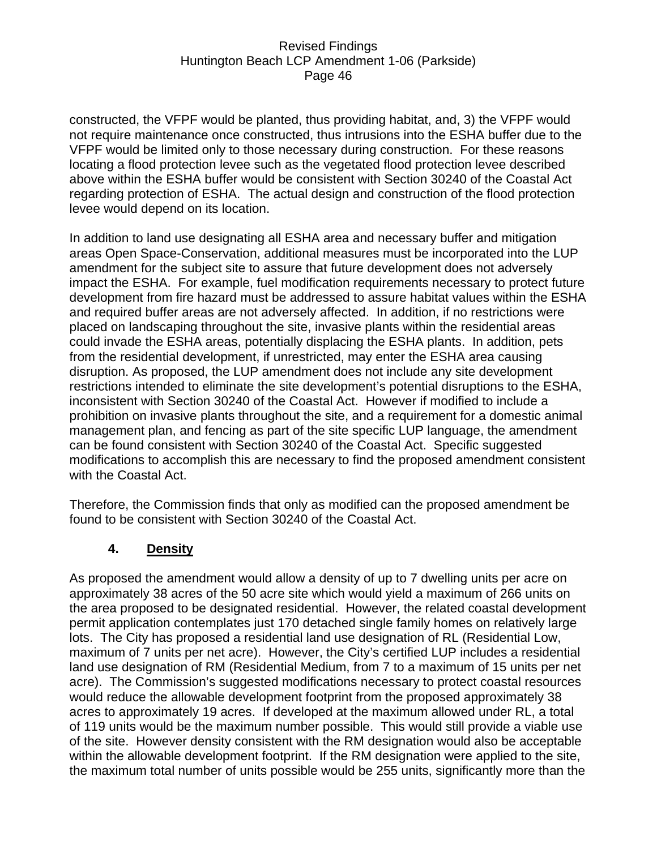constructed, the VFPF would be planted, thus providing habitat, and, 3) the VFPF would not require maintenance once constructed, thus intrusions into the ESHA buffer due to the VFPF would be limited only to those necessary during construction. For these reasons locating a flood protection levee such as the vegetated flood protection levee described above within the ESHA buffer would be consistent with Section 30240 of the Coastal Act regarding protection of ESHA. The actual design and construction of the flood protection levee would depend on its location.

In addition to land use designating all ESHA area and necessary buffer and mitigation areas Open Space-Conservation, additional measures must be incorporated into the LUP amendment for the subject site to assure that future development does not adversely impact the ESHA. For example, fuel modification requirements necessary to protect future development from fire hazard must be addressed to assure habitat values within the ESHA and required buffer areas are not adversely affected. In addition, if no restrictions were placed on landscaping throughout the site, invasive plants within the residential areas could invade the ESHA areas, potentially displacing the ESHA plants. In addition, pets from the residential development, if unrestricted, may enter the ESHA area causing disruption. As proposed, the LUP amendment does not include any site development restrictions intended to eliminate the site development's potential disruptions to the ESHA, inconsistent with Section 30240 of the Coastal Act. However if modified to include a prohibition on invasive plants throughout the site, and a requirement for a domestic animal management plan, and fencing as part of the site specific LUP language, the amendment can be found consistent with Section 30240 of the Coastal Act. Specific suggested modifications to accomplish this are necessary to find the proposed amendment consistent with the Coastal Act.

Therefore, the Commission finds that only as modified can the proposed amendment be found to be consistent with Section 30240 of the Coastal Act.

### **4. Density**

As proposed the amendment would allow a density of up to 7 dwelling units per acre on approximately 38 acres of the 50 acre site which would yield a maximum of 266 units on the area proposed to be designated residential. However, the related coastal development permit application contemplates just 170 detached single family homes on relatively large lots. The City has proposed a residential land use designation of RL (Residential Low, maximum of 7 units per net acre). However, the City's certified LUP includes a residential land use designation of RM (Residential Medium, from 7 to a maximum of 15 units per net acre). The Commission's suggested modifications necessary to protect coastal resources would reduce the allowable development footprint from the proposed approximately 38 acres to approximately 19 acres. If developed at the maximum allowed under RL, a total of 119 units would be the maximum number possible. This would still provide a viable use of the site. However density consistent with the RM designation would also be acceptable within the allowable development footprint. If the RM designation were applied to the site, the maximum total number of units possible would be 255 units, significantly more than the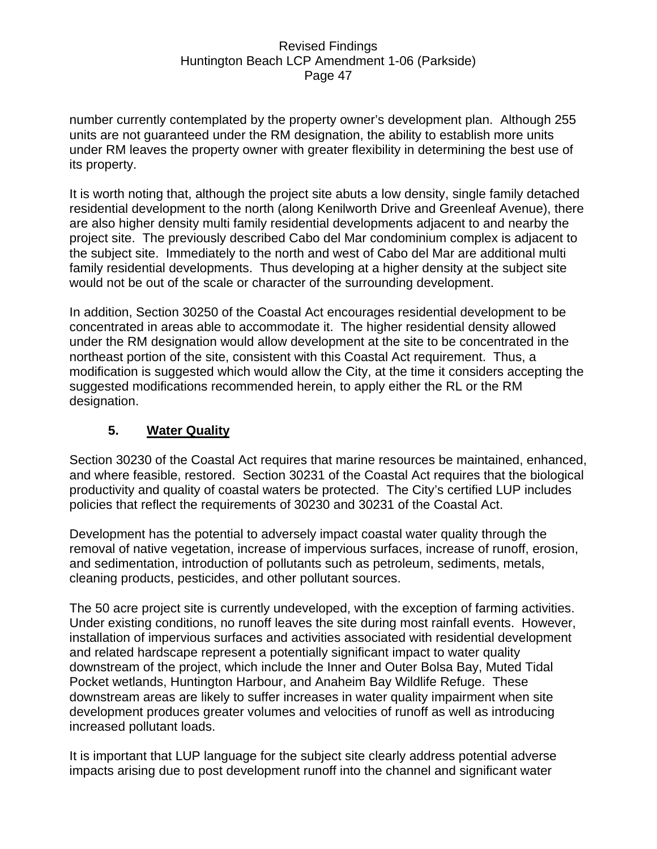number currently contemplated by the property owner's development plan. Although 255 units are not guaranteed under the RM designation, the ability to establish more units under RM leaves the property owner with greater flexibility in determining the best use of its property.

It is worth noting that, although the project site abuts a low density, single family detached residential development to the north (along Kenilworth Drive and Greenleaf Avenue), there are also higher density multi family residential developments adjacent to and nearby the project site. The previously described Cabo del Mar condominium complex is adjacent to the subject site. Immediately to the north and west of Cabo del Mar are additional multi family residential developments. Thus developing at a higher density at the subject site would not be out of the scale or character of the surrounding development.

In addition, Section 30250 of the Coastal Act encourages residential development to be concentrated in areas able to accommodate it. The higher residential density allowed under the RM designation would allow development at the site to be concentrated in the northeast portion of the site, consistent with this Coastal Act requirement. Thus, a modification is suggested which would allow the City, at the time it considers accepting the suggested modifications recommended herein, to apply either the RL or the RM designation.

# **5. Water Quality**

Section 30230 of the Coastal Act requires that marine resources be maintained, enhanced, and where feasible, restored. Section 30231 of the Coastal Act requires that the biological productivity and quality of coastal waters be protected. The City's certified LUP includes policies that reflect the requirements of 30230 and 30231 of the Coastal Act.

Development has the potential to adversely impact coastal water quality through the removal of native vegetation, increase of impervious surfaces, increase of runoff, erosion, and sedimentation, introduction of pollutants such as petroleum, sediments, metals, cleaning products, pesticides, and other pollutant sources.

The 50 acre project site is currently undeveloped, with the exception of farming activities. Under existing conditions, no runoff leaves the site during most rainfall events. However, installation of impervious surfaces and activities associated with residential development and related hardscape represent a potentially significant impact to water quality downstream of the project, which include the Inner and Outer Bolsa Bay, Muted Tidal Pocket wetlands, Huntington Harbour, and Anaheim Bay Wildlife Refuge. These downstream areas are likely to suffer increases in water quality impairment when site development produces greater volumes and velocities of runoff as well as introducing increased pollutant loads.

It is important that LUP language for the subject site clearly address potential adverse impacts arising due to post development runoff into the channel and significant water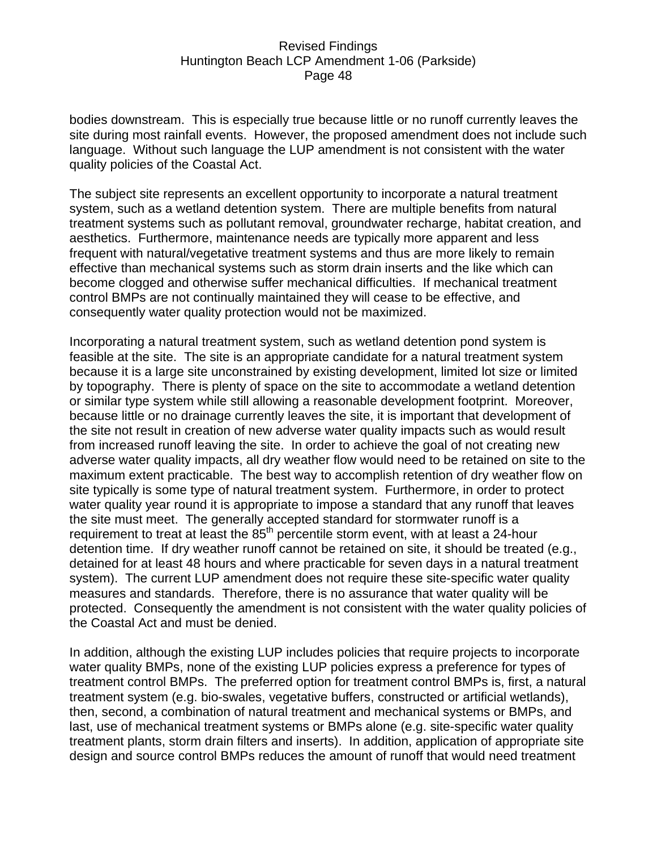bodies downstream. This is especially true because little or no runoff currently leaves the site during most rainfall events. However, the proposed amendment does not include such language. Without such language the LUP amendment is not consistent with the water quality policies of the Coastal Act.

The subject site represents an excellent opportunity to incorporate a natural treatment system, such as a wetland detention system. There are multiple benefits from natural treatment systems such as pollutant removal, groundwater recharge, habitat creation, and aesthetics. Furthermore, maintenance needs are typically more apparent and less frequent with natural/vegetative treatment systems and thus are more likely to remain effective than mechanical systems such as storm drain inserts and the like which can become clogged and otherwise suffer mechanical difficulties. If mechanical treatment control BMPs are not continually maintained they will cease to be effective, and consequently water quality protection would not be maximized.

Incorporating a natural treatment system, such as wetland detention pond system is feasible at the site. The site is an appropriate candidate for a natural treatment system because it is a large site unconstrained by existing development, limited lot size or limited by topography. There is plenty of space on the site to accommodate a wetland detention or similar type system while still allowing a reasonable development footprint. Moreover, because little or no drainage currently leaves the site, it is important that development of the site not result in creation of new adverse water quality impacts such as would result from increased runoff leaving the site. In order to achieve the goal of not creating new adverse water quality impacts, all dry weather flow would need to be retained on site to the maximum extent practicable. The best way to accomplish retention of dry weather flow on site typically is some type of natural treatment system. Furthermore, in order to protect water quality year round it is appropriate to impose a standard that any runoff that leaves the site must meet. The generally accepted standard for stormwater runoff is a requirement to treat at least the  $85<sup>th</sup>$  percentile storm event, with at least a 24-hour detention time. If dry weather runoff cannot be retained on site, it should be treated (e.g., detained for at least 48 hours and where practicable for seven days in a natural treatment system). The current LUP amendment does not require these site-specific water quality measures and standards. Therefore, there is no assurance that water quality will be protected. Consequently the amendment is not consistent with the water quality policies of the Coastal Act and must be denied.

In addition, although the existing LUP includes policies that require projects to incorporate water quality BMPs, none of the existing LUP policies express a preference for types of treatment control BMPs. The preferred option for treatment control BMPs is, first, a natural treatment system (e.g. bio-swales, vegetative buffers, constructed or artificial wetlands), then, second, a combination of natural treatment and mechanical systems or BMPs, and last, use of mechanical treatment systems or BMPs alone (e.g. site-specific water quality treatment plants, storm drain filters and inserts). In addition, application of appropriate site design and source control BMPs reduces the amount of runoff that would need treatment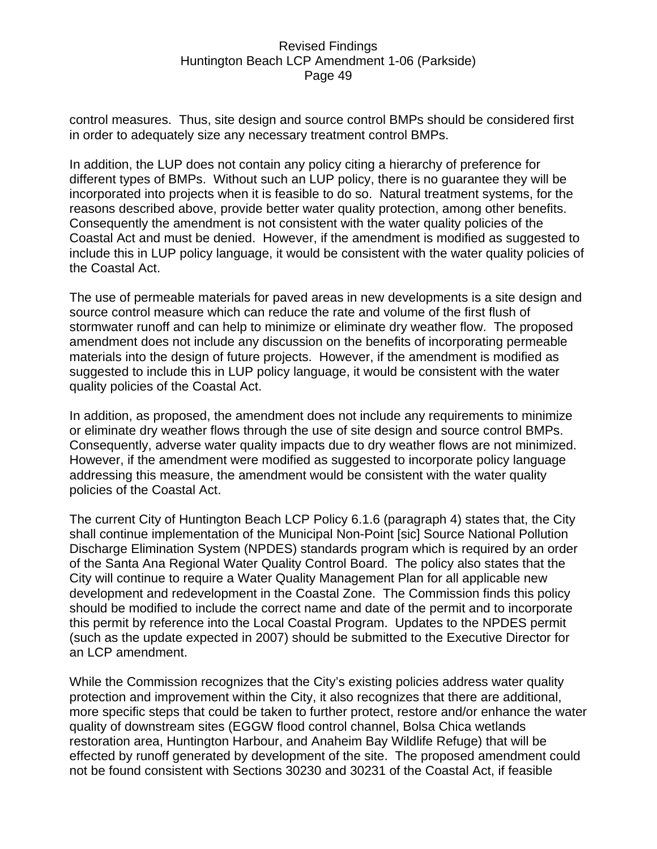control measures. Thus, site design and source control BMPs should be considered first in order to adequately size any necessary treatment control BMPs.

In addition, the LUP does not contain any policy citing a hierarchy of preference for different types of BMPs. Without such an LUP policy, there is no guarantee they will be incorporated into projects when it is feasible to do so. Natural treatment systems, for the reasons described above, provide better water quality protection, among other benefits. Consequently the amendment is not consistent with the water quality policies of the Coastal Act and must be denied. However, if the amendment is modified as suggested to include this in LUP policy language, it would be consistent with the water quality policies of the Coastal Act.

The use of permeable materials for paved areas in new developments is a site design and source control measure which can reduce the rate and volume of the first flush of stormwater runoff and can help to minimize or eliminate dry weather flow. The proposed amendment does not include any discussion on the benefits of incorporating permeable materials into the design of future projects. However, if the amendment is modified as suggested to include this in LUP policy language, it would be consistent with the water quality policies of the Coastal Act.

In addition, as proposed, the amendment does not include any requirements to minimize or eliminate dry weather flows through the use of site design and source control BMPs. Consequently, adverse water quality impacts due to dry weather flows are not minimized. However, if the amendment were modified as suggested to incorporate policy language addressing this measure, the amendment would be consistent with the water quality policies of the Coastal Act.

The current City of Huntington Beach LCP Policy 6.1.6 (paragraph 4) states that, the City shall continue implementation of the Municipal Non-Point [sic] Source National Pollution Discharge Elimination System (NPDES) standards program which is required by an order of the Santa Ana Regional Water Quality Control Board. The policy also states that the City will continue to require a Water Quality Management Plan for all applicable new development and redevelopment in the Coastal Zone. The Commission finds this policy should be modified to include the correct name and date of the permit and to incorporate this permit by reference into the Local Coastal Program. Updates to the NPDES permit (such as the update expected in 2007) should be submitted to the Executive Director for an LCP amendment.

While the Commission recognizes that the City's existing policies address water quality protection and improvement within the City, it also recognizes that there are additional, more specific steps that could be taken to further protect, restore and/or enhance the water quality of downstream sites (EGGW flood control channel, Bolsa Chica wetlands restoration area, Huntington Harbour, and Anaheim Bay Wildlife Refuge) that will be effected by runoff generated by development of the site. The proposed amendment could not be found consistent with Sections 30230 and 30231 of the Coastal Act, if feasible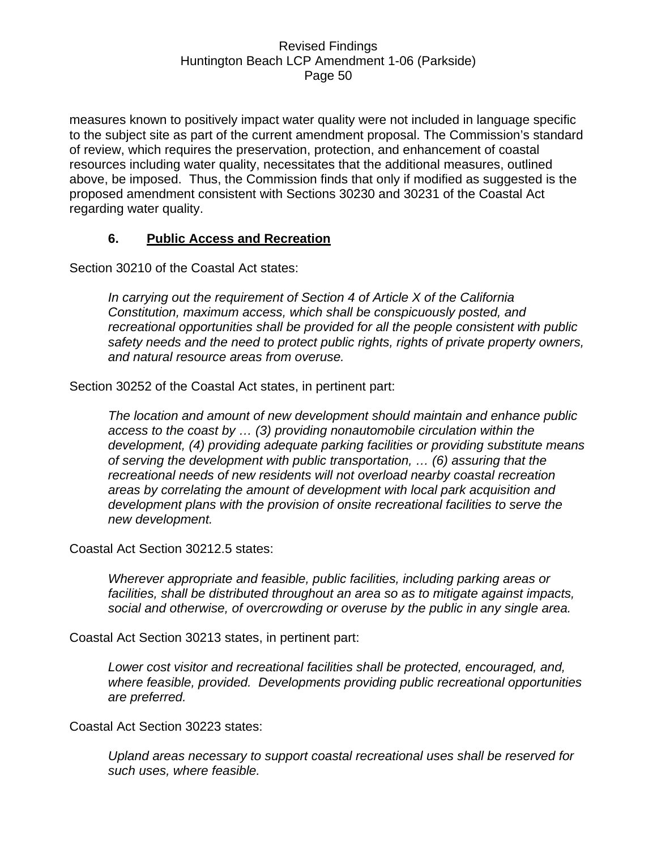measures known to positively impact water quality were not included in language specific to the subject site as part of the current amendment proposal. The Commission's standard of review, which requires the preservation, protection, and enhancement of coastal resources including water quality, necessitates that the additional measures, outlined above, be imposed. Thus, the Commission finds that only if modified as suggested is the proposed amendment consistent with Sections 30230 and 30231 of the Coastal Act regarding water quality.

### **6. Public Access and Recreation**

Section 30210 of the Coastal Act states:

*In carrying out the requirement of Section 4 of Article X of the California Constitution, maximum access, which shall be conspicuously posted, and recreational opportunities shall be provided for all the people consistent with public safety needs and the need to protect public rights, rights of private property owners, and natural resource areas from overuse.* 

Section 30252 of the Coastal Act states, in pertinent part:

*The location and amount of new development should maintain and enhance public access to the coast by … (3) providing nonautomobile circulation within the development, (4) providing adequate parking facilities or providing substitute means of serving the development with public transportation, … (6) assuring that the recreational needs of new residents will not overload nearby coastal recreation areas by correlating the amount of development with local park acquisition and development plans with the provision of onsite recreational facilities to serve the new development.* 

Coastal Act Section 30212.5 states:

*Wherever appropriate and feasible, public facilities, including parking areas or facilities, shall be distributed throughout an area so as to mitigate against impacts, social and otherwise, of overcrowding or overuse by the public in any single area.* 

Coastal Act Section 30213 states, in pertinent part:

*Lower cost visitor and recreational facilities shall be protected, encouraged, and, where feasible, provided. Developments providing public recreational opportunities are preferred.* 

Coastal Act Section 30223 states:

*Upland areas necessary to support coastal recreational uses shall be reserved for such uses, where feasible.*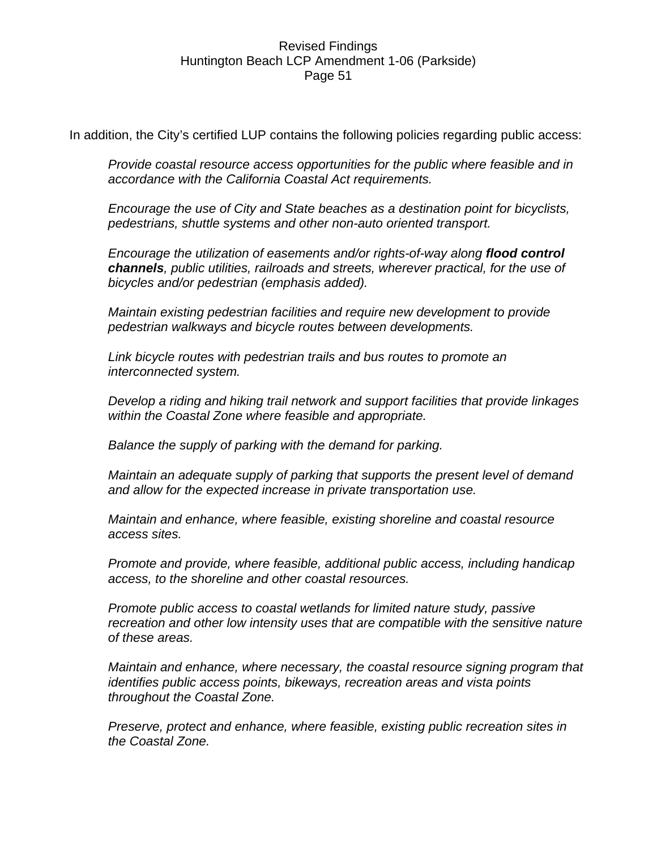In addition, the City's certified LUP contains the following policies regarding public access:

*Provide coastal resource access opportunities for the public where feasible and in accordance with the California Coastal Act requirements.* 

*Encourage the use of City and State beaches as a destination point for bicyclists, pedestrians, shuttle systems and other non-auto oriented transport.* 

*Encourage the utilization of easements and/or rights-of-way along flood control channels, public utilities, railroads and streets, wherever practical, for the use of bicycles and/or pedestrian (emphasis added).* 

*Maintain existing pedestrian facilities and require new development to provide pedestrian walkways and bicycle routes between developments.* 

*Link bicycle routes with pedestrian trails and bus routes to promote an interconnected system.* 

*Develop a riding and hiking trail network and support facilities that provide linkages within the Coastal Zone where feasible and appropriate.* 

*Balance the supply of parking with the demand for parking.* 

*Maintain an adequate supply of parking that supports the present level of demand and allow for the expected increase in private transportation use.* 

*Maintain and enhance, where feasible, existing shoreline and coastal resource access sites.* 

*Promote and provide, where feasible, additional public access, including handicap access, to the shoreline and other coastal resources.* 

*Promote public access to coastal wetlands for limited nature study, passive recreation and other low intensity uses that are compatible with the sensitive nature of these areas.* 

*Maintain and enhance, where necessary, the coastal resource signing program that identifies public access points, bikeways, recreation areas and vista points throughout the Coastal Zone.* 

*Preserve, protect and enhance, where feasible, existing public recreation sites in the Coastal Zone.*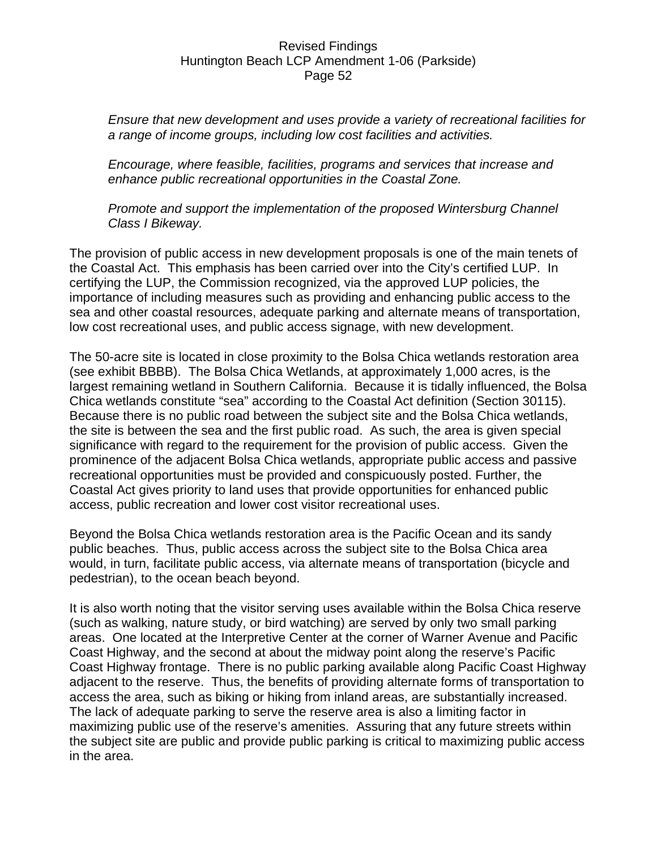*Ensure that new development and uses provide a variety of recreational facilities for a range of income groups, including low cost facilities and activities.* 

*Encourage, where feasible, facilities, programs and services that increase and enhance public recreational opportunities in the Coastal Zone.* 

*Promote and support the implementation of the proposed Wintersburg Channel Class I Bikeway.* 

The provision of public access in new development proposals is one of the main tenets of the Coastal Act. This emphasis has been carried over into the City's certified LUP. In certifying the LUP, the Commission recognized, via the approved LUP policies, the importance of including measures such as providing and enhancing public access to the sea and other coastal resources, adequate parking and alternate means of transportation, low cost recreational uses, and public access signage, with new development.

The 50-acre site is located in close proximity to the Bolsa Chica wetlands restoration area (see exhibit BBBB). The Bolsa Chica Wetlands, at approximately 1,000 acres, is the largest remaining wetland in Southern California. Because it is tidally influenced, the Bolsa Chica wetlands constitute "sea" according to the Coastal Act definition (Section 30115). Because there is no public road between the subject site and the Bolsa Chica wetlands, the site is between the sea and the first public road. As such, the area is given special significance with regard to the requirement for the provision of public access. Given the prominence of the adjacent Bolsa Chica wetlands, appropriate public access and passive recreational opportunities must be provided and conspicuously posted. Further, the Coastal Act gives priority to land uses that provide opportunities for enhanced public access, public recreation and lower cost visitor recreational uses.

Beyond the Bolsa Chica wetlands restoration area is the Pacific Ocean and its sandy public beaches. Thus, public access across the subject site to the Bolsa Chica area would, in turn, facilitate public access, via alternate means of transportation (bicycle and pedestrian), to the ocean beach beyond.

It is also worth noting that the visitor serving uses available within the Bolsa Chica reserve (such as walking, nature study, or bird watching) are served by only two small parking areas. One located at the Interpretive Center at the corner of Warner Avenue and Pacific Coast Highway, and the second at about the midway point along the reserve's Pacific Coast Highway frontage. There is no public parking available along Pacific Coast Highway adjacent to the reserve. Thus, the benefits of providing alternate forms of transportation to access the area, such as biking or hiking from inland areas, are substantially increased. The lack of adequate parking to serve the reserve area is also a limiting factor in maximizing public use of the reserve's amenities. Assuring that any future streets within the subject site are public and provide public parking is critical to maximizing public access in the area.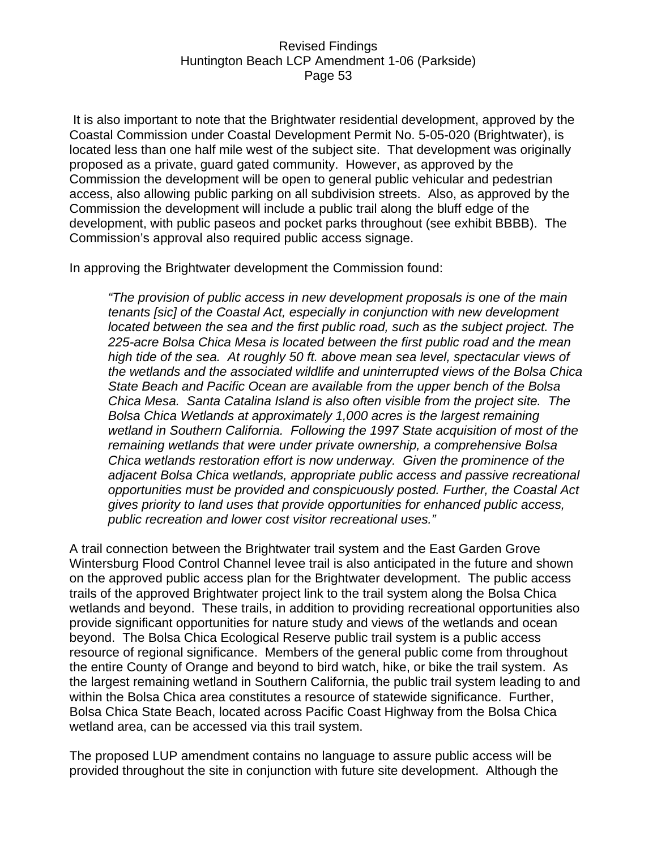It is also important to note that the Brightwater residential development, approved by the Coastal Commission under Coastal Development Permit No. 5-05-020 (Brightwater), is located less than one half mile west of the subject site. That development was originally proposed as a private, guard gated community. However, as approved by the Commission the development will be open to general public vehicular and pedestrian access, also allowing public parking on all subdivision streets. Also, as approved by the Commission the development will include a public trail along the bluff edge of the development, with public paseos and pocket parks throughout (see exhibit BBBB). The Commission's approval also required public access signage.

In approving the Brightwater development the Commission found:

*"The provision of public access in new development proposals is one of the main tenants [sic] of the Coastal Act, especially in conjunction with new development located between the sea and the first public road, such as the subject project. The 225-acre Bolsa Chica Mesa is located between the first public road and the mean high tide of the sea. At roughly 50 ft. above mean sea level, spectacular views of the wetlands and the associated wildlife and uninterrupted views of the Bolsa Chica State Beach and Pacific Ocean are available from the upper bench of the Bolsa Chica Mesa. Santa Catalina Island is also often visible from the project site. The Bolsa Chica Wetlands at approximately 1,000 acres is the largest remaining wetland in Southern California. Following the 1997 State acquisition of most of the remaining wetlands that were under private ownership, a comprehensive Bolsa Chica wetlands restoration effort is now underway. Given the prominence of the adjacent Bolsa Chica wetlands, appropriate public access and passive recreational opportunities must be provided and conspicuously posted. Further, the Coastal Act gives priority to land uses that provide opportunities for enhanced public access, public recreation and lower cost visitor recreational uses."* 

A trail connection between the Brightwater trail system and the East Garden Grove Wintersburg Flood Control Channel levee trail is also anticipated in the future and shown on the approved public access plan for the Brightwater development. The public access trails of the approved Brightwater project link to the trail system along the Bolsa Chica wetlands and beyond. These trails, in addition to providing recreational opportunities also provide significant opportunities for nature study and views of the wetlands and ocean beyond. The Bolsa Chica Ecological Reserve public trail system is a public access resource of regional significance. Members of the general public come from throughout the entire County of Orange and beyond to bird watch, hike, or bike the trail system. As the largest remaining wetland in Southern California, the public trail system leading to and within the Bolsa Chica area constitutes a resource of statewide significance. Further, Bolsa Chica State Beach, located across Pacific Coast Highway from the Bolsa Chica wetland area, can be accessed via this trail system.

The proposed LUP amendment contains no language to assure public access will be provided throughout the site in conjunction with future site development. Although the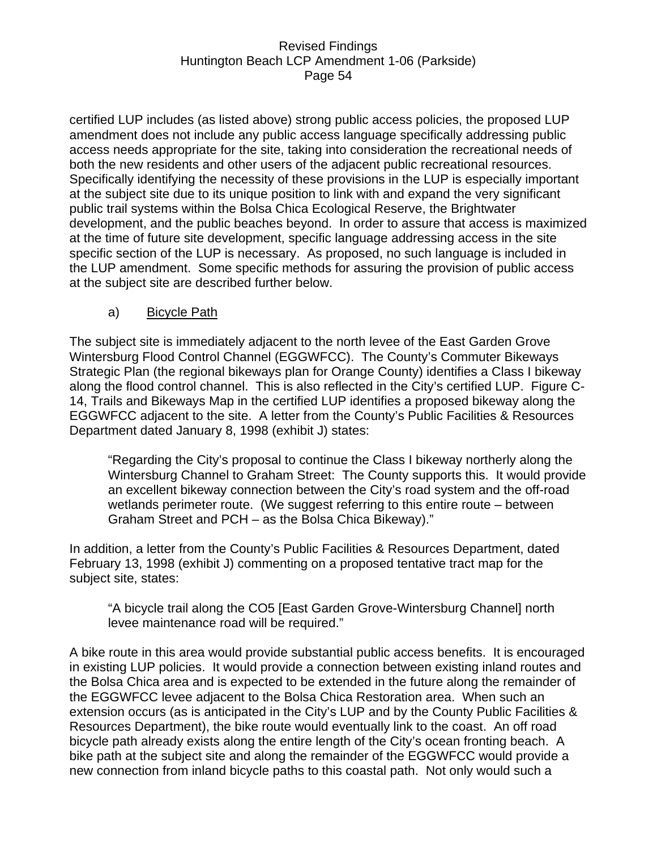certified LUP includes (as listed above) strong public access policies, the proposed LUP amendment does not include any public access language specifically addressing public access needs appropriate for the site, taking into consideration the recreational needs of both the new residents and other users of the adjacent public recreational resources. Specifically identifying the necessity of these provisions in the LUP is especially important at the subject site due to its unique position to link with and expand the very significant public trail systems within the Bolsa Chica Ecological Reserve, the Brightwater development, and the public beaches beyond. In order to assure that access is maximized at the time of future site development, specific language addressing access in the site specific section of the LUP is necessary. As proposed, no such language is included in the LUP amendment. Some specific methods for assuring the provision of public access at the subject site are described further below.

### a) Bicycle Path

The subject site is immediately adjacent to the north levee of the East Garden Grove Wintersburg Flood Control Channel (EGGWFCC). The County's Commuter Bikeways Strategic Plan (the regional bikeways plan for Orange County) identifies a Class I bikeway along the flood control channel. This is also reflected in the City's certified LUP. Figure C-14, Trails and Bikeways Map in the certified LUP identifies a proposed bikeway along the EGGWFCC adjacent to the site. A letter from the County's Public Facilities & Resources Department dated January 8, 1998 (exhibit J) states:

"Regarding the City's proposal to continue the Class I bikeway northerly along the Wintersburg Channel to Graham Street: The County supports this. It would provide an excellent bikeway connection between the City's road system and the off-road wetlands perimeter route. (We suggest referring to this entire route – between Graham Street and PCH – as the Bolsa Chica Bikeway)."

In addition, a letter from the County's Public Facilities & Resources Department, dated February 13, 1998 (exhibit J) commenting on a proposed tentative tract map for the subject site, states:

"A bicycle trail along the CO5 [East Garden Grove-Wintersburg Channel] north levee maintenance road will be required."

A bike route in this area would provide substantial public access benefits. It is encouraged in existing LUP policies. It would provide a connection between existing inland routes and the Bolsa Chica area and is expected to be extended in the future along the remainder of the EGGWFCC levee adjacent to the Bolsa Chica Restoration area. When such an extension occurs (as is anticipated in the City's LUP and by the County Public Facilities & Resources Department), the bike route would eventually link to the coast. An off road bicycle path already exists along the entire length of the City's ocean fronting beach. A bike path at the subject site and along the remainder of the EGGWFCC would provide a new connection from inland bicycle paths to this coastal path. Not only would such a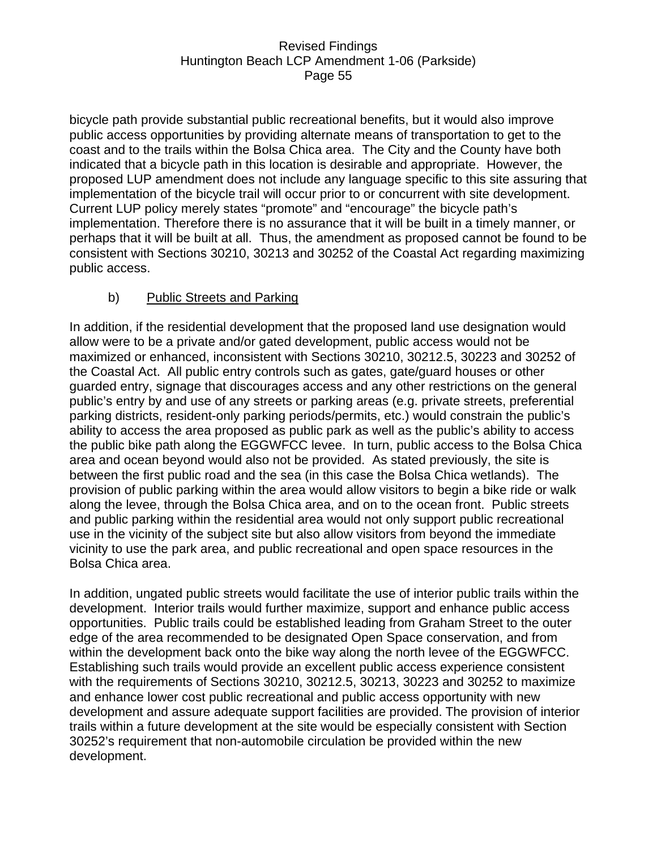bicycle path provide substantial public recreational benefits, but it would also improve public access opportunities by providing alternate means of transportation to get to the coast and to the trails within the Bolsa Chica area. The City and the County have both indicated that a bicycle path in this location is desirable and appropriate. However, the proposed LUP amendment does not include any language specific to this site assuring that implementation of the bicycle trail will occur prior to or concurrent with site development. Current LUP policy merely states "promote" and "encourage" the bicycle path's implementation. Therefore there is no assurance that it will be built in a timely manner, or perhaps that it will be built at all. Thus, the amendment as proposed cannot be found to be consistent with Sections 30210, 30213 and 30252 of the Coastal Act regarding maximizing public access.

### b) Public Streets and Parking

In addition, if the residential development that the proposed land use designation would allow were to be a private and/or gated development, public access would not be maximized or enhanced, inconsistent with Sections 30210, 30212.5, 30223 and 30252 of the Coastal Act. All public entry controls such as gates, gate/guard houses or other guarded entry, signage that discourages access and any other restrictions on the general public's entry by and use of any streets or parking areas (e.g. private streets, preferential parking districts, resident-only parking periods/permits, etc.) would constrain the public's ability to access the area proposed as public park as well as the public's ability to access the public bike path along the EGGWFCC levee. In turn, public access to the Bolsa Chica area and ocean beyond would also not be provided. As stated previously, the site is between the first public road and the sea (in this case the Bolsa Chica wetlands). The provision of public parking within the area would allow visitors to begin a bike ride or walk along the levee, through the Bolsa Chica area, and on to the ocean front. Public streets and public parking within the residential area would not only support public recreational use in the vicinity of the subject site but also allow visitors from beyond the immediate vicinity to use the park area, and public recreational and open space resources in the Bolsa Chica area.

In addition, ungated public streets would facilitate the use of interior public trails within the development. Interior trails would further maximize, support and enhance public access opportunities. Public trails could be established leading from Graham Street to the outer edge of the area recommended to be designated Open Space conservation, and from within the development back onto the bike way along the north levee of the EGGWFCC. Establishing such trails would provide an excellent public access experience consistent with the requirements of Sections 30210, 30212.5, 30213, 30223 and 30252 to maximize and enhance lower cost public recreational and public access opportunity with new development and assure adequate support facilities are provided. The provision of interior trails within a future development at the site would be especially consistent with Section 30252's requirement that non-automobile circulation be provided within the new development.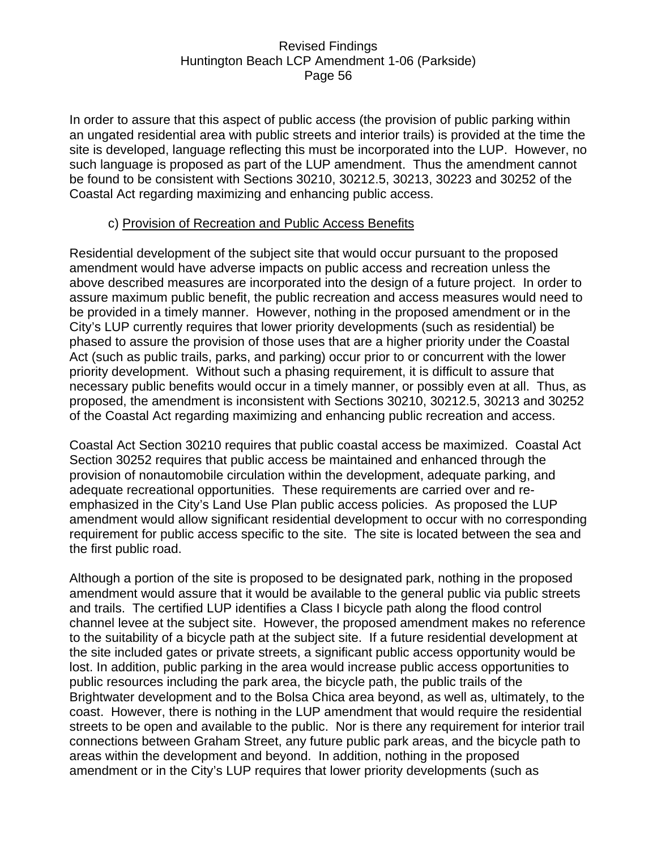In order to assure that this aspect of public access (the provision of public parking within an ungated residential area with public streets and interior trails) is provided at the time the site is developed, language reflecting this must be incorporated into the LUP. However, no such language is proposed as part of the LUP amendment. Thus the amendment cannot be found to be consistent with Sections 30210, 30212.5, 30213, 30223 and 30252 of the Coastal Act regarding maximizing and enhancing public access.

### c) Provision of Recreation and Public Access Benefits

Residential development of the subject site that would occur pursuant to the proposed amendment would have adverse impacts on public access and recreation unless the above described measures are incorporated into the design of a future project. In order to assure maximum public benefit, the public recreation and access measures would need to be provided in a timely manner. However, nothing in the proposed amendment or in the City's LUP currently requires that lower priority developments (such as residential) be phased to assure the provision of those uses that are a higher priority under the Coastal Act (such as public trails, parks, and parking) occur prior to or concurrent with the lower priority development. Without such a phasing requirement, it is difficult to assure that necessary public benefits would occur in a timely manner, or possibly even at all. Thus, as proposed, the amendment is inconsistent with Sections 30210, 30212.5, 30213 and 30252 of the Coastal Act regarding maximizing and enhancing public recreation and access.

Coastal Act Section 30210 requires that public coastal access be maximized. Coastal Act Section 30252 requires that public access be maintained and enhanced through the provision of nonautomobile circulation within the development, adequate parking, and adequate recreational opportunities. These requirements are carried over and reemphasized in the City's Land Use Plan public access policies. As proposed the LUP amendment would allow significant residential development to occur with no corresponding requirement for public access specific to the site. The site is located between the sea and the first public road.

Although a portion of the site is proposed to be designated park, nothing in the proposed amendment would assure that it would be available to the general public via public streets and trails. The certified LUP identifies a Class I bicycle path along the flood control channel levee at the subject site. However, the proposed amendment makes no reference to the suitability of a bicycle path at the subject site. If a future residential development at the site included gates or private streets, a significant public access opportunity would be lost. In addition, public parking in the area would increase public access opportunities to public resources including the park area, the bicycle path, the public trails of the Brightwater development and to the Bolsa Chica area beyond, as well as, ultimately, to the coast. However, there is nothing in the LUP amendment that would require the residential streets to be open and available to the public. Nor is there any requirement for interior trail connections between Graham Street, any future public park areas, and the bicycle path to areas within the development and beyond. In addition, nothing in the proposed amendment or in the City's LUP requires that lower priority developments (such as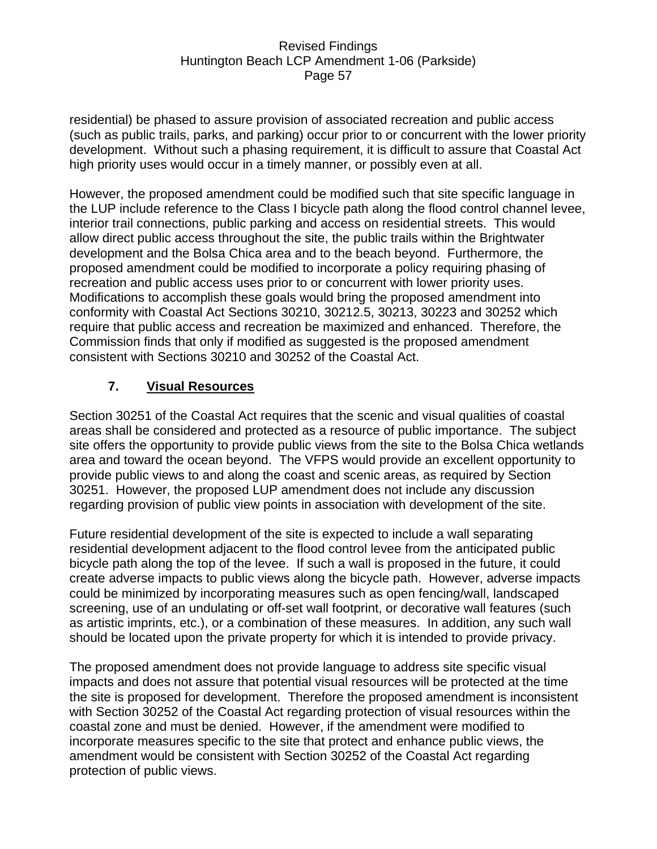residential) be phased to assure provision of associated recreation and public access (such as public trails, parks, and parking) occur prior to or concurrent with the lower priority development. Without such a phasing requirement, it is difficult to assure that Coastal Act high priority uses would occur in a timely manner, or possibly even at all.

However, the proposed amendment could be modified such that site specific language in the LUP include reference to the Class I bicycle path along the flood control channel levee, interior trail connections, public parking and access on residential streets. This would allow direct public access throughout the site, the public trails within the Brightwater development and the Bolsa Chica area and to the beach beyond. Furthermore, the proposed amendment could be modified to incorporate a policy requiring phasing of recreation and public access uses prior to or concurrent with lower priority uses. Modifications to accomplish these goals would bring the proposed amendment into conformity with Coastal Act Sections 30210, 30212.5, 30213, 30223 and 30252 which require that public access and recreation be maximized and enhanced. Therefore, the Commission finds that only if modified as suggested is the proposed amendment consistent with Sections 30210 and 30252 of the Coastal Act.

# **7. Visual Resources**

Section 30251 of the Coastal Act requires that the scenic and visual qualities of coastal areas shall be considered and protected as a resource of public importance. The subject site offers the opportunity to provide public views from the site to the Bolsa Chica wetlands area and toward the ocean beyond. The VFPS would provide an excellent opportunity to provide public views to and along the coast and scenic areas, as required by Section 30251. However, the proposed LUP amendment does not include any discussion regarding provision of public view points in association with development of the site.

Future residential development of the site is expected to include a wall separating residential development adjacent to the flood control levee from the anticipated public bicycle path along the top of the levee. If such a wall is proposed in the future, it could create adverse impacts to public views along the bicycle path. However, adverse impacts could be minimized by incorporating measures such as open fencing/wall, landscaped screening, use of an undulating or off-set wall footprint, or decorative wall features (such as artistic imprints, etc.), or a combination of these measures. In addition, any such wall should be located upon the private property for which it is intended to provide privacy.

The proposed amendment does not provide language to address site specific visual impacts and does not assure that potential visual resources will be protected at the time the site is proposed for development. Therefore the proposed amendment is inconsistent with Section 30252 of the Coastal Act regarding protection of visual resources within the coastal zone and must be denied. However, if the amendment were modified to incorporate measures specific to the site that protect and enhance public views, the amendment would be consistent with Section 30252 of the Coastal Act regarding protection of public views.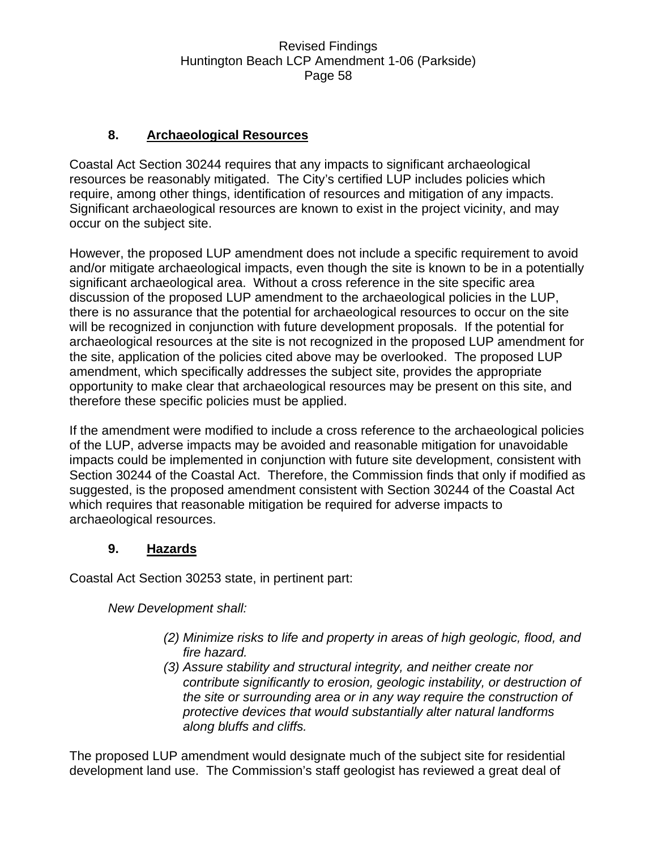### **8. Archaeological Resources**

Coastal Act Section 30244 requires that any impacts to significant archaeological resources be reasonably mitigated. The City's certified LUP includes policies which require, among other things, identification of resources and mitigation of any impacts. Significant archaeological resources are known to exist in the project vicinity, and may occur on the subject site.

However, the proposed LUP amendment does not include a specific requirement to avoid and/or mitigate archaeological impacts, even though the site is known to be in a potentially significant archaeological area. Without a cross reference in the site specific area discussion of the proposed LUP amendment to the archaeological policies in the LUP, there is no assurance that the potential for archaeological resources to occur on the site will be recognized in conjunction with future development proposals. If the potential for archaeological resources at the site is not recognized in the proposed LUP amendment for the site, application of the policies cited above may be overlooked. The proposed LUP amendment, which specifically addresses the subject site, provides the appropriate opportunity to make clear that archaeological resources may be present on this site, and therefore these specific policies must be applied.

If the amendment were modified to include a cross reference to the archaeological policies of the LUP, adverse impacts may be avoided and reasonable mitigation for unavoidable impacts could be implemented in conjunction with future site development, consistent with Section 30244 of the Coastal Act. Therefore, the Commission finds that only if modified as suggested, is the proposed amendment consistent with Section 30244 of the Coastal Act which requires that reasonable mitigation be required for adverse impacts to archaeological resources.

### **9. Hazards**

Coastal Act Section 30253 state, in pertinent part:

*New Development shall:* 

- *(2) Minimize risks to life and property in areas of high geologic, flood, and fire hazard.*
- *(3) Assure stability and structural integrity, and neither create nor contribute significantly to erosion, geologic instability, or destruction of the site or surrounding area or in any way require the construction of protective devices that would substantially alter natural landforms along bluffs and cliffs.*

The proposed LUP amendment would designate much of the subject site for residential development land use. The Commission's staff geologist has reviewed a great deal of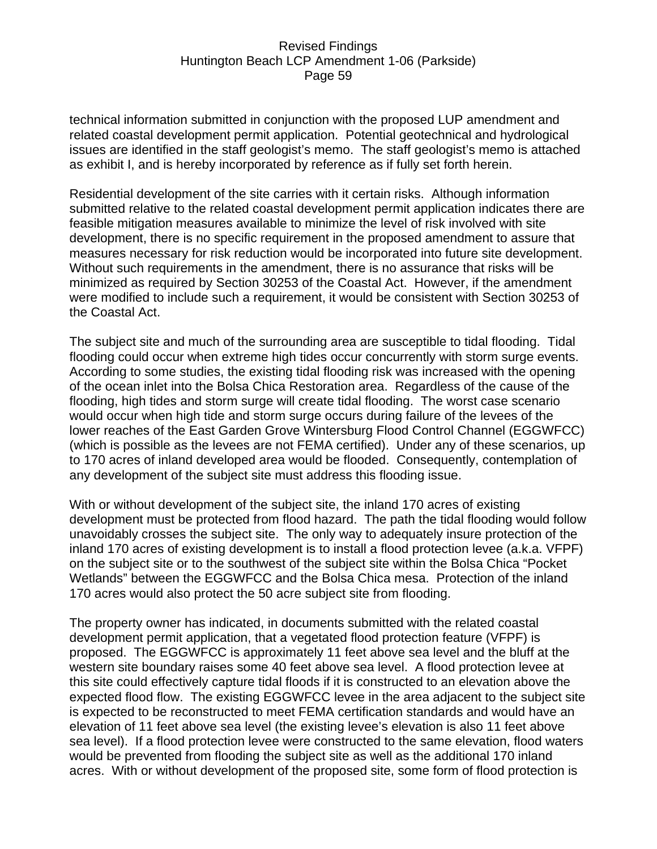technical information submitted in conjunction with the proposed LUP amendment and related coastal development permit application. Potential geotechnical and hydrological issues are identified in the staff geologist's memo. The staff geologist's memo is attached as exhibit I, and is hereby incorporated by reference as if fully set forth herein.

Residential development of the site carries with it certain risks. Although information submitted relative to the related coastal development permit application indicates there are feasible mitigation measures available to minimize the level of risk involved with site development, there is no specific requirement in the proposed amendment to assure that measures necessary for risk reduction would be incorporated into future site development. Without such requirements in the amendment, there is no assurance that risks will be minimized as required by Section 30253 of the Coastal Act. However, if the amendment were modified to include such a requirement, it would be consistent with Section 30253 of the Coastal Act.

The subject site and much of the surrounding area are susceptible to tidal flooding. Tidal flooding could occur when extreme high tides occur concurrently with storm surge events. According to some studies, the existing tidal flooding risk was increased with the opening of the ocean inlet into the Bolsa Chica Restoration area. Regardless of the cause of the flooding, high tides and storm surge will create tidal flooding. The worst case scenario would occur when high tide and storm surge occurs during failure of the levees of the lower reaches of the East Garden Grove Wintersburg Flood Control Channel (EGGWFCC) (which is possible as the levees are not FEMA certified). Under any of these scenarios, up to 170 acres of inland developed area would be flooded. Consequently, contemplation of any development of the subject site must address this flooding issue.

With or without development of the subject site, the inland 170 acres of existing development must be protected from flood hazard. The path the tidal flooding would follow unavoidably crosses the subject site. The only way to adequately insure protection of the inland 170 acres of existing development is to install a flood protection levee (a.k.a. VFPF) on the subject site or to the southwest of the subject site within the Bolsa Chica "Pocket Wetlands" between the EGGWFCC and the Bolsa Chica mesa. Protection of the inland 170 acres would also protect the 50 acre subject site from flooding.

The property owner has indicated, in documents submitted with the related coastal development permit application, that a vegetated flood protection feature (VFPF) is proposed. The EGGWFCC is approximately 11 feet above sea level and the bluff at the western site boundary raises some 40 feet above sea level. A flood protection levee at this site could effectively capture tidal floods if it is constructed to an elevation above the expected flood flow. The existing EGGWFCC levee in the area adjacent to the subject site is expected to be reconstructed to meet FEMA certification standards and would have an elevation of 11 feet above sea level (the existing levee's elevation is also 11 feet above sea level). If a flood protection levee were constructed to the same elevation, flood waters would be prevented from flooding the subject site as well as the additional 170 inland acres. With or without development of the proposed site, some form of flood protection is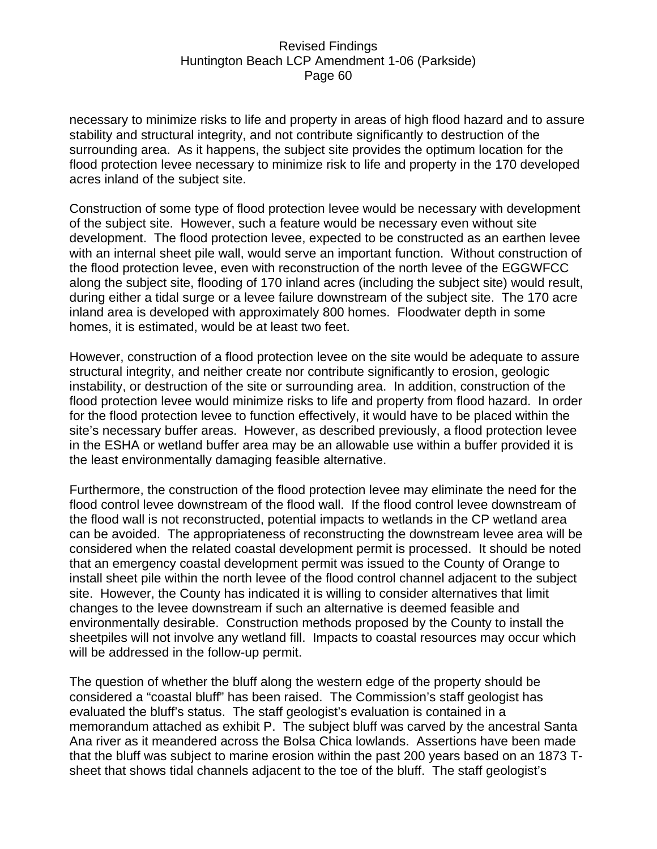necessary to minimize risks to life and property in areas of high flood hazard and to assure stability and structural integrity, and not contribute significantly to destruction of the surrounding area. As it happens, the subject site provides the optimum location for the flood protection levee necessary to minimize risk to life and property in the 170 developed acres inland of the subject site.

Construction of some type of flood protection levee would be necessary with development of the subject site. However, such a feature would be necessary even without site development. The flood protection levee, expected to be constructed as an earthen levee with an internal sheet pile wall, would serve an important function. Without construction of the flood protection levee, even with reconstruction of the north levee of the EGGWFCC along the subject site, flooding of 170 inland acres (including the subject site) would result, during either a tidal surge or a levee failure downstream of the subject site. The 170 acre inland area is developed with approximately 800 homes. Floodwater depth in some homes, it is estimated, would be at least two feet.

However, construction of a flood protection levee on the site would be adequate to assure structural integrity, and neither create nor contribute significantly to erosion, geologic instability, or destruction of the site or surrounding area. In addition, construction of the flood protection levee would minimize risks to life and property from flood hazard. In order for the flood protection levee to function effectively, it would have to be placed within the site's necessary buffer areas. However, as described previously, a flood protection levee in the ESHA or wetland buffer area may be an allowable use within a buffer provided it is the least environmentally damaging feasible alternative.

Furthermore, the construction of the flood protection levee may eliminate the need for the flood control levee downstream of the flood wall. If the flood control levee downstream of the flood wall is not reconstructed, potential impacts to wetlands in the CP wetland area can be avoided. The appropriateness of reconstructing the downstream levee area will be considered when the related coastal development permit is processed. It should be noted that an emergency coastal development permit was issued to the County of Orange to install sheet pile within the north levee of the flood control channel adjacent to the subject site. However, the County has indicated it is willing to consider alternatives that limit changes to the levee downstream if such an alternative is deemed feasible and environmentally desirable. Construction methods proposed by the County to install the sheetpiles will not involve any wetland fill. Impacts to coastal resources may occur which will be addressed in the follow-up permit.

The question of whether the bluff along the western edge of the property should be considered a "coastal bluff" has been raised. The Commission's staff geologist has evaluated the bluff's status. The staff geologist's evaluation is contained in a memorandum attached as exhibit P. The subject bluff was carved by the ancestral Santa Ana river as it meandered across the Bolsa Chica lowlands. Assertions have been made that the bluff was subject to marine erosion within the past 200 years based on an 1873 Tsheet that shows tidal channels adjacent to the toe of the bluff. The staff geologist's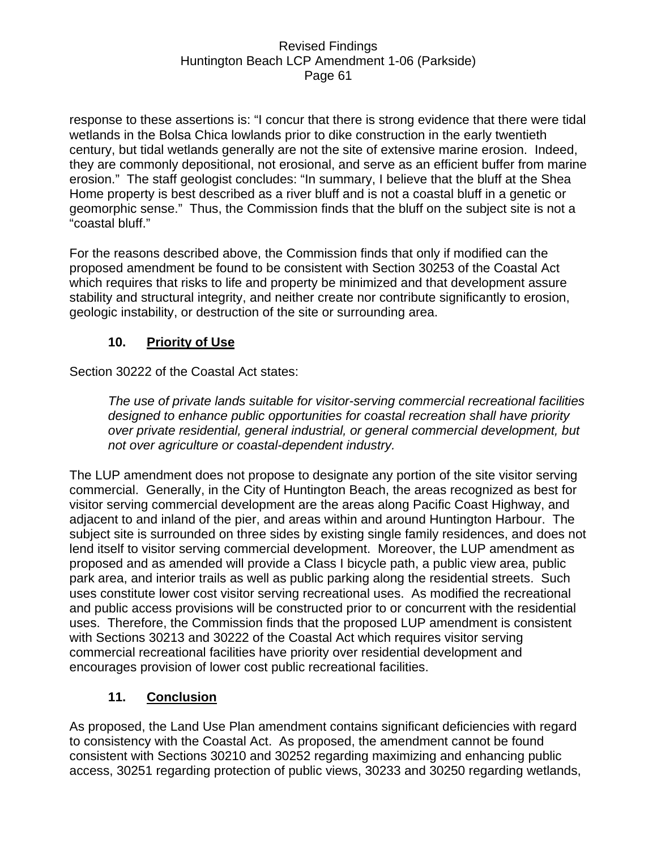response to these assertions is: "I concur that there is strong evidence that there were tidal wetlands in the Bolsa Chica lowlands prior to dike construction in the early twentieth century, but tidal wetlands generally are not the site of extensive marine erosion. Indeed, they are commonly depositional, not erosional, and serve as an efficient buffer from marine erosion." The staff geologist concludes: "In summary, I believe that the bluff at the Shea Home property is best described as a river bluff and is not a coastal bluff in a genetic or geomorphic sense." Thus, the Commission finds that the bluff on the subject site is not a "coastal bluff."

For the reasons described above, the Commission finds that only if modified can the proposed amendment be found to be consistent with Section 30253 of the Coastal Act which requires that risks to life and property be minimized and that development assure stability and structural integrity, and neither create nor contribute significantly to erosion, geologic instability, or destruction of the site or surrounding area.

# **10. Priority of Use**

Section 30222 of the Coastal Act states:

*The use of private lands suitable for visitor-serving commercial recreational facilities designed to enhance public opportunities for coastal recreation shall have priority over private residential, general industrial, or general commercial development, but not over agriculture or coastal-dependent industry.* 

The LUP amendment does not propose to designate any portion of the site visitor serving commercial. Generally, in the City of Huntington Beach, the areas recognized as best for visitor serving commercial development are the areas along Pacific Coast Highway, and adjacent to and inland of the pier, and areas within and around Huntington Harbour. The subject site is surrounded on three sides by existing single family residences, and does not lend itself to visitor serving commercial development. Moreover, the LUP amendment as proposed and as amended will provide a Class I bicycle path, a public view area, public park area, and interior trails as well as public parking along the residential streets. Such uses constitute lower cost visitor serving recreational uses. As modified the recreational and public access provisions will be constructed prior to or concurrent with the residential uses. Therefore, the Commission finds that the proposed LUP amendment is consistent with Sections 30213 and 30222 of the Coastal Act which requires visitor serving commercial recreational facilities have priority over residential development and encourages provision of lower cost public recreational facilities.

### **11. Conclusion**

As proposed, the Land Use Plan amendment contains significant deficiencies with regard to consistency with the Coastal Act. As proposed, the amendment cannot be found consistent with Sections 30210 and 30252 regarding maximizing and enhancing public access, 30251 regarding protection of public views, 30233 and 30250 regarding wetlands,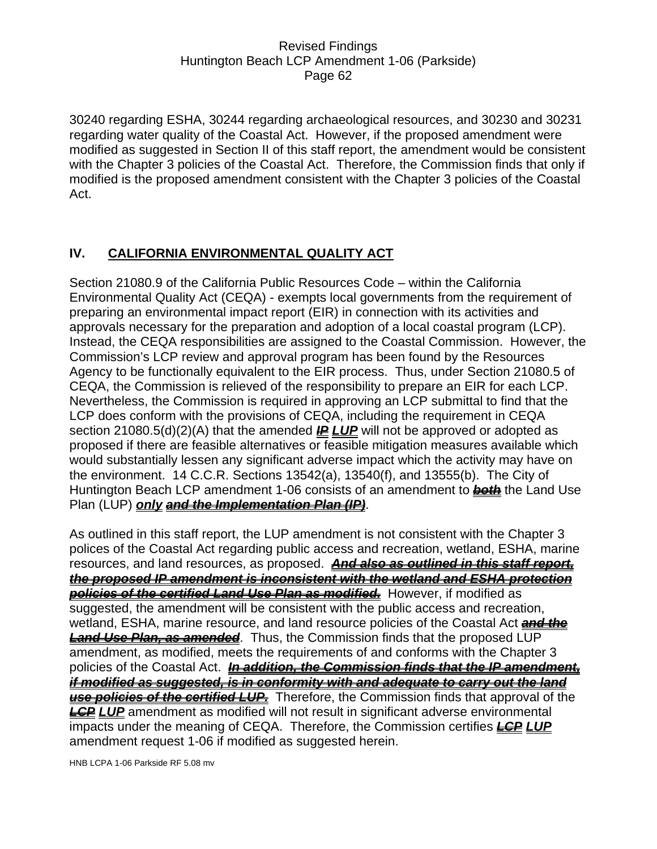30240 regarding ESHA, 30244 regarding archaeological resources, and 30230 and 30231 regarding water quality of the Coastal Act. However, if the proposed amendment were modified as suggested in Section II of this staff report, the amendment would be consistent with the Chapter 3 policies of the Coastal Act. Therefore, the Commission finds that only if modified is the proposed amendment consistent with the Chapter 3 policies of the Coastal Act.

# **IV. CALIFORNIA ENVIRONMENTAL QUALITY ACT**

Section 21080.9 of the California Public Resources Code – within the California Environmental Quality Act (CEQA) - exempts local governments from the requirement of preparing an environmental impact report (EIR) in connection with its activities and approvals necessary for the preparation and adoption of a local coastal program (LCP). Instead, the CEQA responsibilities are assigned to the Coastal Commission. However, the Commission's LCP review and approval program has been found by the Resources Agency to be functionally equivalent to the EIR process. Thus, under Section 21080.5 of CEQA, the Commission is relieved of the responsibility to prepare an EIR for each LCP. Nevertheless, the Commission is required in approving an LCP submittal to find that the LCP does conform with the provisions of CEQA, including the requirement in CEQA section 21080.5(d)(2)(A) that the amended *IP LUP* will not be approved or adopted as proposed if there are feasible alternatives or feasible mitigation measures available which would substantially lessen any significant adverse impact which the activity may have on the environment. 14 C.C.R. Sections 13542(a), 13540(f), and 13555(b). The City of Huntington Beach LCP amendment 1-06 consists of an amendment to **both** the Land Use Plan (LUP) *only and the Implementation Plan (IP)*.

As outlined in this staff report, the LUP amendment is not consistent with the Chapter 3 polices of the Coastal Act regarding public access and recreation, wetland, ESHA, marine resources, and land resources, as proposed. *And also as outlined in this staff report, the proposed IP amendment is inconsistent with the wetland and ESHA protection policies of the certified Land Use Plan as modified.* However, if modified as suggested, the amendment will be consistent with the public access and recreation, wetland, ESHA, marine resource, and land resource policies of the Coastal Act *and the Land Use Plan, as amended*. Thus, the Commission finds that the proposed LUP amendment, as modified, meets the requirements of and conforms with the Chapter 3 policies of the Coastal Act. *In addition, the Commission finds that the IP amendment, if modified as suggested, is in conformity with and adequate to carry out the land use policies of the certified LUP.* Therefore, the Commission finds that approval of the *LCP LUP* amendment as modified will not result in significant adverse environmental impacts under the meaning of CEQA. Therefore, the Commission certifies *LCP LUP* amendment request 1-06 if modified as suggested herein.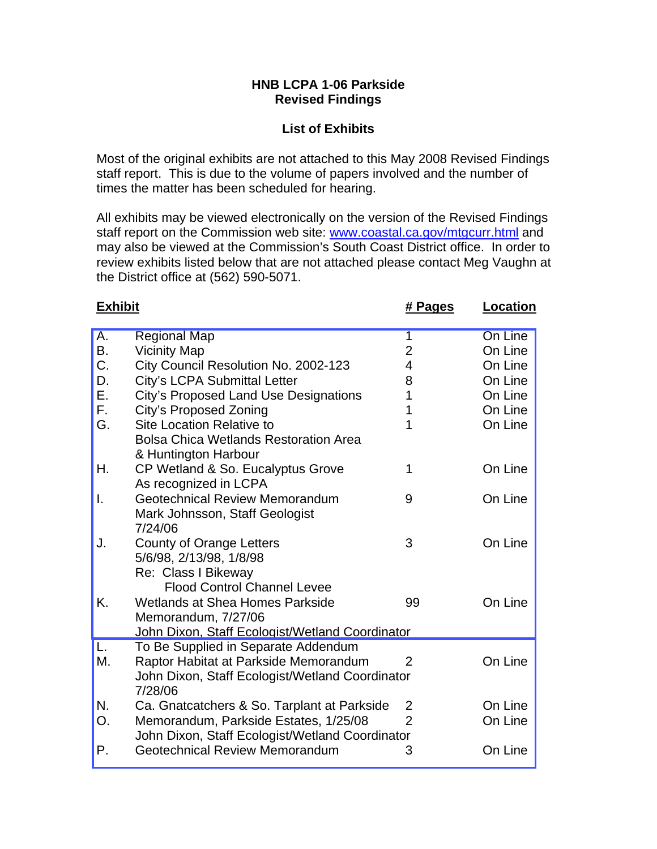#### **HNB LCPA 1-06 Parkside Revised Findings**

### **List of Exhibits**

Most of the original exhibits are not attached to this May 2008 Revised Findings staff report. This is due to the volume of papers involved and the number of times the matter has been scheduled for hearing.

All exhibits may be viewed electronically on the version of the Revised Findings staff report on the Commission web site: www.coastal.ca.gov/mtgcurr.html and may also be viewed at the Commission's South Coast District office. In order to review exhibits listed below that are not attached please contact Meg Vaughn at the District office at (562) 590-5071.

| <b>Exhibit</b> |                                                 | # Pages        | <b>Location</b> |
|----------------|-------------------------------------------------|----------------|-----------------|
| Α.             | <b>Regional Map</b>                             | 1              | On Line         |
| <b>B.</b>      | <b>Vicinity Map</b>                             | $\overline{2}$ | On Line         |
| C.             | City Council Resolution No. 2002-123            | 4              | On Line         |
| D.             | <b>City's LCPA Submittal Letter</b>             | 8              | On Line         |
| Ε.             | <b>City's Proposed Land Use Designations</b>    | 1              | On Line         |
| F.             | City's Proposed Zoning                          | 1              | On Line         |
| G.             | <b>Site Location Relative to</b>                | 1              | On Line         |
|                | <b>Bolsa Chica Wetlands Restoration Area</b>    |                |                 |
|                | & Huntington Harbour                            |                |                 |
| Η.             | CP Wetland & So. Eucalyptus Grove               | 1              | On Line         |
|                | As recognized in LCPA                           |                |                 |
| I.             | <b>Geotechnical Review Memorandum</b>           | 9              | On Line         |
|                | Mark Johnsson, Staff Geologist                  |                |                 |
|                | 7/24/06                                         |                |                 |
| J.             | County of Orange Letters                        | 3              | On Line         |
|                | 5/6/98, 2/13/98, 1/8/98                         |                |                 |
|                | Re: Class I Bikeway                             |                |                 |
|                | <b>Flood Control Channel Levee</b>              |                |                 |
| Κ.             | <b>Wetlands at Shea Homes Parkside</b>          | 99             | On Line         |
|                | Memorandum, 7/27/06                             |                |                 |
|                | John Dixon, Staff Ecologist/Wetland Coordinator |                |                 |
| L.             | To Be Supplied in Separate Addendum             |                |                 |
| М.             | Raptor Habitat at Parkside Memorandum           | 2              | On Line         |
|                | John Dixon, Staff Ecologist/Wetland Coordinator |                |                 |
|                | 7/28/06                                         |                |                 |
| N.             | Ca. Gnatcatchers & So. Tarplant at Parkside     | 2              | On Line         |
| O <sub>r</sub> | Memorandum, Parkside Estates, 1/25/08           | $\overline{2}$ | On Line         |
|                | John Dixon, Staff Ecologist/Wetland Coordinator |                |                 |
| Р.             | Geotechnical Review Memorandum                  | 3              | On Line         |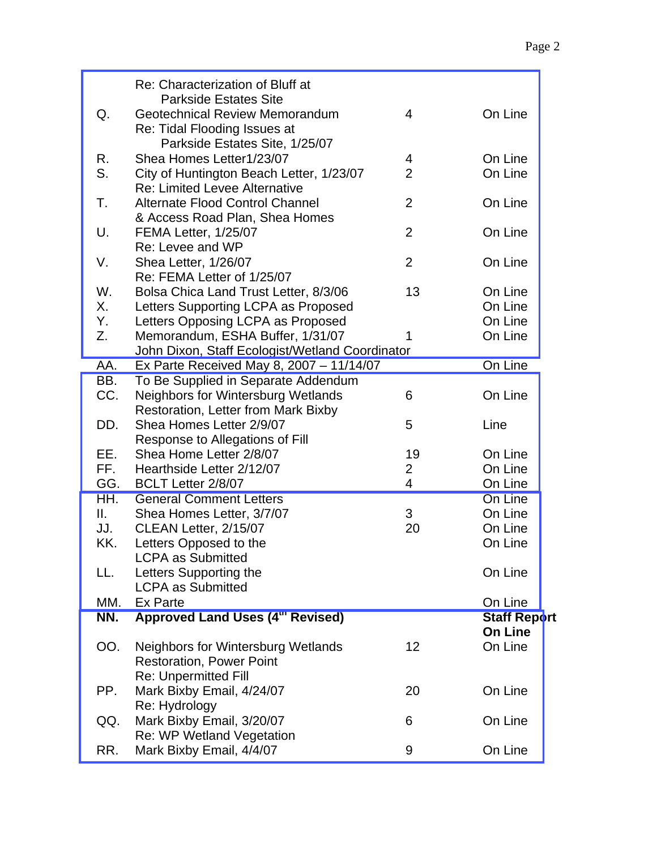|     | Re: Characterization of Bluff at                |                |                     |
|-----|-------------------------------------------------|----------------|---------------------|
|     | <b>Parkside Estates Site</b>                    |                |                     |
| Q.  | Geotechnical Review Memorandum                  | $\overline{4}$ | On Line             |
|     | Re: Tidal Flooding Issues at                    |                |                     |
|     | Parkside Estates Site, 1/25/07                  |                |                     |
| R.  | Shea Homes Letter1/23/07                        | 4              | On Line             |
| S.  | City of Huntington Beach Letter, 1/23/07        | $\overline{2}$ | On Line             |
|     | <b>Re: Limited Levee Alternative</b>            |                |                     |
| Т.  | <b>Alternate Flood Control Channel</b>          | $\overline{2}$ | On Line             |
|     | & Access Road Plan, Shea Homes                  |                |                     |
| U.  | <b>FEMA Letter, 1/25/07</b>                     | $\overline{2}$ | On Line             |
|     | Re: Levee and WP                                | $\overline{2}$ |                     |
| V.  | Shea Letter, 1/26/07                            |                | On Line             |
|     | Re: FEMA Letter of 1/25/07                      |                |                     |
| W.  | Bolsa Chica Land Trust Letter, 8/3/06           | 13             | On Line             |
| Х.  | Letters Supporting LCPA as Proposed             |                | On Line             |
| Υ.  | Letters Opposing LCPA as Proposed               |                | On Line             |
| Z.  | Memorandum, ESHA Buffer, 1/31/07                | 1              | On Line             |
|     | John Dixon, Staff Ecologist/Wetland Coordinator |                |                     |
| AA. | Ex Parte Received May 8, 2007 - 11/14/07        |                | On Line             |
| BB. | To Be Supplied in Separate Addendum             |                |                     |
| CC. | <b>Neighbors for Wintersburg Wetlands</b>       | 6              | On Line             |
|     | <b>Restoration, Letter from Mark Bixby</b>      |                |                     |
| DD. | Shea Homes Letter 2/9/07                        | 5              | Line                |
|     | Response to Allegations of Fill                 |                |                     |
| EE. | Shea Home Letter 2/8/07                         | 19             | On Line             |
| FF. | Hearthside Letter 2/12/07                       | $\overline{2}$ | On Line             |
| GG. | BCLT Letter 2/8/07                              | 4              | On Line             |
| HH. | <b>General Comment Letters</b>                  |                | On Line             |
| Ш.  | Shea Homes Letter, 3/7/07                       | 3              | On Line             |
| JJ. | CLEAN Letter, 2/15/07                           | 20             | On Line             |
| KK. | Letters Opposed to the                          |                | On Line             |
|     | <b>LCPA as Submitted</b>                        |                |                     |
| LL. | Letters Supporting the                          |                | On Line             |
|     | <b>LCPA as Submitted</b>                        |                |                     |
| MM. | Ex Parte                                        |                | On Line             |
| NN. | Approved Land Uses (4th Revised)                |                | <b>Staff Report</b> |
|     |                                                 |                | On Line             |
| OO. | Neighbors for Wintersburg Wetlands              | 12             | On Line             |
|     | <b>Restoration, Power Point</b>                 |                |                     |
|     | <b>Re: Unpermitted Fill</b>                     |                |                     |
| PP. | Mark Bixby Email, 4/24/07                       | 20             | On Line             |
|     | Re: Hydrology                                   |                |                     |
| QQ. | Mark Bixby Email, 3/20/07                       | 6              | On Line             |
|     | Re: WP Wetland Vegetation                       |                |                     |
| RR. | Mark Bixby Email, 4/4/07                        | 9              | On Line             |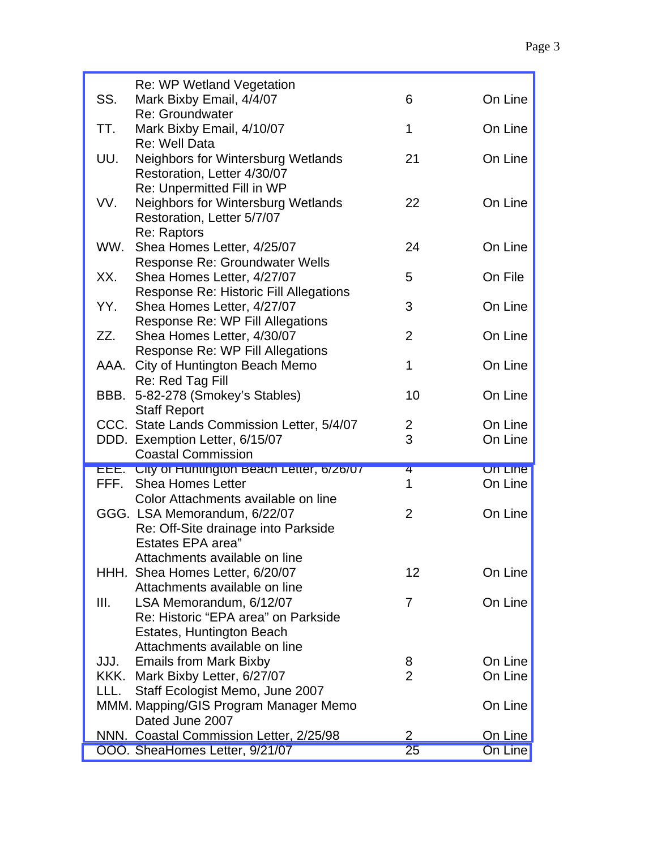|      | Re: WP Wetland Vegetation                     |                |         |
|------|-----------------------------------------------|----------------|---------|
| SS.  | Mark Bixby Email, 4/4/07                      | 6              | On Line |
|      | Re: Groundwater                               |                |         |
| TT.  | Mark Bixby Email, 4/10/07                     | 1              | On Line |
|      | Re: Well Data                                 |                |         |
| UU.  | <b>Neighbors for Wintersburg Wetlands</b>     | 21             | On Line |
|      | Restoration, Letter 4/30/07                   |                |         |
|      | Re: Unpermitted Fill in WP                    |                |         |
| VV.  | <b>Neighbors for Wintersburg Wetlands</b>     | 22             | On Line |
|      | Restoration, Letter 5/7/07                    |                |         |
|      | Re: Raptors                                   |                |         |
| WW.  | Shea Homes Letter, 4/25/07                    | 24             | On Line |
|      | Response Re: Groundwater Wells                |                |         |
| XX.  | Shea Homes Letter, 4/27/07                    | 5              | On File |
|      | Response Re: Historic Fill Allegations        |                |         |
| YY.  | Shea Homes Letter, 4/27/07                    | 3              | On Line |
|      | Response Re: WP Fill Allegations              |                |         |
| ZZ.  | Shea Homes Letter, 4/30/07                    | $\overline{2}$ | On Line |
|      | Response Re: WP Fill Allegations              |                |         |
|      | AAA. City of Huntington Beach Memo            | 1              | On Line |
|      | Re: Red Tag Fill                              |                |         |
| BBB. | 5-82-278 (Smokey's Stables)                   | 10             | On Line |
|      | <b>Staff Report</b>                           |                |         |
|      | CCC. State Lands Commission Letter, 5/4/07    | 2              | On Line |
|      | DDD. Exemption Letter, 6/15/07                | 3              | On Line |
|      | <b>Coastal Commission</b>                     |                |         |
|      | EEE. City of Huntington Beach Letter, 6/26/07 | 4              | On Line |
|      | FFF. Shea Homes Letter                        | 1              | On Line |
|      | Color Attachments available on line           |                |         |
|      | GGG. LSA Memorandum, 6/22/07                  | $\overline{2}$ | On Line |
|      | Re: Off-Site drainage into Parkside           |                |         |
|      | <b>Estates EPA area"</b>                      |                |         |
|      | Attachments available on line                 |                |         |
|      | HHH. Shea Homes Letter, 6/20/07               | 12             | On Line |
|      | Attachments available on line                 |                |         |
| III. | LSA Memorandum, 6/12/07                       | 7              | On Line |
|      | Re: Historic "EPA area" on Parkside           |                |         |
|      | Estates, Huntington Beach                     |                |         |
|      | Attachments available on line                 |                |         |
| JJJ. | <b>Emails from Mark Bixby</b>                 | 8              | On Line |
|      | KKK. Mark Bixby Letter, 6/27/07               | $\overline{2}$ | On Line |
| LLL. | Staff Ecologist Memo, June 2007               |                |         |
|      | MMM. Mapping/GIS Program Manager Memo         |                | On Line |
|      | Dated June 2007                               |                |         |
|      | NNN. Coastal Commission Letter, 2/25/98       | $\overline{2}$ | On Line |
|      | OOO. SheaHomes Letter, 9/21/07                | 25             | On Line |